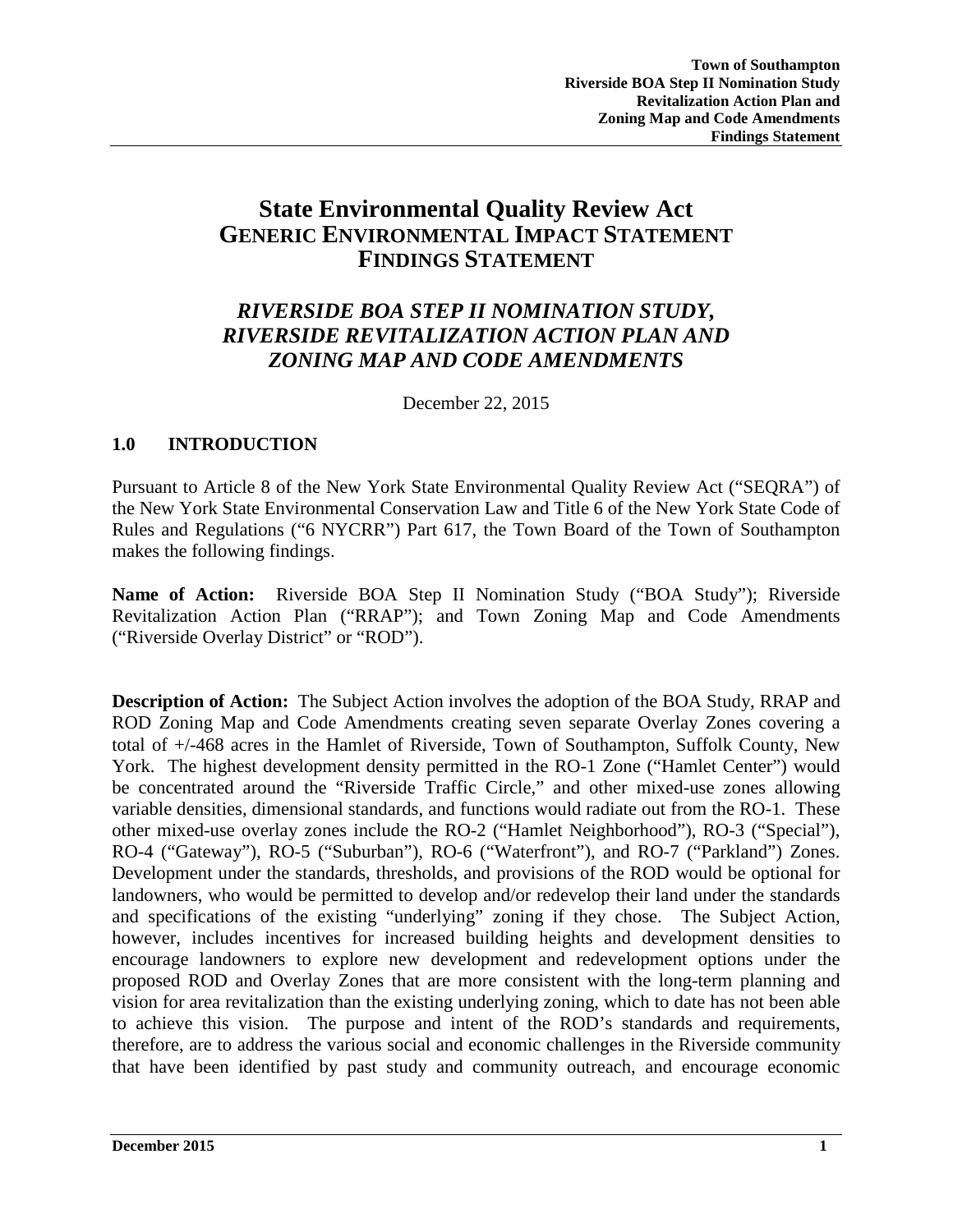# **State Environmental Quality Review Act GENERIC ENVIRONMENTAL IMPACT STATEMENT FINDINGS STATEMENT**

# *RIVERSIDE BOA STEP II NOMINATION STUDY, RIVERSIDE REVITALIZATION ACTION PLAN AND ZONING MAP AND CODE AMENDMENTS*

December 22, 2015

### **1.0 INTRODUCTION**

Pursuant to Article 8 of the New York State Environmental Quality Review Act ("SEQRA") of the New York State Environmental Conservation Law and Title 6 of the New York State Code of Rules and Regulations ("6 NYCRR") Part 617, the Town Board of the Town of Southampton makes the following findings.

**Name of Action:** Riverside BOA Step II Nomination Study ("BOA Study"); Riverside Revitalization Action Plan ("RRAP"); and Town Zoning Map and Code Amendments ("Riverside Overlay District" or "ROD").

**Description of Action:** The Subject Action involves the adoption of the BOA Study, RRAP and ROD Zoning Map and Code Amendments creating seven separate Overlay Zones covering a total of +/-468 acres in the Hamlet of Riverside, Town of Southampton, Suffolk County, New York. The highest development density permitted in the RO-1 Zone ("Hamlet Center") would be concentrated around the "Riverside Traffic Circle," and other mixed-use zones allowing variable densities, dimensional standards, and functions would radiate out from the RO-1. These other mixed-use overlay zones include the RO-2 ("Hamlet Neighborhood"), RO-3 ("Special"), RO-4 ("Gateway"), RO-5 ("Suburban"), RO-6 ("Waterfront"), and RO-7 ("Parkland") Zones. Development under the standards, thresholds, and provisions of the ROD would be optional for landowners, who would be permitted to develop and/or redevelop their land under the standards and specifications of the existing "underlying" zoning if they chose. The Subject Action, however, includes incentives for increased building heights and development densities to encourage landowners to explore new development and redevelopment options under the proposed ROD and Overlay Zones that are more consistent with the long-term planning and vision for area revitalization than the existing underlying zoning, which to date has not been able to achieve this vision. The purpose and intent of the ROD's standards and requirements, therefore, are to address the various social and economic challenges in the Riverside community that have been identified by past study and community outreach, and encourage economic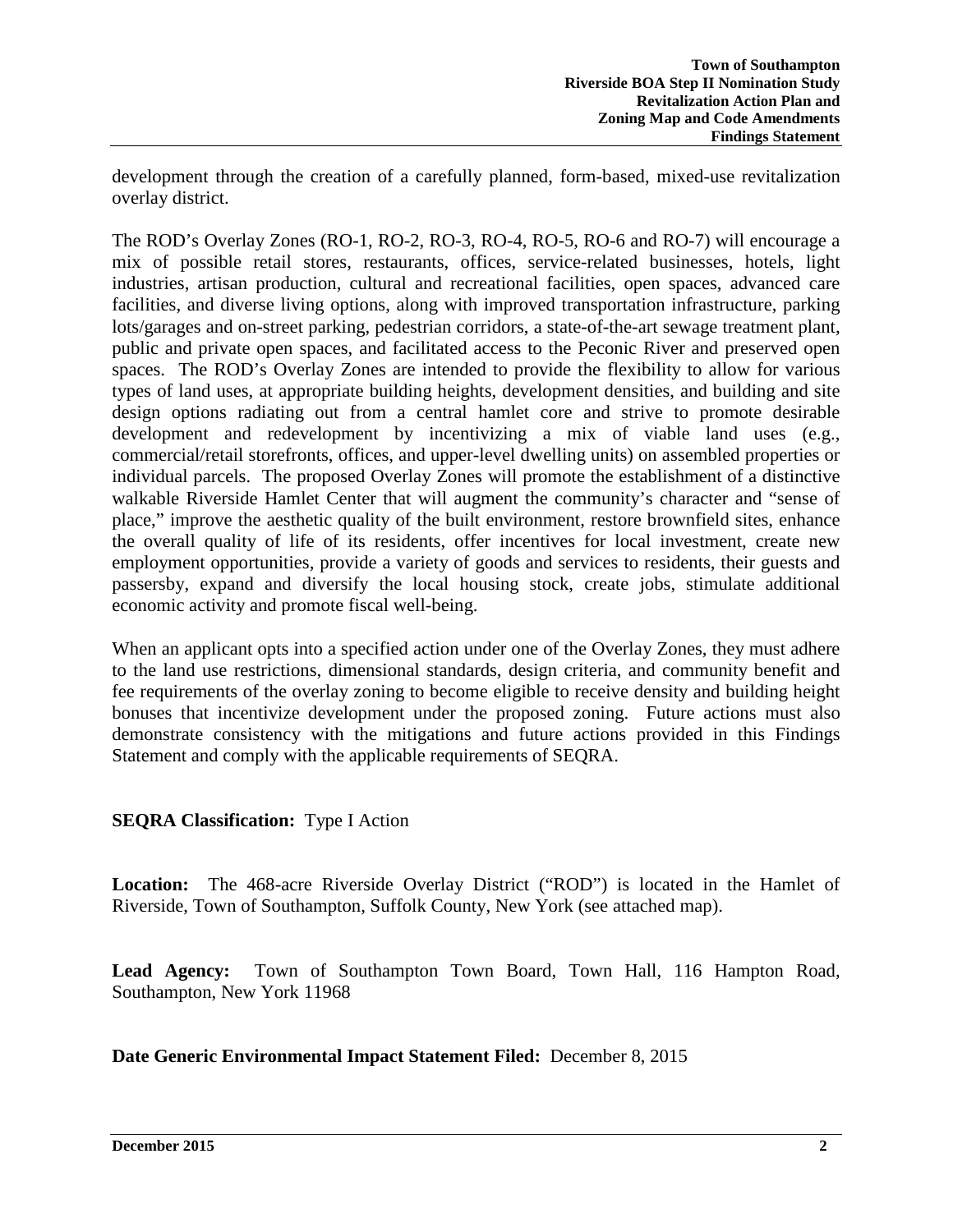development through the creation of a carefully planned, form-based, mixed-use revitalization overlay district.

The ROD's Overlay Zones (RO-1, RO-2, RO-3, RO-4, RO-5, RO-6 and RO-7) will encourage a mix of possible retail stores, restaurants, offices, service-related businesses, hotels, light industries, artisan production, cultural and recreational facilities, open spaces, advanced care facilities, and diverse living options, along with improved transportation infrastructure, parking lots/garages and on-street parking, pedestrian corridors, a state-of-the-art sewage treatment plant, public and private open spaces, and facilitated access to the Peconic River and preserved open spaces. The ROD's Overlay Zones are intended to provide the flexibility to allow for various types of land uses, at appropriate building heights, development densities, and building and site design options radiating out from a central hamlet core and strive to promote desirable development and redevelopment by incentivizing a mix of viable land uses (e.g., commercial/retail storefronts, offices, and upper-level dwelling units) on assembled properties or individual parcels. The proposed Overlay Zones will promote the establishment of a distinctive walkable Riverside Hamlet Center that will augment the community's character and "sense of place," improve the aesthetic quality of the built environment, restore brownfield sites, enhance the overall quality of life of its residents, offer incentives for local investment, create new employment opportunities, provide a variety of goods and services to residents, their guests and passersby, expand and diversify the local housing stock, create jobs, stimulate additional economic activity and promote fiscal well-being.

When an applicant opts into a specified action under one of the Overlay Zones, they must adhere to the land use restrictions, dimensional standards, design criteria, and community benefit and fee requirements of the overlay zoning to become eligible to receive density and building height bonuses that incentivize development under the proposed zoning. Future actions must also demonstrate consistency with the mitigations and future actions provided in this Findings Statement and comply with the applicable requirements of SEQRA.

# **SEQRA Classification:** Type I Action

**Location:** The 468-acre Riverside Overlay District ("ROD") is located in the Hamlet of Riverside, Town of Southampton, Suffolk County, New York (see attached map).

**Lead Agency:** Town of Southampton Town Board, Town Hall, 116 Hampton Road, Southampton, New York 11968

**Date Generic Environmental Impact Statement Filed:** December 8, 2015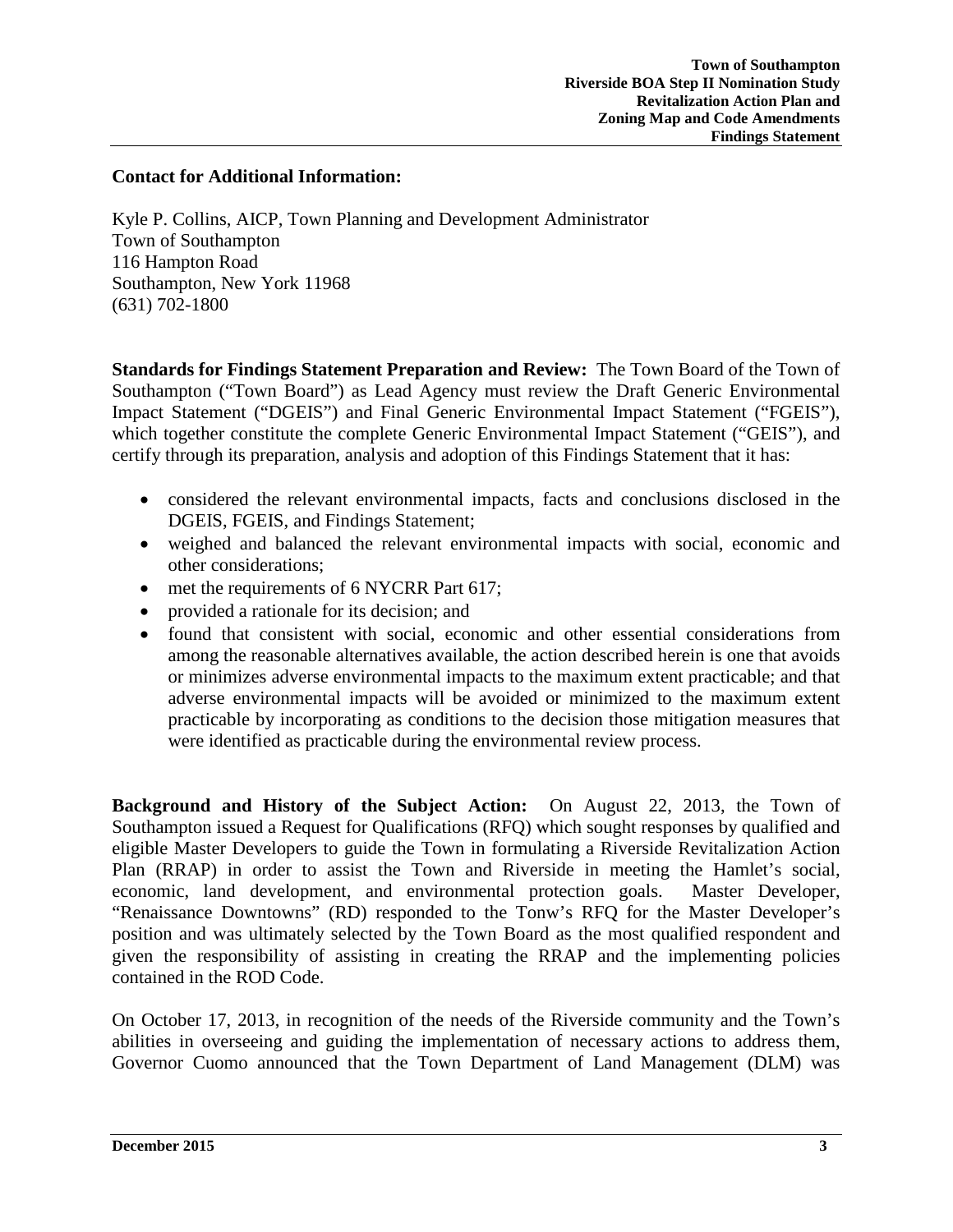#### **Contact for Additional Information:**

Kyle P. Collins, AICP, Town Planning and Development Administrator Town of Southampton 116 Hampton Road Southampton, New York 11968 (631) 702-1800

**Standards for Findings Statement Preparation and Review:** The Town Board of the Town of Southampton ("Town Board") as Lead Agency must review the Draft Generic Environmental Impact Statement ("DGEIS") and Final Generic Environmental Impact Statement ("FGEIS"), which together constitute the complete Generic Environmental Impact Statement ("GEIS"), and certify through its preparation, analysis and adoption of this Findings Statement that it has:

- considered the relevant environmental impacts, facts and conclusions disclosed in the DGEIS, FGEIS, and Findings Statement;
- weighed and balanced the relevant environmental impacts with social, economic and other considerations;
- met the requirements of 6 NYCRR Part 617;
- provided a rationale for its decision; and
- found that consistent with social, economic and other essential considerations from among the reasonable alternatives available, the action described herein is one that avoids or minimizes adverse environmental impacts to the maximum extent practicable; and that adverse environmental impacts will be avoided or minimized to the maximum extent practicable by incorporating as conditions to the decision those mitigation measures that were identified as practicable during the environmental review process.

**Background and History of the Subject Action:** On August 22, 2013, the Town of Southampton issued a Request for Qualifications (RFQ) which sought responses by qualified and eligible Master Developers to guide the Town in formulating a Riverside Revitalization Action Plan (RRAP) in order to assist the Town and Riverside in meeting the Hamlet's social, economic, land development, and environmental protection goals. Master Developer, "Renaissance Downtowns" (RD) responded to the Tonw's RFQ for the Master Developer's position and was ultimately selected by the Town Board as the most qualified respondent and given the responsibility of assisting in creating the RRAP and the implementing policies contained in the ROD Code.

On October 17, 2013, in recognition of the needs of the Riverside community and the Town's abilities in overseeing and guiding the implementation of necessary actions to address them, Governor Cuomo announced that the Town Department of Land Management (DLM) was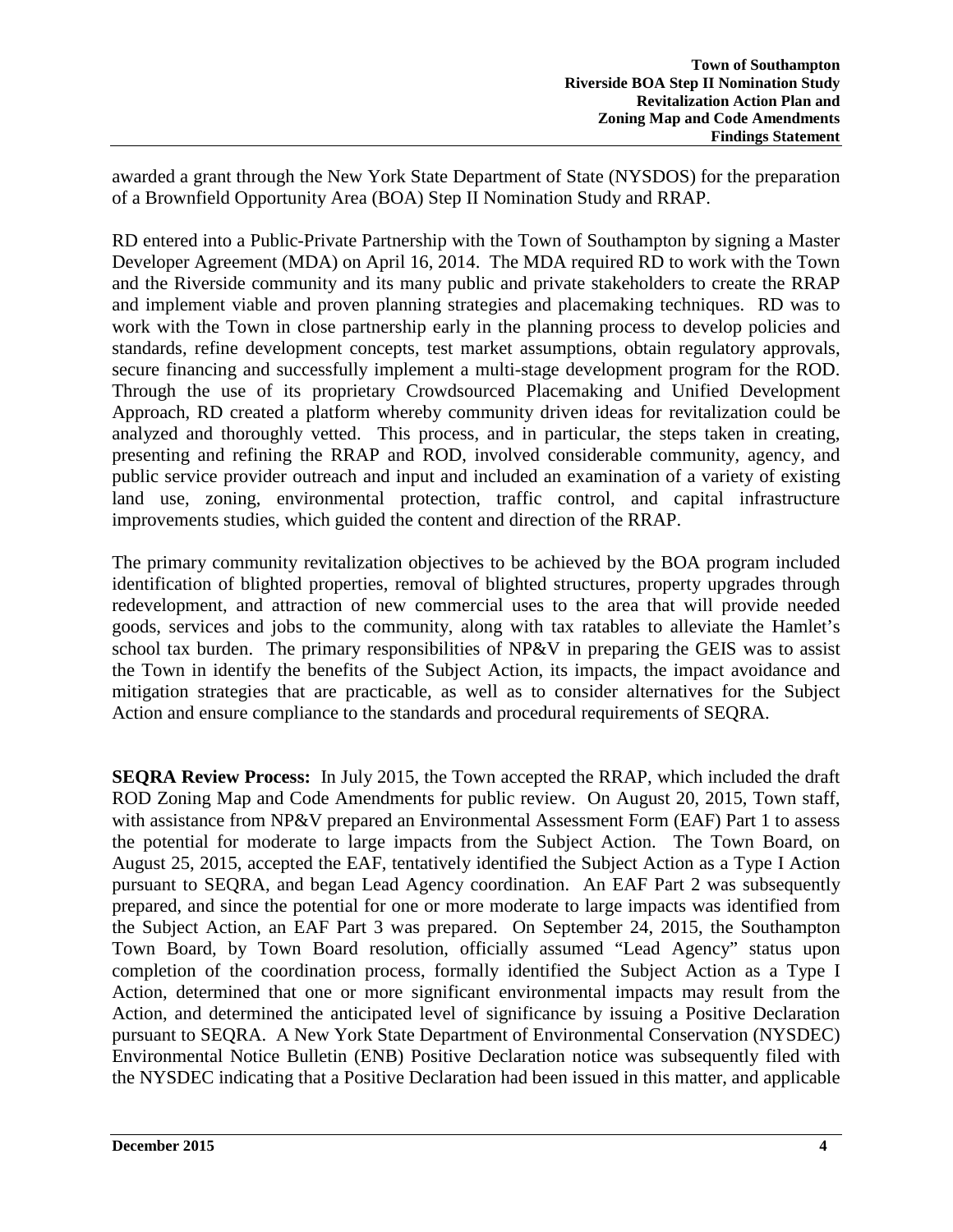awarded a grant through the New York State Department of State (NYSDOS) for the preparation of a Brownfield Opportunity Area (BOA) Step II Nomination Study and RRAP.

RD entered into a Public-Private Partnership with the Town of Southampton by signing a Master Developer Agreement (MDA) on April 16, 2014. The MDA required RD to work with the Town and the Riverside community and its many public and private stakeholders to create the RRAP and implement viable and proven planning strategies and placemaking techniques. RD was to work with the Town in close partnership early in the planning process to develop policies and standards, refine development concepts, test market assumptions, obtain regulatory approvals, secure financing and successfully implement a multi-stage development program for the ROD. Through the use of its proprietary Crowdsourced Placemaking and Unified Development Approach, RD created a platform whereby community driven ideas for revitalization could be analyzed and thoroughly vetted. This process, and in particular, the steps taken in creating, presenting and refining the RRAP and ROD, involved considerable community, agency, and public service provider outreach and input and included an examination of a variety of existing land use, zoning, environmental protection, traffic control, and capital infrastructure improvements studies, which guided the content and direction of the RRAP.

The primary community revitalization objectives to be achieved by the BOA program included identification of blighted properties, removal of blighted structures, property upgrades through redevelopment, and attraction of new commercial uses to the area that will provide needed goods, services and jobs to the community, along with tax ratables to alleviate the Hamlet's school tax burden.The primary responsibilities of NP&V in preparing the GEIS was to assist the Town in identify the benefits of the Subject Action, its impacts, the impact avoidance and mitigation strategies that are practicable, as well as to consider alternatives for the Subject Action and ensure compliance to the standards and procedural requirements of SEQRA.

**SEQRA Review Process:** In July 2015, the Town accepted the RRAP, which included the draft ROD Zoning Map and Code Amendments for public review. On August 20, 2015, Town staff, with assistance from NP&V prepared an Environmental Assessment Form (EAF) Part 1 to assess the potential for moderate to large impacts from the Subject Action. The Town Board, on August 25, 2015, accepted the EAF, tentatively identified the Subject Action as a Type I Action pursuant to SEQRA, and began Lead Agency coordination. An EAF Part 2 was subsequently prepared, and since the potential for one or more moderate to large impacts was identified from the Subject Action, an EAF Part 3 was prepared. On September 24, 2015, the Southampton Town Board, by Town Board resolution, officially assumed "Lead Agency" status upon completion of the coordination process, formally identified the Subject Action as a Type I Action, determined that one or more significant environmental impacts may result from the Action, and determined the anticipated level of significance by issuing a Positive Declaration pursuant to SEQRA. A New York State Department of Environmental Conservation (NYSDEC) Environmental Notice Bulletin (ENB) Positive Declaration notice was subsequently filed with the NYSDEC indicating that a Positive Declaration had been issued in this matter, and applicable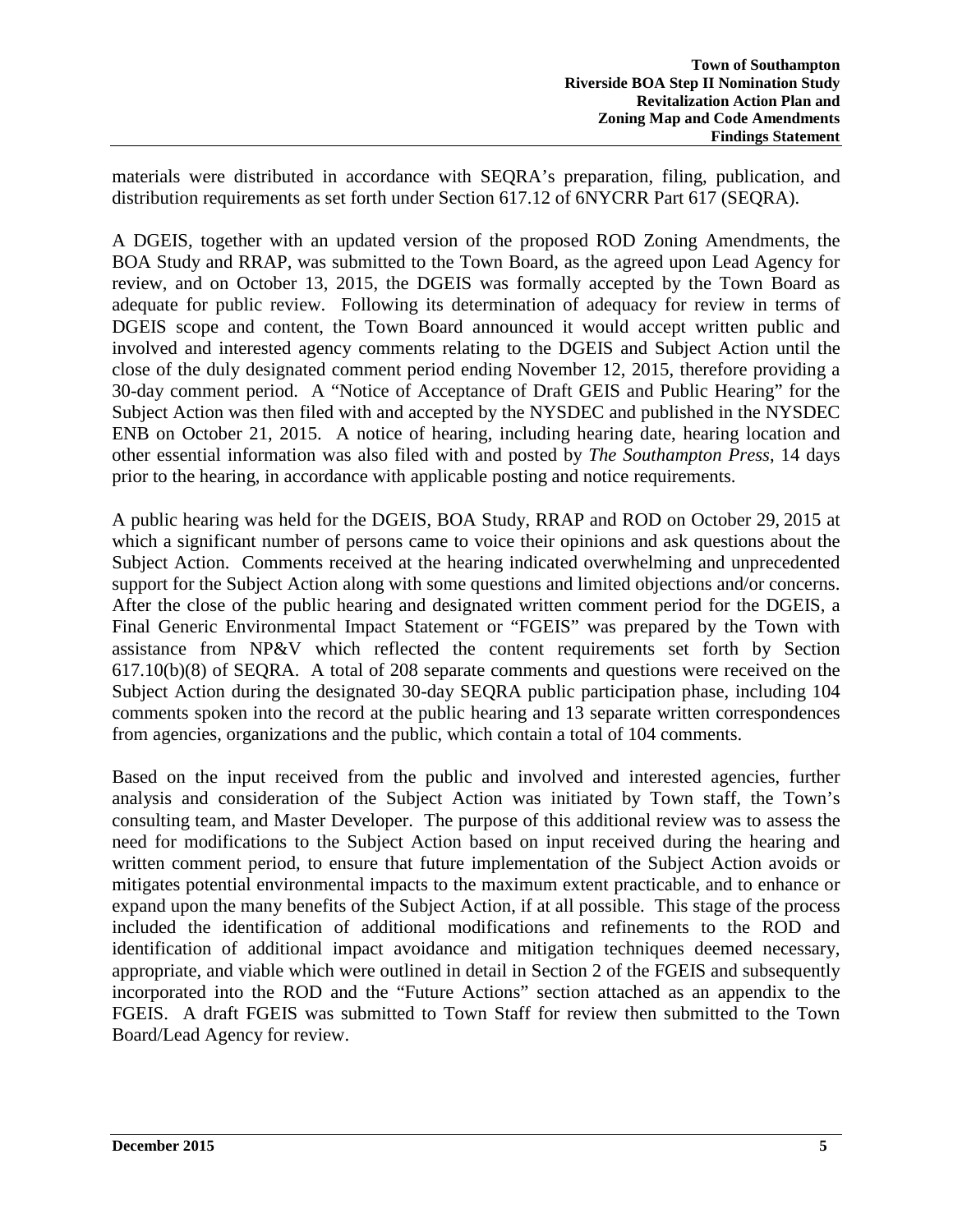materials were distributed in accordance with SEQRA's preparation, filing, publication, and distribution requirements as set forth under Section 617.12 of 6NYCRR Part 617 (SEQRA).

A DGEIS, together with an updated version of the proposed ROD Zoning Amendments, the BOA Study and RRAP, was submitted to the Town Board, as the agreed upon Lead Agency for review, and on October 13, 2015, the DGEIS was formally accepted by the Town Board as adequate for public review. Following its determination of adequacy for review in terms of DGEIS scope and content, the Town Board announced it would accept written public and involved and interested agency comments relating to the DGEIS and Subject Action until the close of the duly designated comment period ending November 12, 2015, therefore providing a 30-day comment period. A "Notice of Acceptance of Draft GEIS and Public Hearing" for the Subject Action was then filed with and accepted by the NYSDEC and published in the NYSDEC ENB on October 21, 2015. A notice of hearing, including hearing date, hearing location and other essential information was also filed with and posted by *The Southampton Press*, 14 days prior to the hearing, in accordance with applicable posting and notice requirements.

A public hearing was held for the DGEIS, BOA Study, RRAP and ROD on October 29, 2015 at which a significant number of persons came to voice their opinions and ask questions about the Subject Action. Comments received at the hearing indicated overwhelming and unprecedented support for the Subject Action along with some questions and limited objections and/or concerns. After the close of the public hearing and designated written comment period for the DGEIS, a Final Generic Environmental Impact Statement or "FGEIS" was prepared by the Town with assistance from NP&V which reflected the content requirements set forth by Section 617.10(b)(8) of SEQRA. A total of 208 separate comments and questions were received on the Subject Action during the designated 30-day SEQRA public participation phase, including 104 comments spoken into the record at the public hearing and 13 separate written correspondences from agencies, organizations and the public, which contain a total of 104 comments.

Based on the input received from the public and involved and interested agencies, further analysis and consideration of the Subject Action was initiated by Town staff, the Town's consulting team, and Master Developer. The purpose of this additional review was to assess the need for modifications to the Subject Action based on input received during the hearing and written comment period, to ensure that future implementation of the Subject Action avoids or mitigates potential environmental impacts to the maximum extent practicable, and to enhance or expand upon the many benefits of the Subject Action, if at all possible. This stage of the process included the identification of additional modifications and refinements to the ROD and identification of additional impact avoidance and mitigation techniques deemed necessary, appropriate, and viable which were outlined in detail in Section 2 of the FGEIS and subsequently incorporated into the ROD and the "Future Actions" section attached as an appendix to the FGEIS. A draft FGEIS was submitted to Town Staff for review then submitted to the Town Board/Lead Agency for review.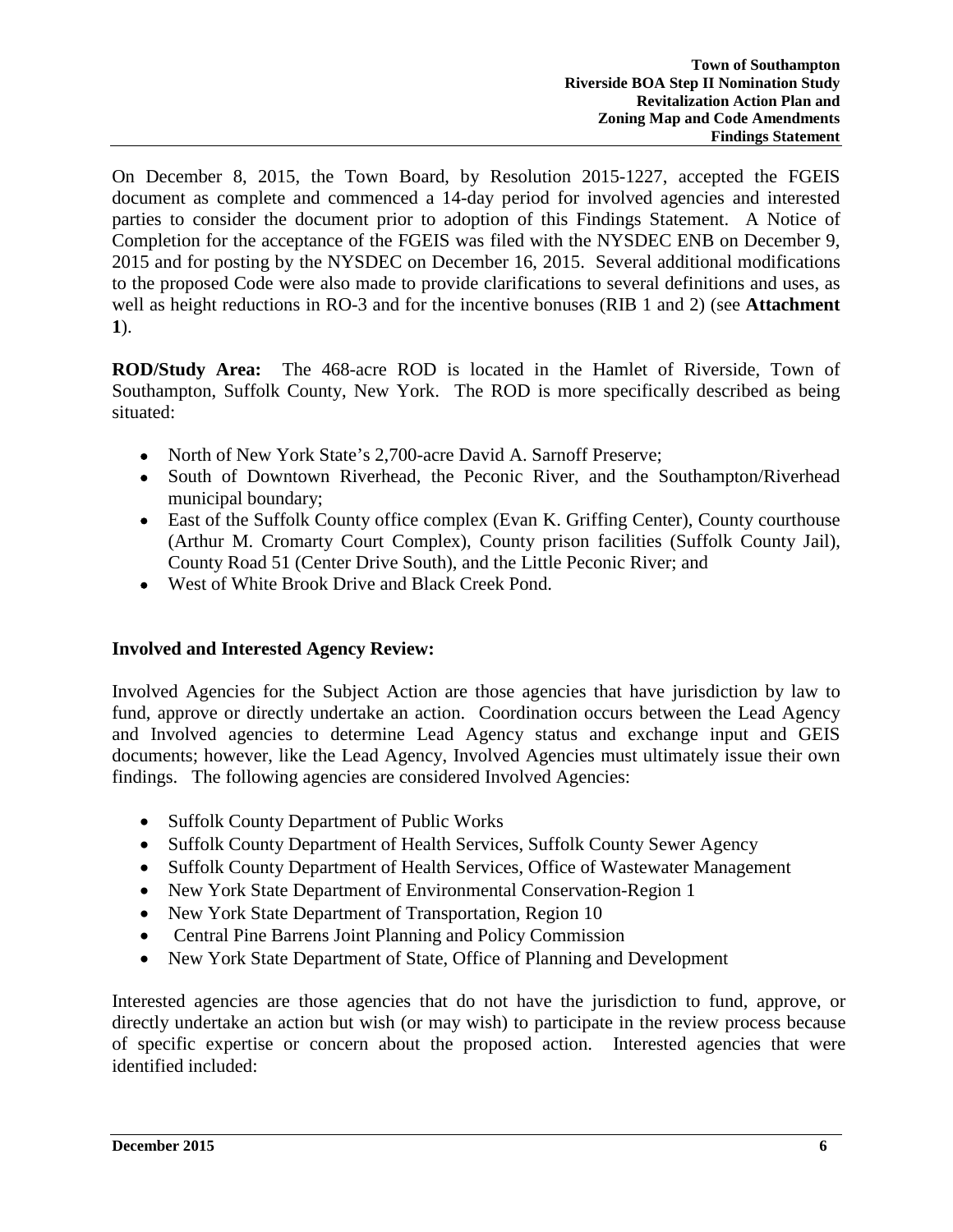On December 8, 2015, the Town Board, by Resolution 2015-1227, accepted the FGEIS document as complete and commenced a 14-day period for involved agencies and interested parties to consider the document prior to adoption of this Findings Statement. A Notice of Completion for the acceptance of the FGEIS was filed with the NYSDEC ENB on December 9, 2015 and for posting by the NYSDEC on December 16, 2015. Several additional modifications to the proposed Code were also made to provide clarifications to several definitions and uses, as well as height reductions in RO-3 and for the incentive bonuses (RIB 1 and 2) (see **Attachment 1**).

**ROD/Study Area:** The 468-acre ROD is located in the Hamlet of Riverside, Town of Southampton, Suffolk County, New York. The ROD is more specifically described as being situated:

- North of New York State's 2,700-acre David A. Sarnoff Preserve;
- South of Downtown Riverhead, the Peconic River, and the Southampton/Riverhead municipal boundary;
- East of the Suffolk County office complex (Evan K. Griffing Center), County courthouse (Arthur M. Cromarty Court Complex), County prison facilities (Suffolk County Jail), County Road 51 (Center Drive South), and the Little Peconic River; and
- West of White Brook Drive and Black Creek Pond.

### **Involved and Interested Agency Review:**

Involved Agencies for the Subject Action are those agencies that have jurisdiction by law to fund, approve or directly undertake an action. Coordination occurs between the Lead Agency and Involved agencies to determine Lead Agency status and exchange input and GEIS documents; however, like the Lead Agency, Involved Agencies must ultimately issue their own findings. The following agencies are considered Involved Agencies:

- Suffolk County Department of Public Works
- Suffolk County Department of Health Services, Suffolk County Sewer Agency
- Suffolk County Department of Health Services, Office of Wastewater Management
- New York State Department of Environmental Conservation-Region 1
- New York State Department of Transportation, Region 10
- Central Pine Barrens Joint Planning and Policy Commission
- New York State Department of State, Office of Planning and Development

Interested agencies are those agencies that do not have the jurisdiction to fund, approve, or directly undertake an action but wish (or may wish) to participate in the review process because of specific expertise or concern about the proposed action. Interested agencies that were identified included: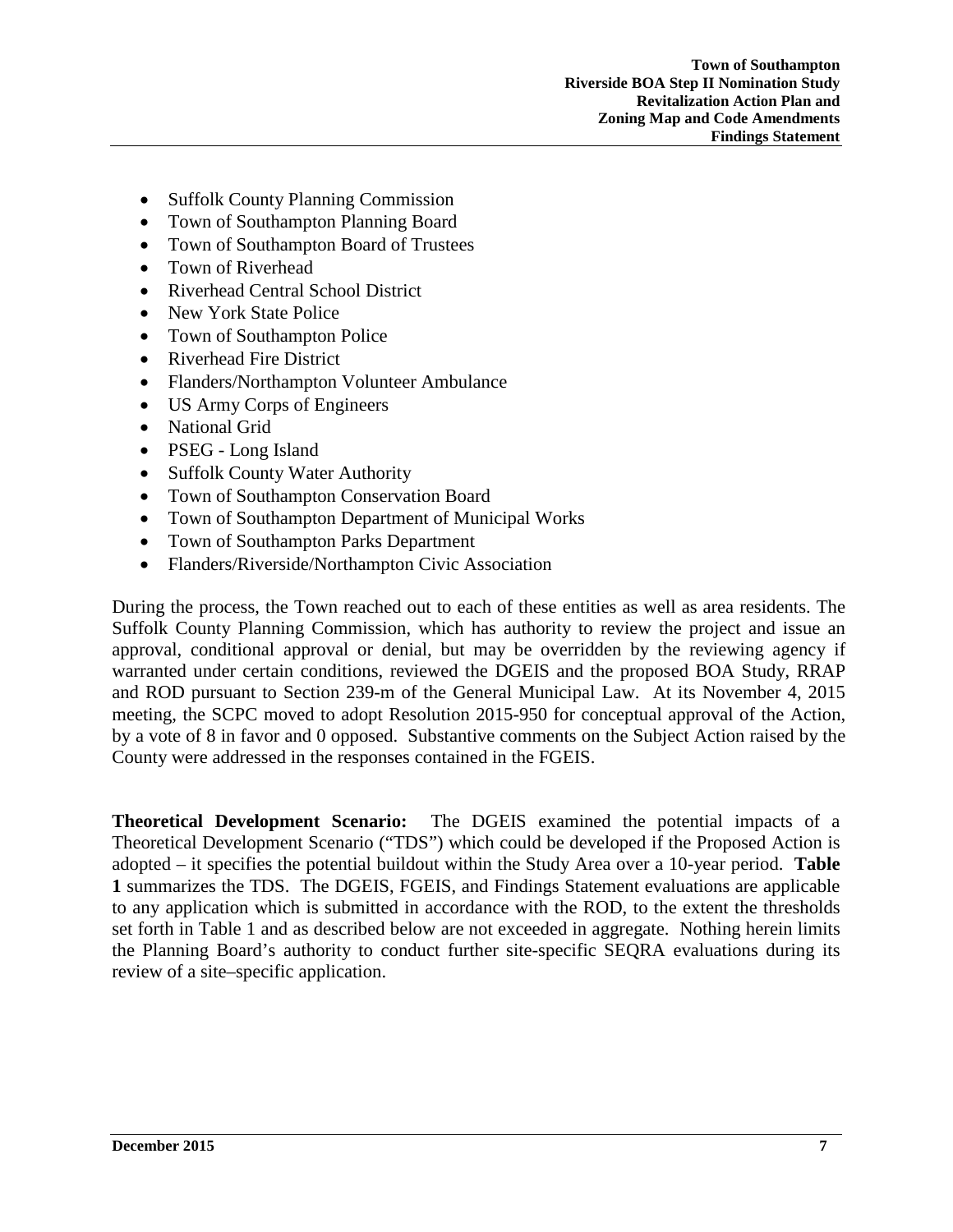- Suffolk County Planning Commission
- Town of Southampton Planning Board
- Town of Southampton Board of Trustees
- Town of Riverhead
- Riverhead Central School District
- New York State Police
- Town of Southampton Police
- Riverhead Fire District
- Flanders/Northampton Volunteer Ambulance
- US Army Corps of Engineers
- National Grid
- PSEG Long Island
- Suffolk County Water Authority
- Town of Southampton Conservation Board
- Town of Southampton Department of Municipal Works
- Town of Southampton Parks Department
- Flanders/Riverside/Northampton Civic Association

During the process, the Town reached out to each of these entities as well as area residents. The Suffolk County Planning Commission, which has authority to review the project and issue an approval, conditional approval or denial, but may be overridden by the reviewing agency if warranted under certain conditions, reviewed the DGEIS and the proposed BOA Study, RRAP and ROD pursuant to Section 239-m of the General Municipal Law. At its November 4, 2015 meeting, the SCPC moved to adopt Resolution 2015-950 for conceptual approval of the Action, by a vote of 8 in favor and 0 opposed. Substantive comments on the Subject Action raised by the County were addressed in the responses contained in the FGEIS.

**Theoretical Development Scenario:** The DGEIS examined the potential impacts of a Theoretical Development Scenario ("TDS") which could be developed if the Proposed Action is adopted – it specifies the potential buildout within the Study Area over a 10-year period. **Table 1** summarizes the TDS. The DGEIS, FGEIS, and Findings Statement evaluations are applicable to any application which is submitted in accordance with the ROD, to the extent the thresholds set forth in Table 1 and as described below are not exceeded in aggregate. Nothing herein limits the Planning Board's authority to conduct further site-specific SEQRA evaluations during its review of a site–specific application.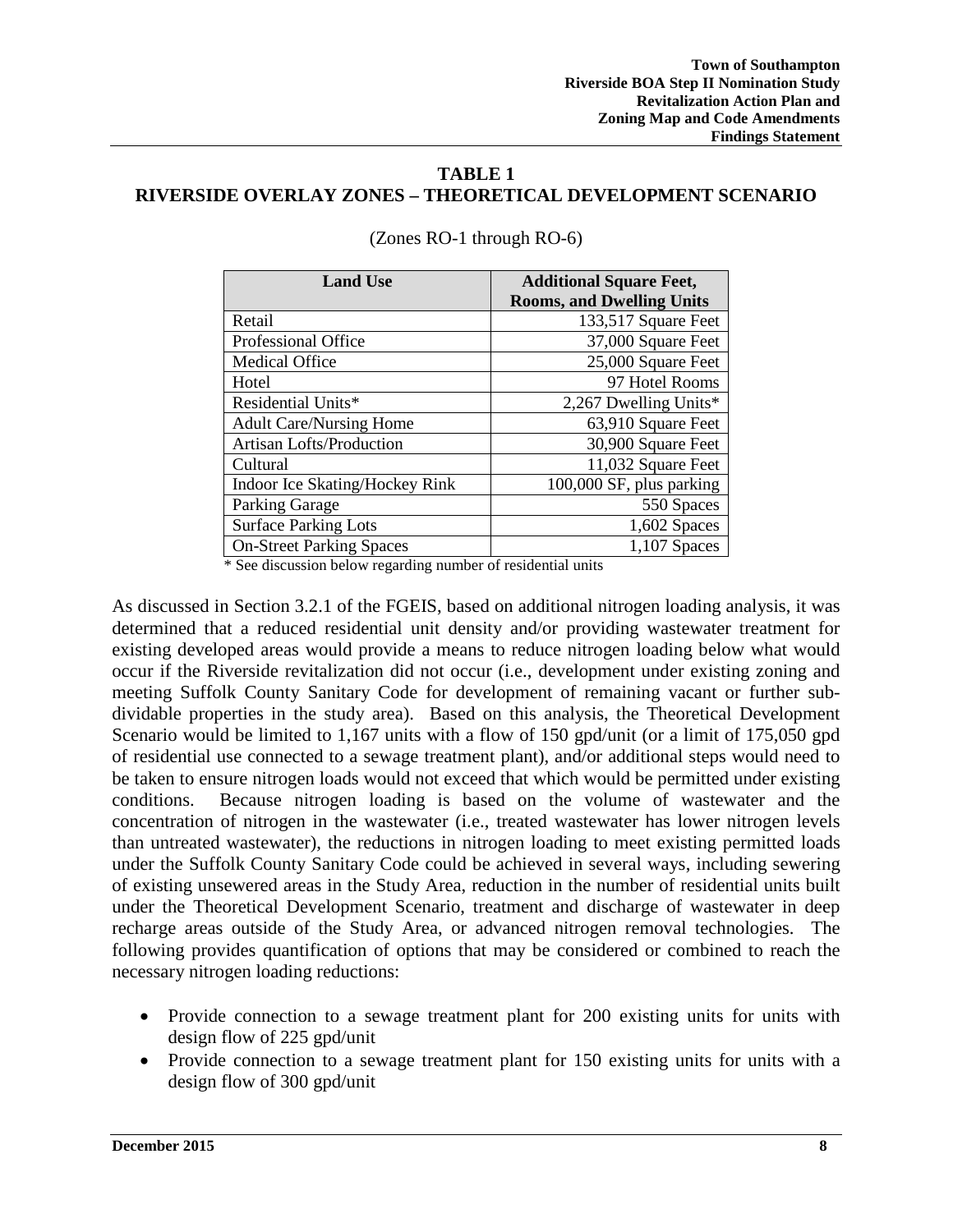### **TABLE 1 RIVERSIDE OVERLAY ZONES – THEORETICAL DEVELOPMENT SCENARIO**

| <b>Land Use</b>                 | <b>Additional Square Feet,</b>   |
|---------------------------------|----------------------------------|
|                                 | <b>Rooms, and Dwelling Units</b> |
| Retail                          | 133,517 Square Feet              |
| Professional Office             | 37,000 Square Feet               |
| <b>Medical Office</b>           | 25,000 Square Feet               |
| Hotel                           | 97 Hotel Rooms                   |
| Residential Units*              | 2,267 Dwelling Units*            |
| <b>Adult Care/Nursing Home</b>  | 63,910 Square Feet               |
| <b>Artisan Lofts/Production</b> | 30,900 Square Feet               |
| Cultural                        | 11,032 Square Feet               |
| Indoor Ice Skating/Hockey Rink  | 100,000 SF, plus parking         |
| <b>Parking Garage</b>           | 550 Spaces                       |
| <b>Surface Parking Lots</b>     | 1,602 Spaces                     |
| <b>On-Street Parking Spaces</b> | $1,107$ Spaces                   |

(Zones RO-1 through RO-6)

\* See discussion below regarding number of residential units

As discussed in Section 3.2.1 of the FGEIS, based on additional nitrogen loading analysis, it was determined that a reduced residential unit density and/or providing wastewater treatment for existing developed areas would provide a means to reduce nitrogen loading below what would occur if the Riverside revitalization did not occur (i.e., development under existing zoning and meeting Suffolk County Sanitary Code for development of remaining vacant or further subdividable properties in the study area). Based on this analysis, the Theoretical Development Scenario would be limited to 1,167 units with a flow of 150 gpd/unit (or a limit of 175,050 gpd of residential use connected to a sewage treatment plant), and/or additional steps would need to be taken to ensure nitrogen loads would not exceed that which would be permitted under existing conditions. Because nitrogen loading is based on the volume of wastewater and the concentration of nitrogen in the wastewater (i.e., treated wastewater has lower nitrogen levels than untreated wastewater), the reductions in nitrogen loading to meet existing permitted loads under the Suffolk County Sanitary Code could be achieved in several ways, including sewering of existing unsewered areas in the Study Area, reduction in the number of residential units built under the Theoretical Development Scenario, treatment and discharge of wastewater in deep recharge areas outside of the Study Area, or advanced nitrogen removal technologies. The following provides quantification of options that may be considered or combined to reach the necessary nitrogen loading reductions:

- Provide connection to a sewage treatment plant for 200 existing units for units with design flow of 225 gpd/unit
- Provide connection to a sewage treatment plant for 150 existing units for units with a design flow of 300 gpd/unit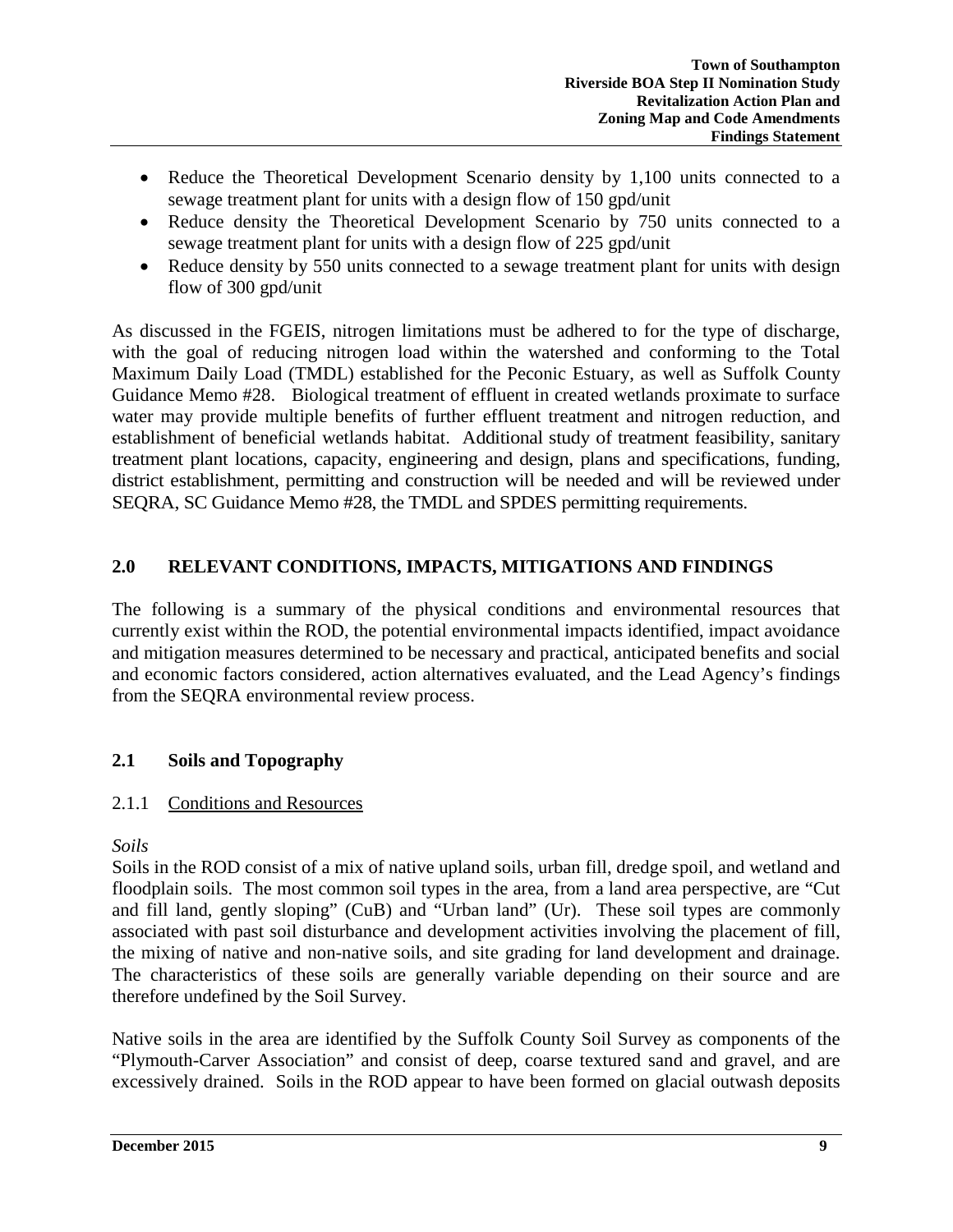- Reduce the Theoretical Development Scenario density by 1,100 units connected to a sewage treatment plant for units with a design flow of 150 gpd/unit
- Reduce density the Theoretical Development Scenario by 750 units connected to a sewage treatment plant for units with a design flow of 225 gpd/unit
- Reduce density by 550 units connected to a sewage treatment plant for units with design flow of 300 gpd/unit

As discussed in the FGEIS, nitrogen limitations must be adhered to for the type of discharge, with the goal of reducing nitrogen load within the watershed and conforming to the Total Maximum Daily Load (TMDL) established for the Peconic Estuary, as well as Suffolk County Guidance Memo #28. Biological treatment of effluent in created wetlands proximate to surface water may provide multiple benefits of further effluent treatment and nitrogen reduction, and establishment of beneficial wetlands habitat. Additional study of treatment feasibility, sanitary treatment plant locations, capacity, engineering and design, plans and specifications, funding, district establishment, permitting and construction will be needed and will be reviewed under SEQRA, SC Guidance Memo #28, the TMDL and SPDES permitting requirements.

# **2.0 RELEVANT CONDITIONS, IMPACTS, MITIGATIONS AND FINDINGS**

The following is a summary of the physical conditions and environmental resources that currently exist within the ROD, the potential environmental impacts identified, impact avoidance and mitigation measures determined to be necessary and practical, anticipated benefits and social and economic factors considered, action alternatives evaluated, and the Lead Agency's findings from the SEQRA environmental review process.

# **2.1 Soils and Topography**

# 2.1.1 Conditions and Resources

*Soils*

Soils in the ROD consist of a mix of native upland soils, urban fill, dredge spoil, and wetland and floodplain soils. The most common soil types in the area, from a land area perspective, are "Cut and fill land, gently sloping" (CuB) and "Urban land" (Ur). These soil types are commonly associated with past soil disturbance and development activities involving the placement of fill, the mixing of native and non-native soils, and site grading for land development and drainage. The characteristics of these soils are generally variable depending on their source and are therefore undefined by the Soil Survey.

Native soils in the area are identified by the Suffolk County Soil Survey as components of the "Plymouth-Carver Association" and consist of deep, coarse textured sand and gravel, and are excessively drained. Soils in the ROD appear to have been formed on glacial outwash deposits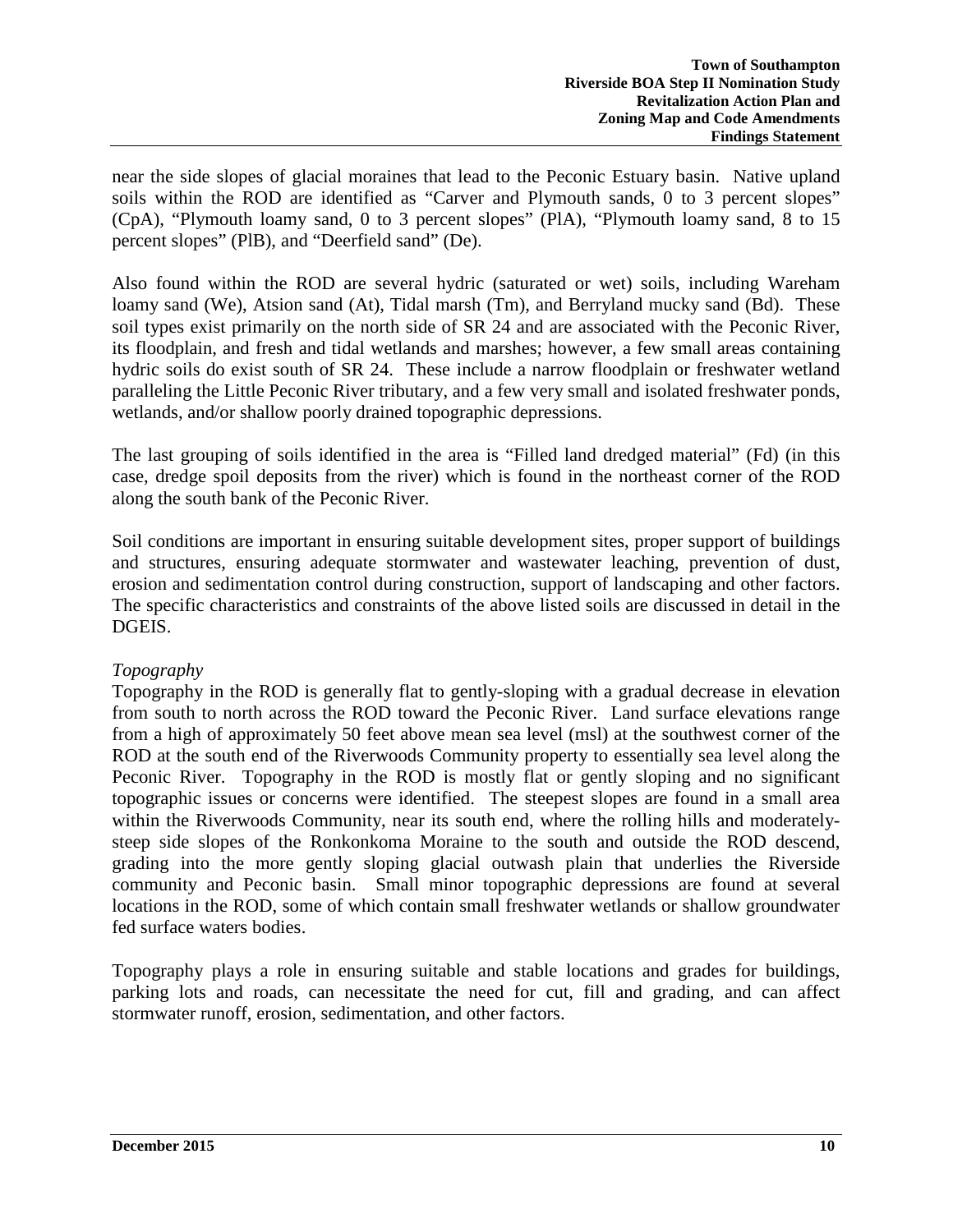near the side slopes of glacial moraines that lead to the Peconic Estuary basin. Native upland soils within the ROD are identified as "Carver and Plymouth sands, 0 to 3 percent slopes" (CpA), "Plymouth loamy sand, 0 to 3 percent slopes" (PlA), "Plymouth loamy sand, 8 to 15 percent slopes" (PlB), and "Deerfield sand" (De).

Also found within the ROD are several hydric (saturated or wet) soils, including Wareham loamy sand (We), Atsion sand (At), Tidal marsh (Tm), and Berryland mucky sand (Bd). These soil types exist primarily on the north side of SR 24 and are associated with the Peconic River, its floodplain, and fresh and tidal wetlands and marshes; however, a few small areas containing hydric soils do exist south of SR 24. These include a narrow floodplain or freshwater wetland paralleling the Little Peconic River tributary, and a few very small and isolated freshwater ponds, wetlands, and/or shallow poorly drained topographic depressions.

The last grouping of soils identified in the area is "Filled land dredged material" (Fd) (in this case, dredge spoil deposits from the river) which is found in the northeast corner of the ROD along the south bank of the Peconic River.

Soil conditions are important in ensuring suitable development sites, proper support of buildings and structures, ensuring adequate stormwater and wastewater leaching, prevention of dust, erosion and sedimentation control during construction, support of landscaping and other factors. The specific characteristics and constraints of the above listed soils are discussed in detail in the DGEIS.

### *Topography*

Topography in the ROD is generally flat to gently-sloping with a gradual decrease in elevation from south to north across the ROD toward the Peconic River. Land surface elevations range from a high of approximately 50 feet above mean sea level (msl) at the southwest corner of the ROD at the south end of the Riverwoods Community property to essentially sea level along the Peconic River. Topography in the ROD is mostly flat or gently sloping and no significant topographic issues or concerns were identified. The steepest slopes are found in a small area within the Riverwoods Community, near its south end, where the rolling hills and moderatelysteep side slopes of the Ronkonkoma Moraine to the south and outside the ROD descend, grading into the more gently sloping glacial outwash plain that underlies the Riverside community and Peconic basin. Small minor topographic depressions are found at several locations in the ROD, some of which contain small freshwater wetlands or shallow groundwater fed surface waters bodies.

Topography plays a role in ensuring suitable and stable locations and grades for buildings, parking lots and roads, can necessitate the need for cut, fill and grading, and can affect stormwater runoff, erosion, sedimentation, and other factors.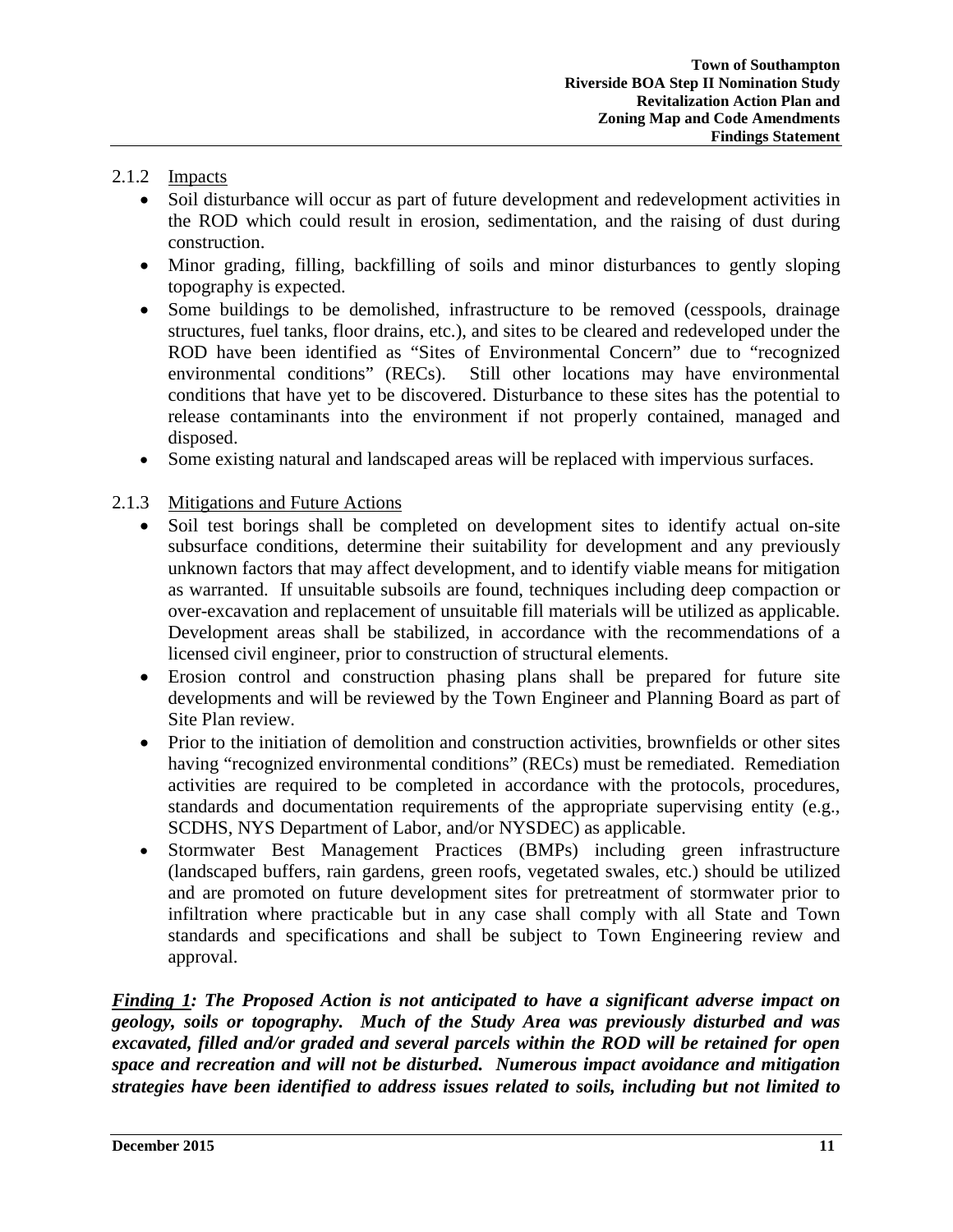### 2.1.2 Impacts

- Soil disturbance will occur as part of future development and redevelopment activities in the ROD which could result in erosion, sedimentation, and the raising of dust during construction.
- Minor grading, filling, backfilling of soils and minor disturbances to gently sloping topography is expected.
- Some buildings to be demolished, infrastructure to be removed (cesspools, drainage structures, fuel tanks, floor drains, etc.), and sites to be cleared and redeveloped under the ROD have been identified as "Sites of Environmental Concern" due to "recognized environmental conditions" (RECs). Still other locations may have environmental conditions that have yet to be discovered. Disturbance to these sites has the potential to release contaminants into the environment if not properly contained, managed and disposed.
- Some existing natural and landscaped areas will be replaced with impervious surfaces.

### 2.1.3 Mitigations and Future Actions

- Soil test borings shall be completed on development sites to identify actual on-site subsurface conditions, determine their suitability for development and any previously unknown factors that may affect development, and to identify viable means for mitigation as warranted. If unsuitable subsoils are found, techniques including deep compaction or over-excavation and replacement of unsuitable fill materials will be utilized as applicable. Development areas shall be stabilized, in accordance with the recommendations of a licensed civil engineer, prior to construction of structural elements.
- Erosion control and construction phasing plans shall be prepared for future site developments and will be reviewed by the Town Engineer and Planning Board as part of Site Plan review.
- Prior to the initiation of demolition and construction activities, brownfields or other sites having "recognized environmental conditions" (RECs) must be remediated. Remediation activities are required to be completed in accordance with the protocols, procedures, standards and documentation requirements of the appropriate supervising entity (e.g., SCDHS, NYS Department of Labor, and/or NYSDEC) as applicable.
- Stormwater Best Management Practices (BMPs) including green infrastructure (landscaped buffers, rain gardens, green roofs, vegetated swales, etc.) should be utilized and are promoted on future development sites for pretreatment of stormwater prior to infiltration where practicable but in any case shall comply with all State and Town standards and specifications and shall be subject to Town Engineering review and approval.

*Finding 1: The Proposed Action is not anticipated to have a significant adverse impact on geology, soils or topography. Much of the Study Area was previously disturbed and was excavated, filled and/or graded and several parcels within the ROD will be retained for open space and recreation and will not be disturbed. Numerous impact avoidance and mitigation strategies have been identified to address issues related to soils, including but not limited to*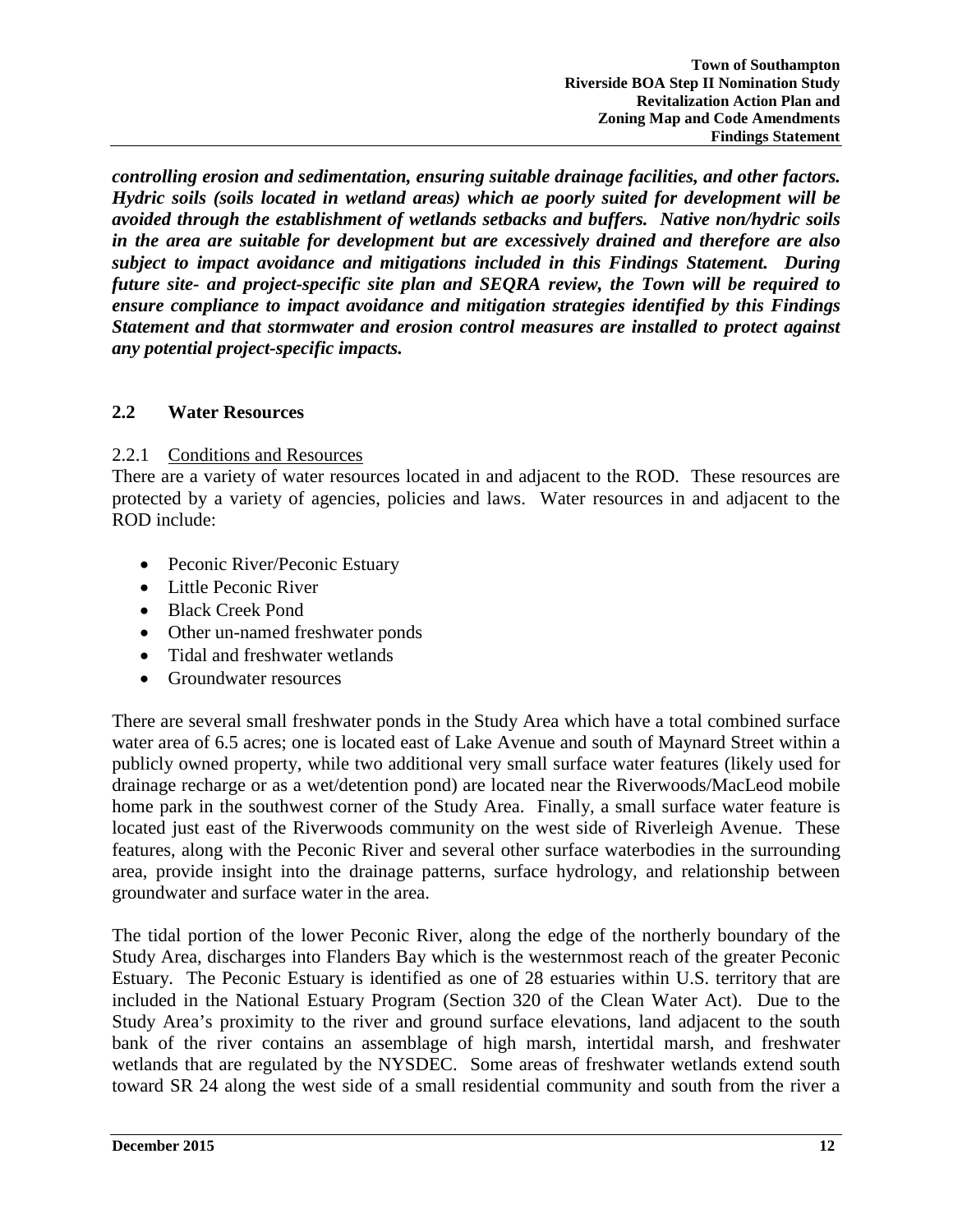*controlling erosion and sedimentation, ensuring suitable drainage facilities, and other factors. Hydric soils (soils located in wetland areas) which ae poorly suited for development will be avoided through the establishment of wetlands setbacks and buffers. Native non/hydric soils in the area are suitable for development but are excessively drained and therefore are also subject to impact avoidance and mitigations included in this Findings Statement. During future site- and project-specific site plan and SEQRA review, the Town will be required to ensure compliance to impact avoidance and mitigation strategies identified by this Findings Statement and that stormwater and erosion control measures are installed to protect against any potential project-specific impacts.*

### **2.2 Water Resources**

### 2.2.1 Conditions and Resources

There are a variety of water resources located in and adjacent to the ROD. These resources are protected by a variety of agencies, policies and laws. Water resources in and adjacent to the ROD include:

- Peconic River/Peconic Estuary
- Little Peconic River
- Black Creek Pond
- Other un-named freshwater ponds
- Tidal and freshwater wetlands
- Groundwater resources

There are several small freshwater ponds in the Study Area which have a total combined surface water area of 6.5 acres; one is located east of Lake Avenue and south of Maynard Street within a publicly owned property, while two additional very small surface water features (likely used for drainage recharge or as a wet/detention pond) are located near the Riverwoods/MacLeod mobile home park in the southwest corner of the Study Area. Finally, a small surface water feature is located just east of the Riverwoods community on the west side of Riverleigh Avenue. These features, along with the Peconic River and several other surface waterbodies in the surrounding area, provide insight into the drainage patterns, surface hydrology, and relationship between groundwater and surface water in the area.

The tidal portion of the lower Peconic River, along the edge of the northerly boundary of the Study Area, discharges into Flanders Bay which is the westernmost reach of the greater Peconic Estuary. The Peconic Estuary is identified as one of 28 estuaries within U.S. territory that are included in the National Estuary Program (Section 320 of the Clean Water Act). Due to the Study Area's proximity to the river and ground surface elevations, land adjacent to the south bank of the river contains an assemblage of high marsh, intertidal marsh, and freshwater wetlands that are regulated by the NYSDEC. Some areas of freshwater wetlands extend south toward SR 24 along the west side of a small residential community and south from the river a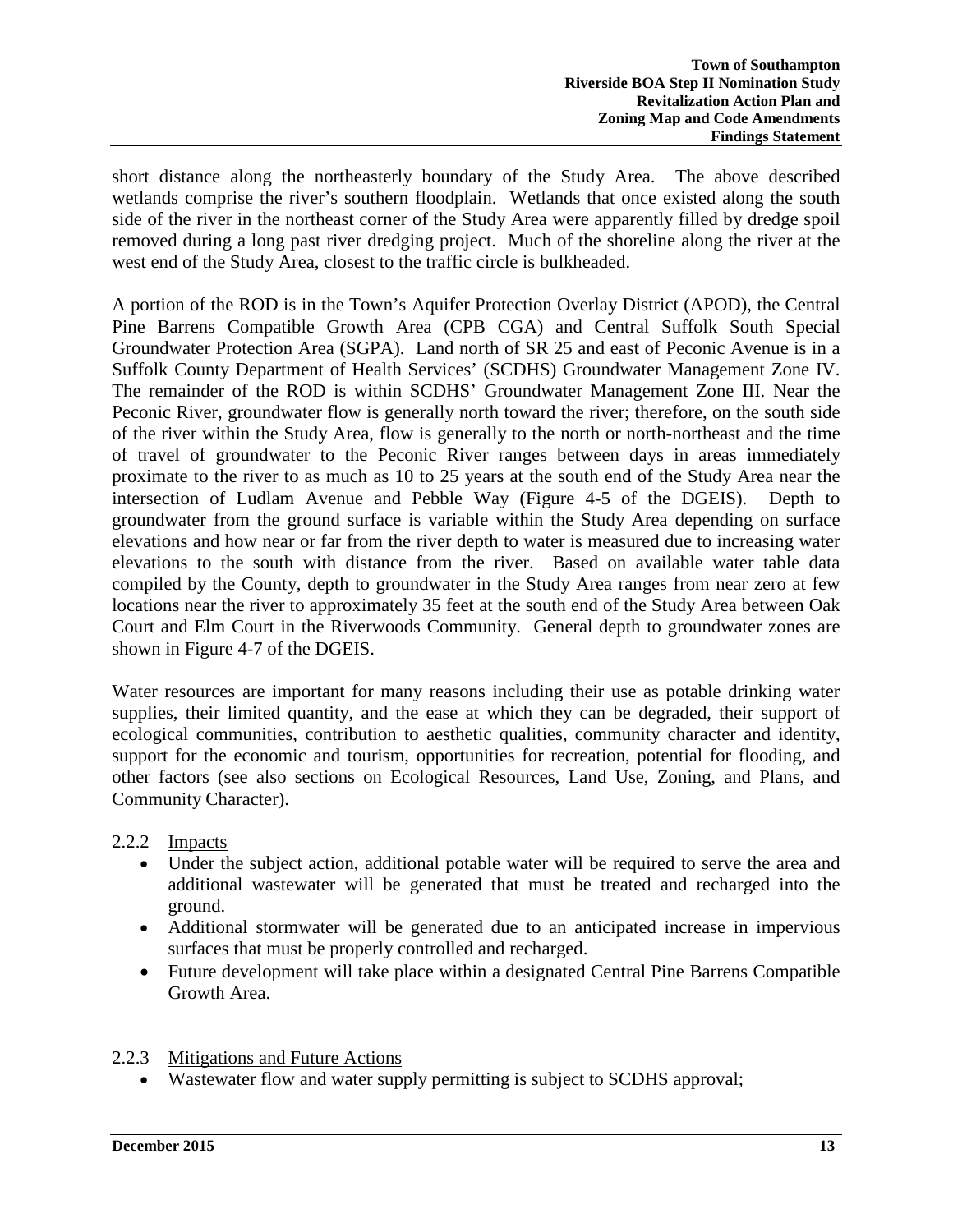short distance along the northeasterly boundary of the Study Area. The above described wetlands comprise the river's southern floodplain. Wetlands that once existed along the south side of the river in the northeast corner of the Study Area were apparently filled by dredge spoil removed during a long past river dredging project. Much of the shoreline along the river at the west end of the Study Area, closest to the traffic circle is bulkheaded.

A portion of the ROD is in the Town's Aquifer Protection Overlay District (APOD), the Central Pine Barrens Compatible Growth Area (CPB CGA) and Central Suffolk South Special Groundwater Protection Area (SGPA). Land north of SR 25 and east of Peconic Avenue is in a Suffolk County Department of Health Services' (SCDHS) Groundwater Management Zone IV. The remainder of the ROD is within SCDHS' Groundwater Management Zone III. Near the Peconic River, groundwater flow is generally north toward the river; therefore, on the south side of the river within the Study Area, flow is generally to the north or north-northeast and the time of travel of groundwater to the Peconic River ranges between days in areas immediately proximate to the river to as much as 10 to 25 years at the south end of the Study Area near the intersection of Ludlam Avenue and Pebble Way (Figure 4-5 of the DGEIS). Depth to groundwater from the ground surface is variable within the Study Area depending on surface elevations and how near or far from the river depth to water is measured due to increasing water elevations to the south with distance from the river. Based on available water table data compiled by the County, depth to groundwater in the Study Area ranges from near zero at few locations near the river to approximately 35 feet at the south end of the Study Area between Oak Court and Elm Court in the Riverwoods Community. General depth to groundwater zones are shown in Figure 4-7 of the DGEIS.

Water resources are important for many reasons including their use as potable drinking water supplies, their limited quantity, and the ease at which they can be degraded, their support of ecological communities, contribution to aesthetic qualities, community character and identity, support for the economic and tourism, opportunities for recreation, potential for flooding, and other factors (see also sections on Ecological Resources, Land Use, Zoning, and Plans, and Community Character).

2.2.2 Impacts

- Under the subject action, additional potable water will be required to serve the area and additional wastewater will be generated that must be treated and recharged into the ground.
- Additional stormwater will be generated due to an anticipated increase in impervious surfaces that must be properly controlled and recharged.
- Future development will take place within a designated Central Pine Barrens Compatible Growth Area.

# 2.2.3 Mitigations and Future Actions

• Wastewater flow and water supply permitting is subject to SCDHS approval;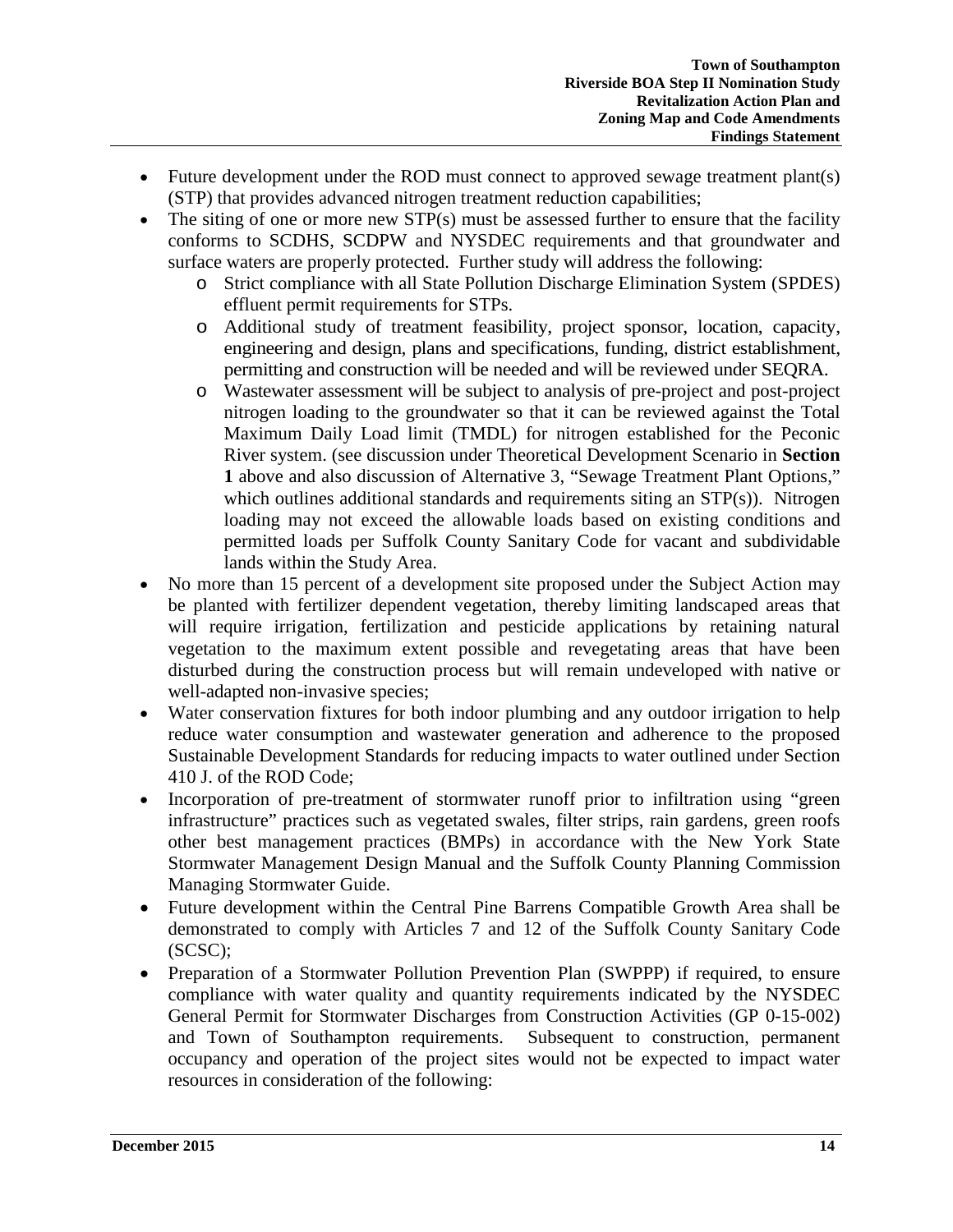- Future development under the ROD must connect to approved sewage treatment plant(s) (STP) that provides advanced nitrogen treatment reduction capabilities;
- The siting of one or more new STP(s) must be assessed further to ensure that the facility conforms to SCDHS, SCDPW and NYSDEC requirements and that groundwater and surface waters are properly protected. Further study will address the following:
	- o Strict compliance with all State Pollution Discharge Elimination System (SPDES) effluent permit requirements for STPs.
	- o Additional study of treatment feasibility, project sponsor, location, capacity, engineering and design, plans and specifications, funding, district establishment, permitting and construction will be needed and will be reviewed under SEQRA.
	- o Wastewater assessment will be subject to analysis of pre-project and post-project nitrogen loading to the groundwater so that it can be reviewed against the Total Maximum Daily Load limit (TMDL) for nitrogen established for the Peconic River system. (see discussion under Theoretical Development Scenario in **Section 1** above and also discussion of Alternative 3, "Sewage Treatment Plant Options," which outlines additional standards and requirements siting an STP(s)). Nitrogen loading may not exceed the allowable loads based on existing conditions and permitted loads per Suffolk County Sanitary Code for vacant and subdividable lands within the Study Area.
- No more than 15 percent of a development site proposed under the Subject Action may be planted with fertilizer dependent vegetation, thereby limiting landscaped areas that will require irrigation, fertilization and pesticide applications by retaining natural vegetation to the maximum extent possible and revegetating areas that have been disturbed during the construction process but will remain undeveloped with native or well-adapted non-invasive species;
- Water conservation fixtures for both indoor plumbing and any outdoor irrigation to help reduce water consumption and wastewater generation and adherence to the proposed Sustainable Development Standards for reducing impacts to water outlined under Section 410 J. of the ROD Code;
- Incorporation of pre-treatment of stormwater runoff prior to infiltration using "green infrastructure" practices such as vegetated swales, filter strips, rain gardens, green roofs other best management practices (BMPs) in accordance with the New York State Stormwater Management Design Manual and the Suffolk County Planning Commission Managing Stormwater Guide.
- Future development within the Central Pine Barrens Compatible Growth Area shall be demonstrated to comply with Articles 7 and 12 of the Suffolk County Sanitary Code (SCSC);
- Preparation of a Stormwater Pollution Prevention Plan (SWPPP) if required, to ensure compliance with water quality and quantity requirements indicated by the NYSDEC General Permit for Stormwater Discharges from Construction Activities (GP 0-15-002) and Town of Southampton requirements. Subsequent to construction, permanent occupancy and operation of the project sites would not be expected to impact water resources in consideration of the following: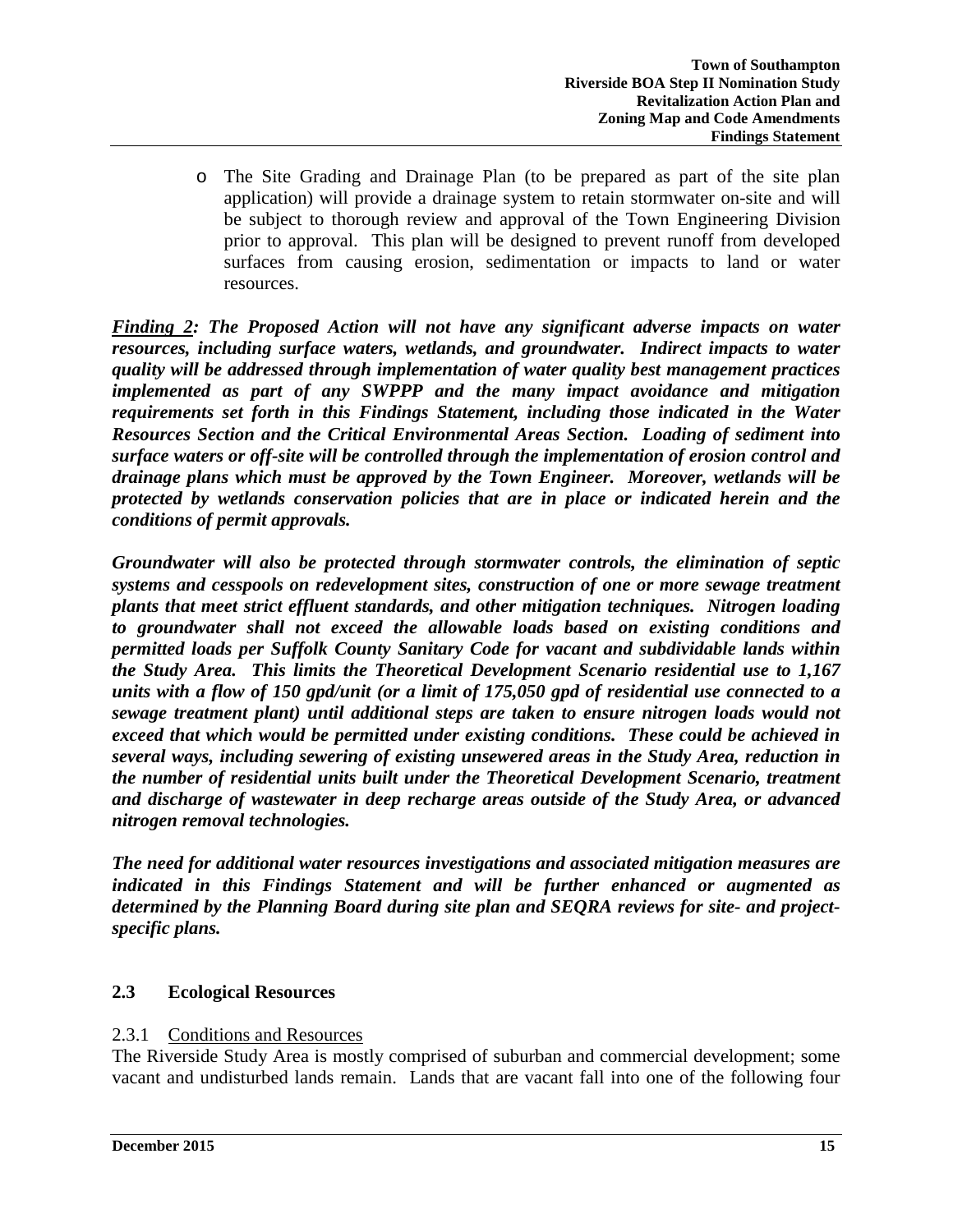o The Site Grading and Drainage Plan (to be prepared as part of the site plan application) will provide a drainage system to retain stormwater on-site and will be subject to thorough review and approval of the Town Engineering Division prior to approval. This plan will be designed to prevent runoff from developed surfaces from causing erosion, sedimentation or impacts to land or water resources.

*Finding 2: The Proposed Action will not have any significant adverse impacts on water resources, including surface waters, wetlands, and groundwater. Indirect impacts to water quality will be addressed through implementation of water quality best management practices implemented as part of any SWPPP and the many impact avoidance and mitigation requirements set forth in this Findings Statement, including those indicated in the Water Resources Section and the Critical Environmental Areas Section. Loading of sediment into surface waters or off-site will be controlled through the implementation of erosion control and drainage plans which must be approved by the Town Engineer. Moreover, wetlands will be protected by wetlands conservation policies that are in place or indicated herein and the conditions of permit approvals.* 

*Groundwater will also be protected through stormwater controls, the elimination of septic systems and cesspools on redevelopment sites, construction of one or more sewage treatment plants that meet strict effluent standards, and other mitigation techniques. Nitrogen loading to groundwater shall not exceed the allowable loads based on existing conditions and permitted loads per Suffolk County Sanitary Code for vacant and subdividable lands within the Study Area. This limits the Theoretical Development Scenario residential use to 1,167 units with a flow of 150 gpd/unit (or a limit of 175,050 gpd of residential use connected to a sewage treatment plant) until additional steps are taken to ensure nitrogen loads would not exceed that which would be permitted under existing conditions. These could be achieved in several ways, including sewering of existing unsewered areas in the Study Area, reduction in the number of residential units built under the Theoretical Development Scenario, treatment and discharge of wastewater in deep recharge areas outside of the Study Area, or advanced nitrogen removal technologies.*

*The need for additional water resources investigations and associated mitigation measures are indicated in this Findings Statement and will be further enhanced or augmented as determined by the Planning Board during site plan and SEQRA reviews for site- and projectspecific plans.*

# **2.3 Ecological Resources**

### 2.3.1 Conditions and Resources

The Riverside Study Area is mostly comprised of suburban and commercial development; some vacant and undisturbed lands remain. Lands that are vacant fall into one of the following four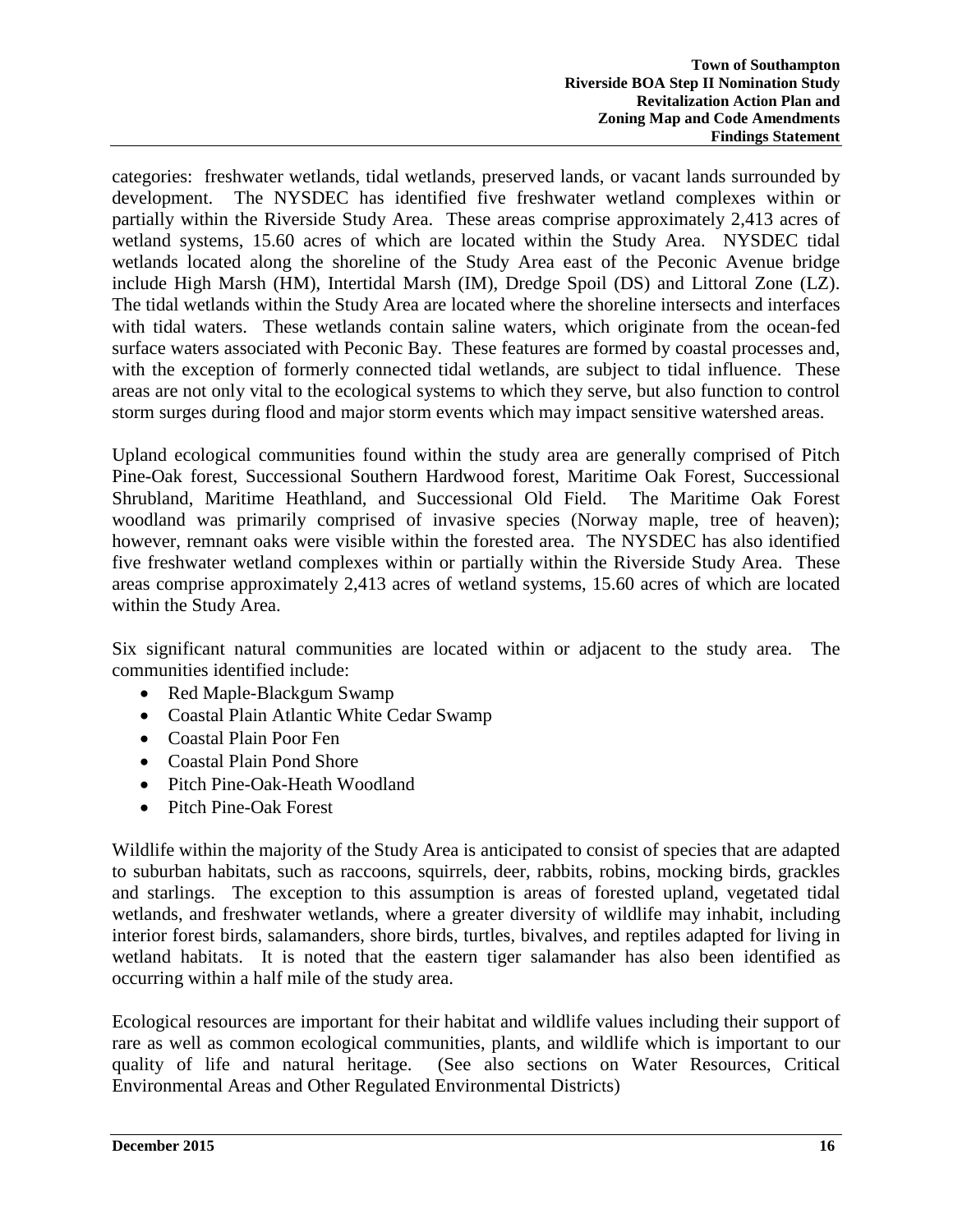categories: freshwater wetlands, tidal wetlands, preserved lands, or vacant lands surrounded by development. The NYSDEC has identified five freshwater wetland complexes within or partially within the Riverside Study Area. These areas comprise approximately 2,413 acres of wetland systems, 15.60 acres of which are located within the Study Area. NYSDEC tidal wetlands located along the shoreline of the Study Area east of the Peconic Avenue bridge include High Marsh (HM), Intertidal Marsh (IM), Dredge Spoil (DS) and Littoral Zone (LZ). The tidal wetlands within the Study Area are located where the shoreline intersects and interfaces with tidal waters. These wetlands contain saline waters, which originate from the ocean-fed surface waters associated with Peconic Bay. These features are formed by coastal processes and, with the exception of formerly connected tidal wetlands, are subject to tidal influence. These areas are not only vital to the ecological systems to which they serve, but also function to control storm surges during flood and major storm events which may impact sensitive watershed areas.

Upland ecological communities found within the study area are generally comprised of Pitch Pine-Oak forest, Successional Southern Hardwood forest, Maritime Oak Forest, Successional Shrubland, Maritime Heathland, and Successional Old Field. The Maritime Oak Forest woodland was primarily comprised of invasive species (Norway maple, tree of heaven); however, remnant oaks were visible within the forested area. The NYSDEC has also identified five freshwater wetland complexes within or partially within the Riverside Study Area. These areas comprise approximately 2,413 acres of wetland systems, 15.60 acres of which are located within the Study Area.

Six significant natural communities are located within or adjacent to the study area. The communities identified include:

- Red Maple-Blackgum Swamp
- Coastal Plain Atlantic White Cedar Swamp
- Coastal Plain Poor Fen
- Coastal Plain Pond Shore
- Pitch Pine-Oak-Heath Woodland
- Pitch Pine-Oak Forest

Wildlife within the majority of the Study Area is anticipated to consist of species that are adapted to suburban habitats, such as raccoons, squirrels, deer, rabbits, robins, mocking birds, grackles and starlings. The exception to this assumption is areas of forested upland, vegetated tidal wetlands, and freshwater wetlands, where a greater diversity of wildlife may inhabit, including interior forest birds, salamanders, shore birds, turtles, bivalves, and reptiles adapted for living in wetland habitats. It is noted that the eastern tiger salamander has also been identified as occurring within a half mile of the study area.

Ecological resources are important for their habitat and wildlife values including their support of rare as well as common ecological communities, plants, and wildlife which is important to our quality of life and natural heritage. (See also sections on Water Resources, Critical Environmental Areas and Other Regulated Environmental Districts)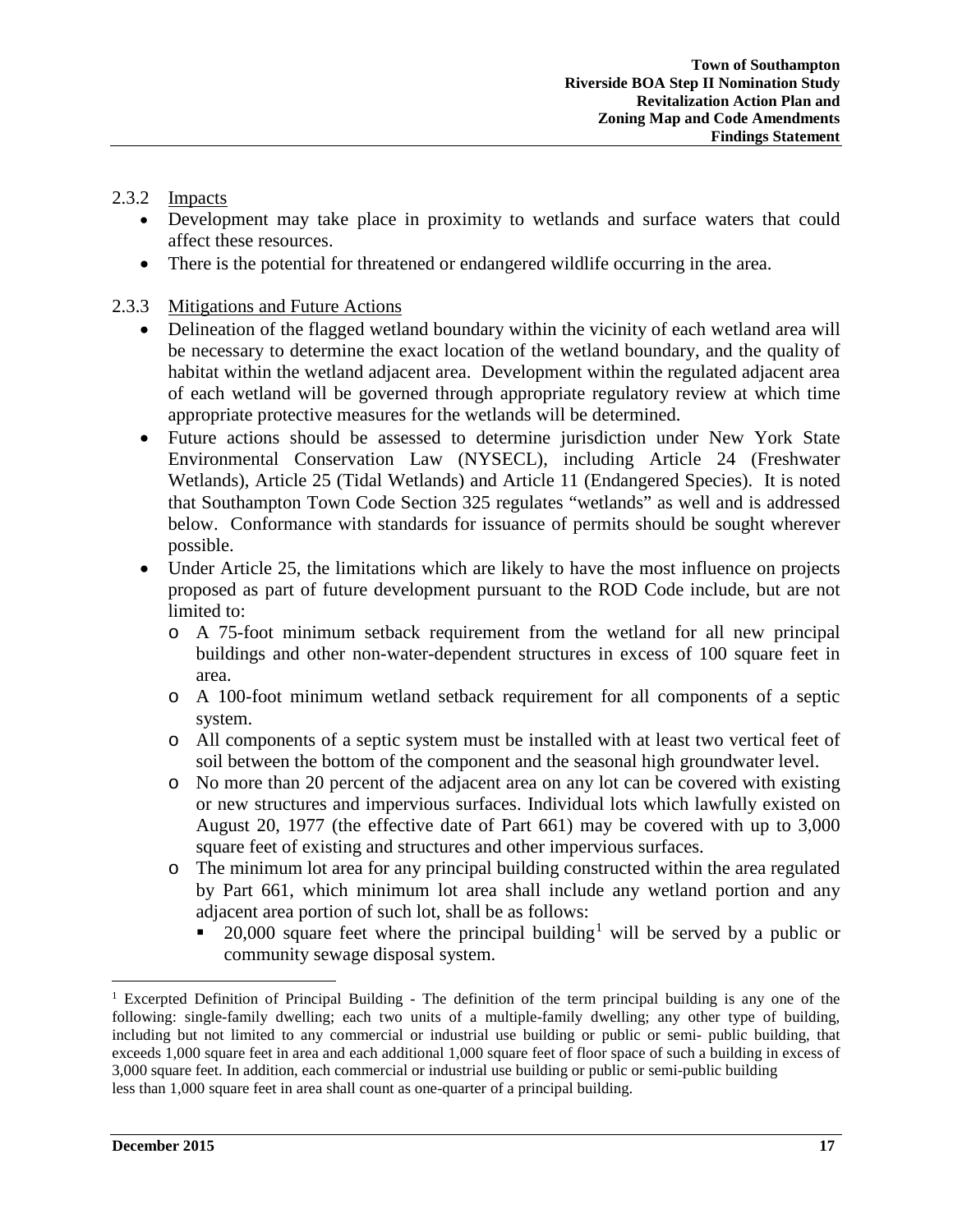### 2.3.2 Impacts

- Development may take place in proximity to wetlands and surface waters that could affect these resources.
- There is the potential for threatened or endangered wildlife occurring in the area.

### 2.3.3 Mitigations and Future Actions

- Delineation of the flagged wetland boundary within the vicinity of each wetland area will be necessary to determine the exact location of the wetland boundary, and the quality of habitat within the wetland adjacent area. Development within the regulated adjacent area of each wetland will be governed through appropriate regulatory review at which time appropriate protective measures for the wetlands will be determined.
- Future actions should be assessed to determine jurisdiction under New York State Environmental Conservation Law (NYSECL), including Article 24 (Freshwater Wetlands), Article 25 (Tidal Wetlands) and Article 11 (Endangered Species). It is noted that Southampton Town Code Section 325 regulates "wetlands" as well and is addressed below. Conformance with standards for issuance of permits should be sought wherever possible.
- Under Article 25, the limitations which are likely to have the most influence on projects proposed as part of future development pursuant to the ROD Code include, but are not limited to:
	- o A 75-foot minimum setback requirement from the wetland for all new principal buildings and other non-water-dependent structures in excess of 100 square feet in area.
	- o A 100-foot minimum wetland setback requirement for all components of a septic system.
	- o All components of a septic system must be installed with at least two vertical feet of soil between the bottom of the component and the seasonal high groundwater level.
	- o No more than 20 percent of the adjacent area on any lot can be covered with existing or new structures and impervious surfaces. Individual lots which lawfully existed on August 20, 1977 (the effective date of Part 661) may be covered with up to 3,000 square feet of existing and structures and other impervious surfaces.
	- o The minimum lot area for any principal building constructed within the area regulated by Part 661, which minimum lot area shall include any wetland portion and any adjacent area portion of such lot, shall be as follows:
		- 20,000 square feet where the principal building<sup>[1](#page-16-0)</sup> will be served by a public or community sewage disposal system.

<span id="page-16-0"></span><sup>&</sup>lt;sup>1</sup> Excerpted Definition of Principal Building - The definition of the term principal building is any one of the following: single-family dwelling; each two units of a multiple-family dwelling; any other type of building, including but not limited to any commercial or industrial use building or public or semi- public building, that exceeds 1,000 square feet in area and each additional 1,000 square feet of floor space of such a building in excess of 3,000 square feet. In addition, each commercial or industrial use building or public or semi-public building less than 1,000 square feet in area shall count as one-quarter of a principal building.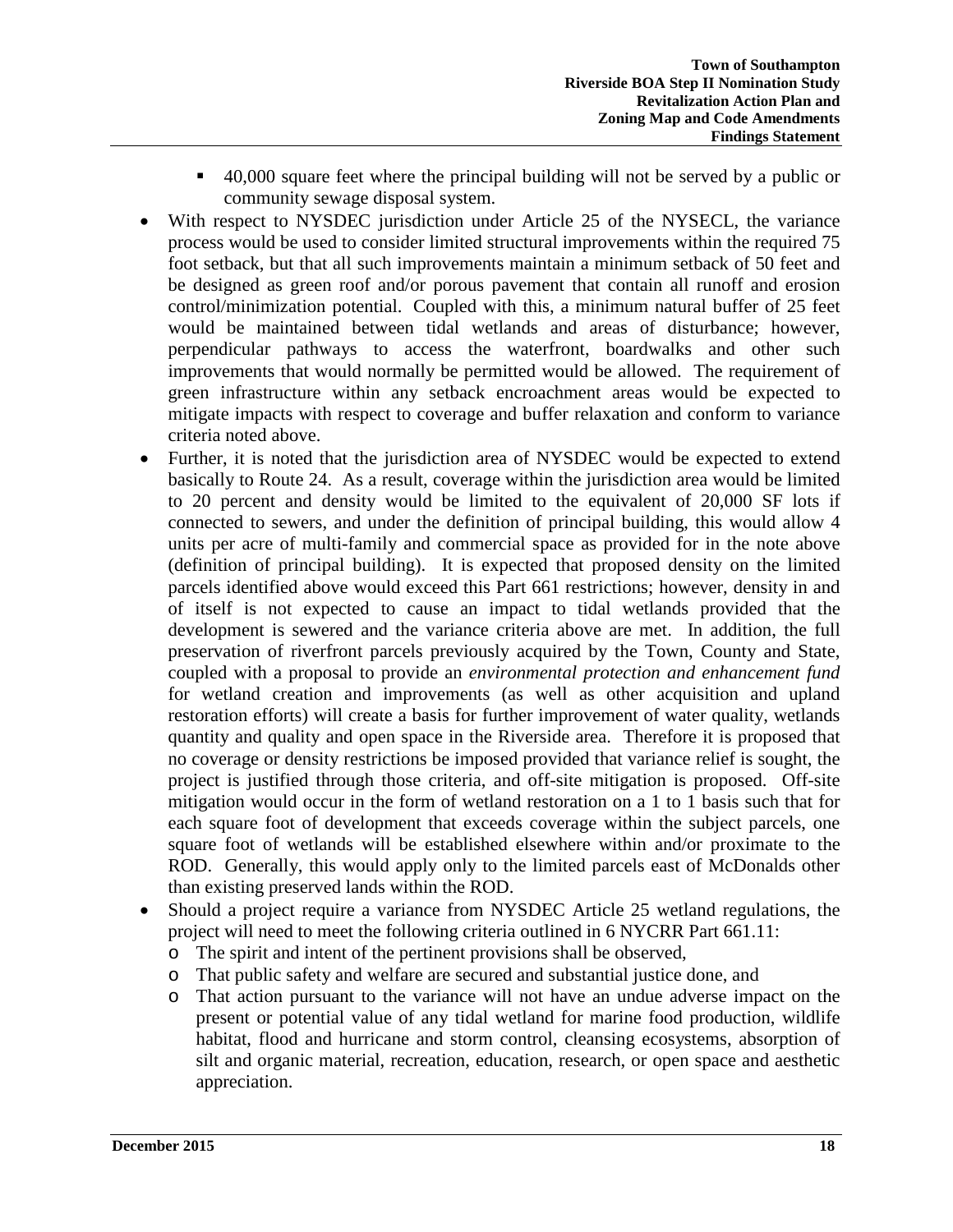- 40,000 square feet where the principal building will not be served by a public or community sewage disposal system.
- With respect to NYSDEC jurisdiction under Article 25 of the NYSECL, the variance process would be used to consider limited structural improvements within the required 75 foot setback, but that all such improvements maintain a minimum setback of 50 feet and be designed as green roof and/or porous pavement that contain all runoff and erosion control/minimization potential. Coupled with this, a minimum natural buffer of 25 feet would be maintained between tidal wetlands and areas of disturbance; however, perpendicular pathways to access the waterfront, boardwalks and other such improvements that would normally be permitted would be allowed. The requirement of green infrastructure within any setback encroachment areas would be expected to mitigate impacts with respect to coverage and buffer relaxation and conform to variance criteria noted above.
- Further, it is noted that the jurisdiction area of NYSDEC would be expected to extend basically to Route 24. As a result, coverage within the jurisdiction area would be limited to 20 percent and density would be limited to the equivalent of 20,000 SF lots if connected to sewers, and under the definition of principal building, this would allow 4 units per acre of multi-family and commercial space as provided for in the note above (definition of principal building). It is expected that proposed density on the limited parcels identified above would exceed this Part 661 restrictions; however, density in and of itself is not expected to cause an impact to tidal wetlands provided that the development is sewered and the variance criteria above are met. In addition, the full preservation of riverfront parcels previously acquired by the Town, County and State, coupled with a proposal to provide an *environmental protection and enhancement fund* for wetland creation and improvements (as well as other acquisition and upland restoration efforts) will create a basis for further improvement of water quality, wetlands quantity and quality and open space in the Riverside area. Therefore it is proposed that no coverage or density restrictions be imposed provided that variance relief is sought, the project is justified through those criteria, and off-site mitigation is proposed. Off-site mitigation would occur in the form of wetland restoration on a 1 to 1 basis such that for each square foot of development that exceeds coverage within the subject parcels, one square foot of wetlands will be established elsewhere within and/or proximate to the ROD. Generally, this would apply only to the limited parcels east of McDonalds other than existing preserved lands within the ROD.
- Should a project require a variance from NYSDEC Article 25 wetland regulations, the project will need to meet the following criteria outlined in 6 NYCRR Part 661.11:
	- o The spirit and intent of the pertinent provisions shall be observed,
	- o That public safety and welfare are secured and substantial justice done, and
	- o That action pursuant to the variance will not have an undue adverse impact on the present or potential value of any tidal wetland for marine food production, wildlife habitat, flood and hurricane and storm control, cleansing ecosystems, absorption of silt and organic material, recreation, education, research, or open space and aesthetic appreciation.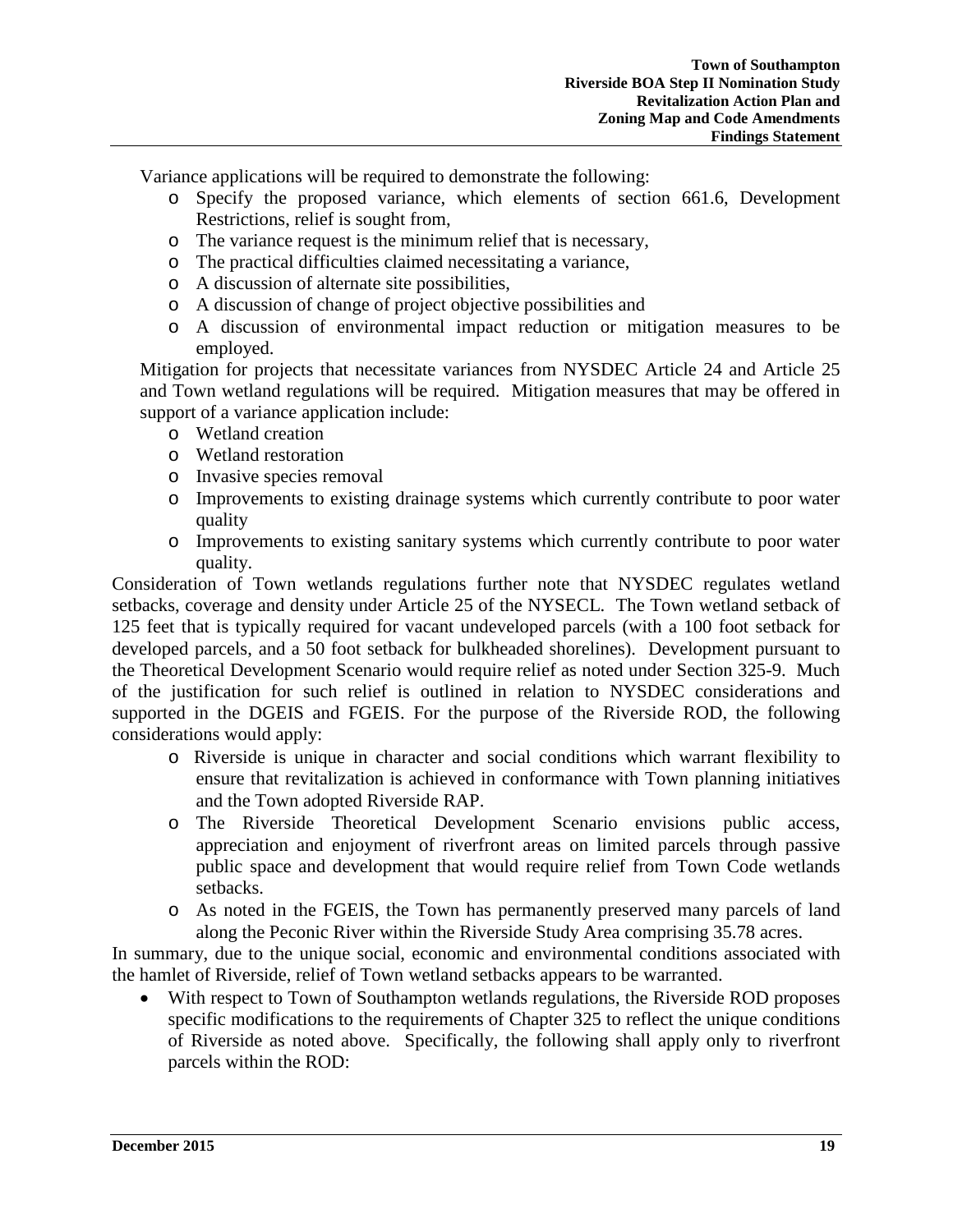Variance applications will be required to demonstrate the following:

- o Specify the proposed variance, which elements of section 661.6, Development Restrictions, relief is sought from,
- o The variance request is the minimum relief that is necessary,
- o The practical difficulties claimed necessitating a variance,
- o A discussion of alternate site possibilities,
- o A discussion of change of project objective possibilities and
- o A discussion of environmental impact reduction or mitigation measures to be employed.

Mitigation for projects that necessitate variances from NYSDEC Article 24 and Article 25 and Town wetland regulations will be required. Mitigation measures that may be offered in support of a variance application include:

- o Wetland creation
- o Wetland restoration
- o Invasive species removal
- o Improvements to existing drainage systems which currently contribute to poor water quality
- o Improvements to existing sanitary systems which currently contribute to poor water quality.

Consideration of Town wetlands regulations further note that NYSDEC regulates wetland setbacks, coverage and density under Article 25 of the NYSECL. The Town wetland setback of 125 feet that is typically required for vacant undeveloped parcels (with a 100 foot setback for developed parcels, and a 50 foot setback for bulkheaded shorelines). Development pursuant to the Theoretical Development Scenario would require relief as noted under Section 325-9. Much of the justification for such relief is outlined in relation to NYSDEC considerations and supported in the DGEIS and FGEIS. For the purpose of the Riverside ROD, the following considerations would apply:

- o Riverside is unique in character and social conditions which warrant flexibility to ensure that revitalization is achieved in conformance with Town planning initiatives and the Town adopted Riverside RAP.
- o The Riverside Theoretical Development Scenario envisions public access, appreciation and enjoyment of riverfront areas on limited parcels through passive public space and development that would require relief from Town Code wetlands setbacks.
- o As noted in the FGEIS, the Town has permanently preserved many parcels of land along the Peconic River within the Riverside Study Area comprising 35.78 acres.

In summary, due to the unique social, economic and environmental conditions associated with the hamlet of Riverside, relief of Town wetland setbacks appears to be warranted.

With respect to Town of Southampton wetlands regulations, the Riverside ROD proposes specific modifications to the requirements of Chapter 325 to reflect the unique conditions of Riverside as noted above. Specifically, the following shall apply only to riverfront parcels within the ROD: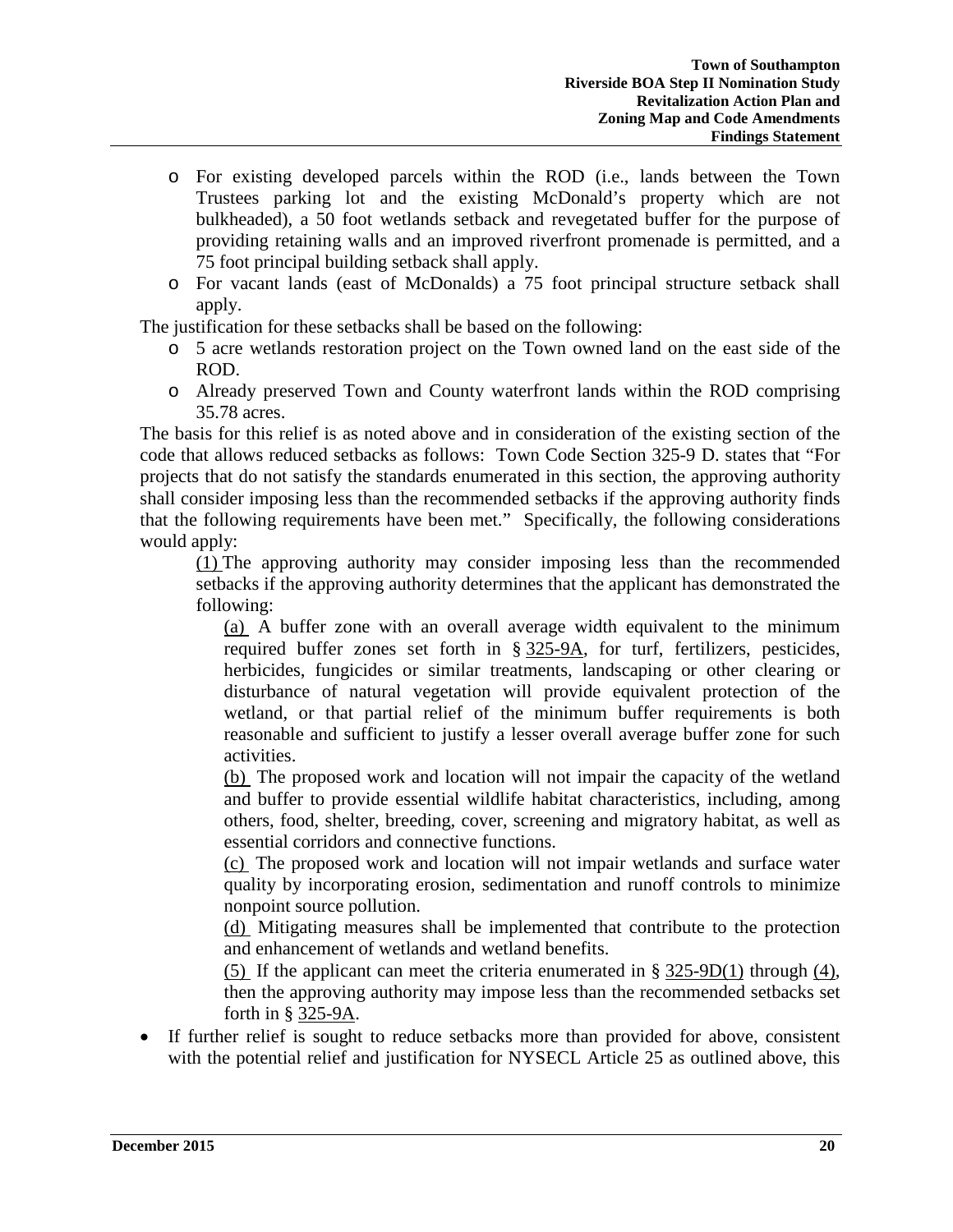- o For existing developed parcels within the ROD (i.e., lands between the Town Trustees parking lot and the existing McDonald's property which are not bulkheaded), a 50 foot wetlands setback and revegetated buffer for the purpose of providing retaining walls and an improved riverfront promenade is permitted, and a 75 foot principal building setback shall apply.
- o For vacant lands (east of McDonalds) a 75 foot principal structure setback shall apply.

The justification for these setbacks shall be based on the following:

- o 5 acre wetlands restoration project on the Town owned land on the east side of the ROD.
- o Already preserved Town and County waterfront lands within the ROD comprising 35.78 acres.

The basis for this relief is as noted above and in consideration of the existing section of the code that allows reduced setbacks as follows: Town Code Section 325-9 D. states that "For projects that do not satisfy the standards enumerated in this section, the approving authority shall consider imposing less than the recommended setbacks if the approving authority finds that the following requirements have been met." Specifically, the following considerations would apply:

[\(1\)](http://ecode360.com/8700188#8700188) The approving authority may consider imposing less than the recommended setbacks if the approving authority determines that the applicant has demonstrated the following:

[\(a\)](http://ecode360.com/8700189#8700189) A buffer zone with an overall average width equivalent to the minimum required buffer zones set forth in § [325-9A,](http://ecode360.com/8700177#8700177) for turf, fertilizers, pesticides, herbicides, fungicides or similar treatments, landscaping or other clearing or disturbance of natural vegetation will provide equivalent protection of the wetland, or that partial relief of the minimum buffer requirements is both reasonable and sufficient to justify a lesser overall average buffer zone for such activities.

[\(b\)](http://ecode360.com/8700190#8700190) The proposed work and location will not impair the capacity of the wetland and buffer to provide essential wildlife habitat characteristics, including, among others, food, shelter, breeding, cover, screening and migratory habitat, as well as essential corridors and connective functions.

[\(c\)](http://ecode360.com/8700191#8700191) The proposed work and location will not impair wetlands and surface water quality by incorporating erosion, sedimentation and runoff controls to minimize nonpoint source pollution.

[\(d\)](http://ecode360.com/8700192#8700192) Mitigating measures shall be implemented that contribute to the protection and enhancement of wetlands and wetland benefits.

[\(5\)](http://ecode360.com/8700193#8700193) If the applicant can meet the criteria enumerated in § [325-9D\(1\)](http://ecode360.com/8700185#8700185) through [\(4\),](http://ecode360.com/8700188#8700188) then the approving authority may impose less than the recommended setbacks set forth in § [325-9A.](http://ecode360.com/8700177#8700177)

• If further relief is sought to reduce setbacks more than provided for above, consistent with the potential relief and justification for NYSECL Article 25 as outlined above, this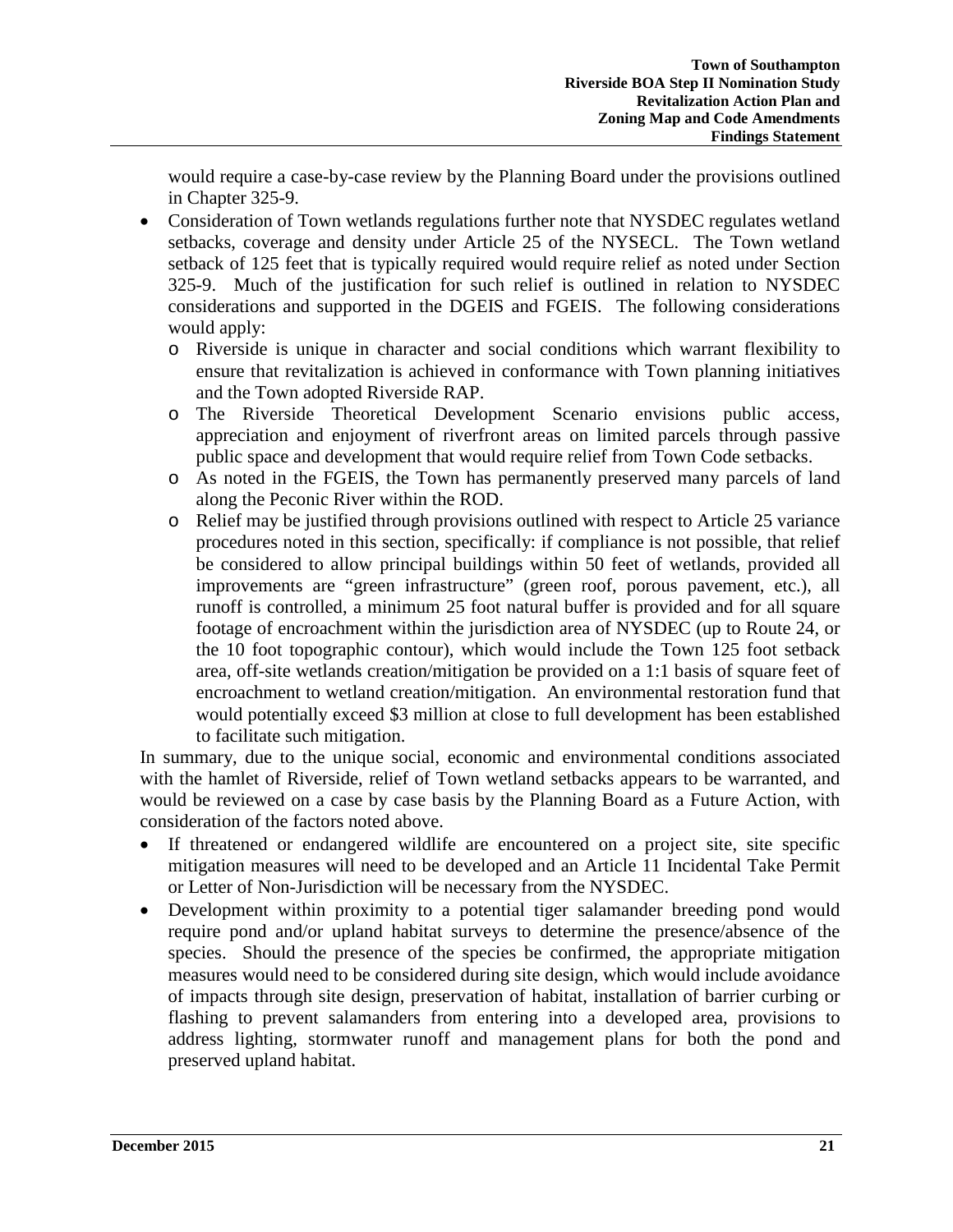would require a case-by-case review by the Planning Board under the provisions outlined in Chapter 325-9.

- Consideration of Town wetlands regulations further note that NYSDEC regulates wetland setbacks, coverage and density under Article 25 of the NYSECL. The Town wetland setback of 125 feet that is typically required would require relief as noted under Section 325-9. Much of the justification for such relief is outlined in relation to NYSDEC considerations and supported in the DGEIS and FGEIS. The following considerations would apply:
	- o Riverside is unique in character and social conditions which warrant flexibility to ensure that revitalization is achieved in conformance with Town planning initiatives and the Town adopted Riverside RAP.
	- o The Riverside Theoretical Development Scenario envisions public access, appreciation and enjoyment of riverfront areas on limited parcels through passive public space and development that would require relief from Town Code setbacks.
	- o As noted in the FGEIS, the Town has permanently preserved many parcels of land along the Peconic River within the ROD.
	- o Relief may be justified through provisions outlined with respect to Article 25 variance procedures noted in this section, specifically: if compliance is not possible, that relief be considered to allow principal buildings within 50 feet of wetlands, provided all improvements are "green infrastructure" (green roof, porous pavement, etc.), all runoff is controlled, a minimum 25 foot natural buffer is provided and for all square footage of encroachment within the jurisdiction area of NYSDEC (up to Route 24, or the 10 foot topographic contour), which would include the Town 125 foot setback area, off-site wetlands creation/mitigation be provided on a 1:1 basis of square feet of encroachment to wetland creation/mitigation. An environmental restoration fund that would potentially exceed \$3 million at close to full development has been established to facilitate such mitigation.

In summary, due to the unique social, economic and environmental conditions associated with the hamlet of Riverside, relief of Town wetland setbacks appears to be warranted, and would be reviewed on a case by case basis by the Planning Board as a Future Action, with consideration of the factors noted above.

- If threatened or endangered wildlife are encountered on a project site, site specific mitigation measures will need to be developed and an Article 11 Incidental Take Permit or Letter of Non-Jurisdiction will be necessary from the NYSDEC.
- Development within proximity to a potential tiger salamander breeding pond would require pond and/or upland habitat surveys to determine the presence/absence of the species. Should the presence of the species be confirmed, the appropriate mitigation measures would need to be considered during site design, which would include avoidance of impacts through site design, preservation of habitat, installation of barrier curbing or flashing to prevent salamanders from entering into a developed area, provisions to address lighting, stormwater runoff and management plans for both the pond and preserved upland habitat.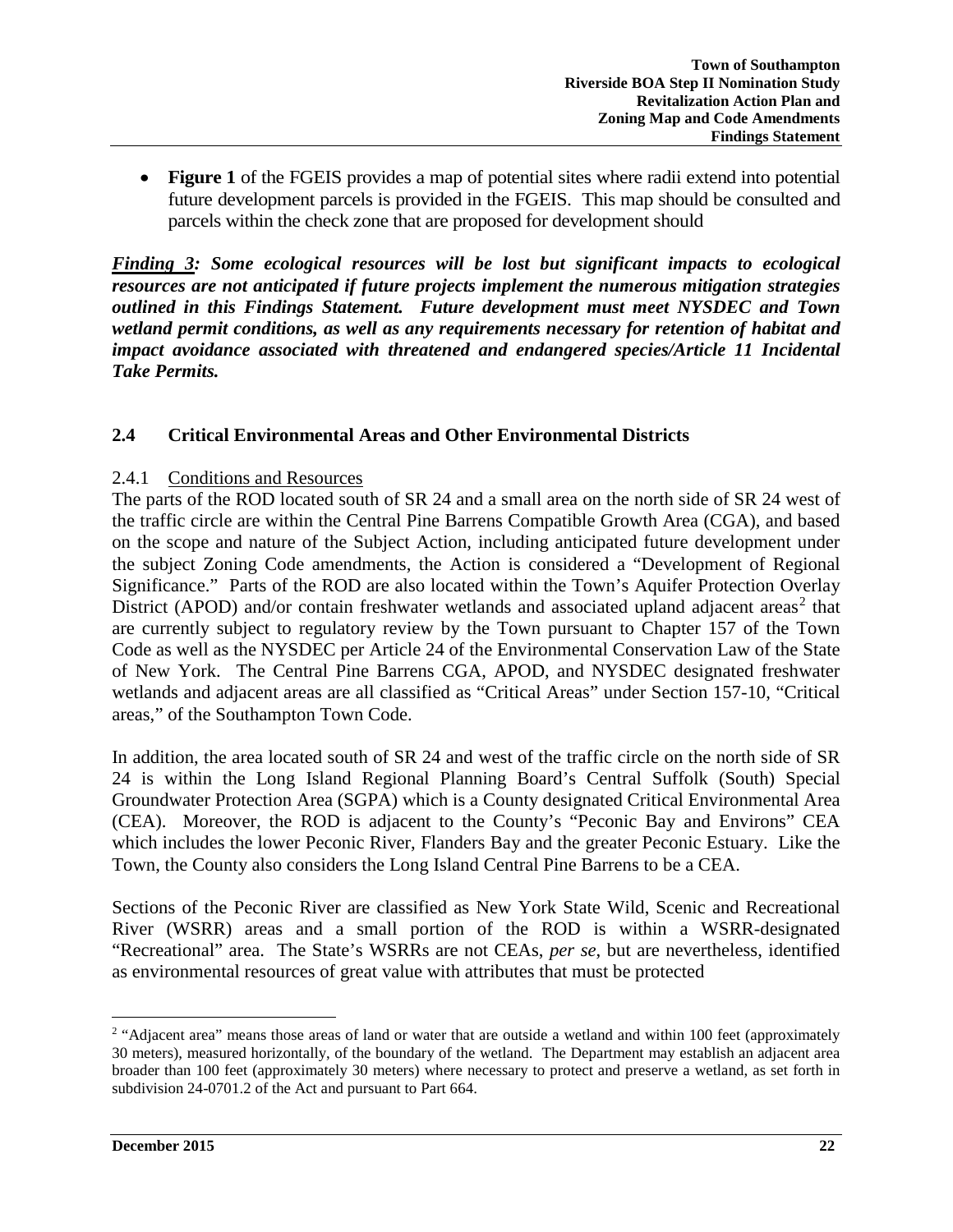• **Figure 1** of the FGEIS provides a map of potential sites where radii extend into potential future development parcels is provided in the FGEIS. This map should be consulted and parcels within the check zone that are proposed for development should

*Finding 3: Some ecological resources will be lost but significant impacts to ecological resources are not anticipated if future projects implement the numerous mitigation strategies outlined in this Findings Statement. Future development must meet NYSDEC and Town wetland permit conditions, as well as any requirements necessary for retention of habitat and impact avoidance associated with threatened and endangered species/Article 11 Incidental Take Permits.* 

### **2.4 Critical Environmental Areas and Other Environmental Districts**

#### 2.4.1 Conditions and Resources

The parts of the ROD located south of SR 24 and a small area on the north side of SR 24 west of the traffic circle are within the Central Pine Barrens Compatible Growth Area (CGA), and based on the scope and nature of the Subject Action, including anticipated future development under the subject Zoning Code amendments, the Action is considered a "Development of Regional Significance." Parts of the ROD are also located within the Town's Aquifer Protection Overlay District (APOD) and/or contain freshwater wetlands and associated upland adjacent areas<sup>[2](#page-21-0)</sup> that are currently subject to regulatory review by the Town pursuant to Chapter 157 of the Town Code as well as the NYSDEC per Article 24 of the Environmental Conservation Law of the State of New York. The Central Pine Barrens CGA, APOD, and NYSDEC designated freshwater wetlands and adjacent areas are all classified as "Critical Areas" under Section 157-10, "Critical areas," of the Southampton Town Code.

In addition, the area located south of SR 24 and west of the traffic circle on the north side of SR 24 is within the Long Island Regional Planning Board's Central Suffolk (South) Special Groundwater Protection Area (SGPA) which is a County designated Critical Environmental Area (CEA). Moreover, the ROD is adjacent to the County's "Peconic Bay and Environs" CEA which includes the lower Peconic River, Flanders Bay and the greater Peconic Estuary. Like the Town, the County also considers the Long Island Central Pine Barrens to be a CEA.

Sections of the Peconic River are classified as New York State Wild, Scenic and Recreational River (WSRR) areas and a small portion of the ROD is within a WSRR-designated "Recreational" area. The State's WSRRs are not CEAs, *per se*, but are nevertheless, identified as environmental resources of great value with attributes that must be protected

<span id="page-21-0"></span><sup>&</sup>lt;sup>2</sup> "Adjacent area" means those areas of land or water that are outside a wetland and within 100 feet (approximately 30 meters), measured horizontally, of the boundary of the wetland. The Department may establish an adjacent area broader than 100 feet (approximately 30 meters) where necessary to protect and preserve a wetland, as set forth in subdivision 24-0701.2 of the Act and pursuant to Part 664.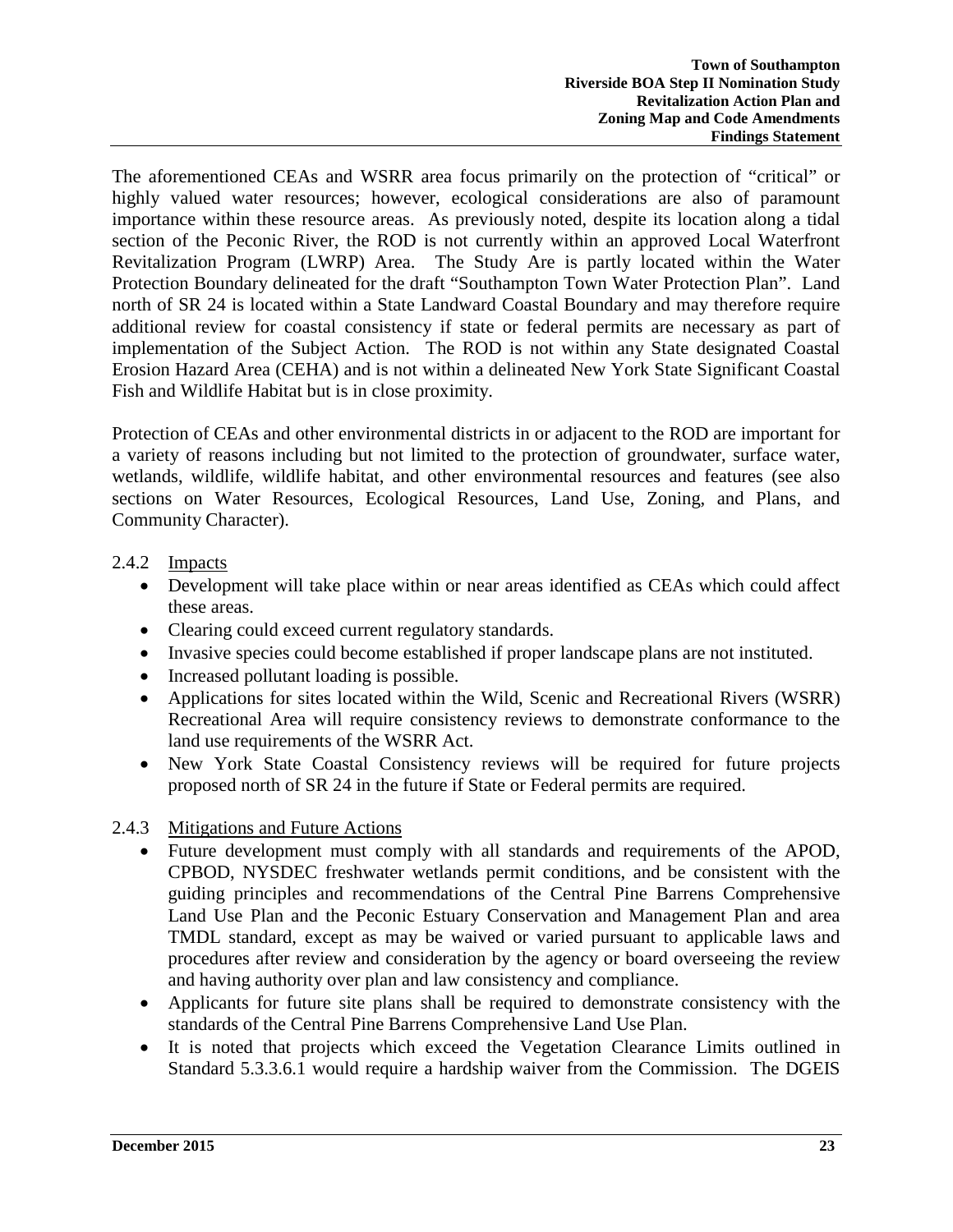The aforementioned CEAs and WSRR area focus primarily on the protection of "critical" or highly valued water resources; however, ecological considerations are also of paramount importance within these resource areas. As previously noted, despite its location along a tidal section of the Peconic River, the ROD is not currently within an approved Local Waterfront Revitalization Program (LWRP) Area. The Study Are is partly located within the Water Protection Boundary delineated for the draft "Southampton Town Water Protection Plan". Land north of SR 24 is located within a State Landward Coastal Boundary and may therefore require additional review for coastal consistency if state or federal permits are necessary as part of implementation of the Subject Action. The ROD is not within any State designated Coastal Erosion Hazard Area (CEHA) and is not within a delineated New York State Significant Coastal Fish and Wildlife Habitat but is in close proximity.

Protection of CEAs and other environmental districts in or adjacent to the ROD are important for a variety of reasons including but not limited to the protection of groundwater, surface water, wetlands, wildlife, wildlife habitat, and other environmental resources and features (see also sections on Water Resources, Ecological Resources, Land Use, Zoning, and Plans, and Community Character).

# 2.4.2 Impacts

- Development will take place within or near areas identified as CEAs which could affect these areas.
- Clearing could exceed current regulatory standards.
- Invasive species could become established if proper landscape plans are not instituted.
- Increased pollutant loading is possible.
- Applications for sites located within the Wild, Scenic and Recreational Rivers (WSRR) Recreational Area will require consistency reviews to demonstrate conformance to the land use requirements of the WSRR Act.
- New York State Coastal Consistency reviews will be required for future projects proposed north of SR 24 in the future if State or Federal permits are required.

# 2.4.3 Mitigations and Future Actions

- Future development must comply with all standards and requirements of the APOD, CPBOD, NYSDEC freshwater wetlands permit conditions, and be consistent with the guiding principles and recommendations of the Central Pine Barrens Comprehensive Land Use Plan and the Peconic Estuary Conservation and Management Plan and area TMDL standard, except as may be waived or varied pursuant to applicable laws and procedures after review and consideration by the agency or board overseeing the review and having authority over plan and law consistency and compliance.
- Applicants for future site plans shall be required to demonstrate consistency with the standards of the Central Pine Barrens Comprehensive Land Use Plan.
- It is noted that projects which exceed the Vegetation Clearance Limits outlined in Standard 5.3.3.6.1 would require a hardship waiver from the Commission. The DGEIS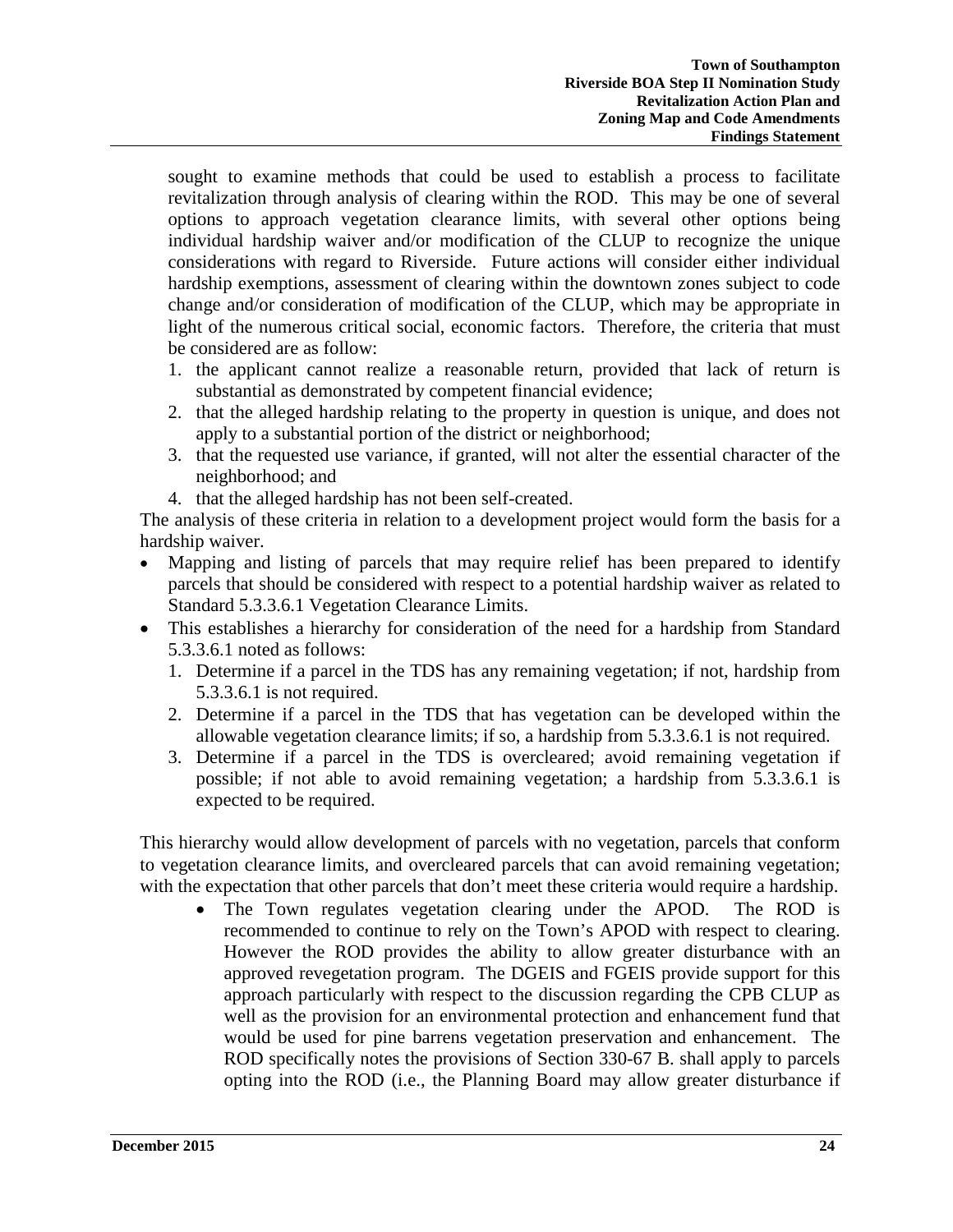sought to examine methods that could be used to establish a process to facilitate revitalization through analysis of clearing within the ROD. This may be one of several options to approach vegetation clearance limits, with several other options being individual hardship waiver and/or modification of the CLUP to recognize the unique considerations with regard to Riverside. Future actions will consider either individual hardship exemptions, assessment of clearing within the downtown zones subject to code change and/or consideration of modification of the CLUP, which may be appropriate in light of the numerous critical social, economic factors. Therefore, the criteria that must be considered are as follow:

- 1. the applicant cannot realize a reasonable return, provided that lack of return is substantial as demonstrated by competent financial evidence;
- 2. that the alleged hardship relating to the property in question is unique, and does not apply to a substantial portion of the district or neighborhood;
- 3. that the requested use variance, if granted, will not alter the essential character of the neighborhood; and
- 4. that the alleged hardship has not been self-created.

The analysis of these criteria in relation to a development project would form the basis for a hardship waiver.

- Mapping and listing of parcels that may require relief has been prepared to identify parcels that should be considered with respect to a potential hardship waiver as related to Standard 5.3.3.6.1 Vegetation Clearance Limits.
- This establishes a hierarchy for consideration of the need for a hardship from Standard 5.3.3.6.1 noted as follows:
	- 1. Determine if a parcel in the TDS has any remaining vegetation; if not, hardship from 5.3.3.6.1 is not required.
	- 2. Determine if a parcel in the TDS that has vegetation can be developed within the allowable vegetation clearance limits; if so, a hardship from 5.3.3.6.1 is not required.
	- 3. Determine if a parcel in the TDS is overcleared; avoid remaining vegetation if possible; if not able to avoid remaining vegetation; a hardship from 5.3.3.6.1 is expected to be required.

This hierarchy would allow development of parcels with no vegetation, parcels that conform to vegetation clearance limits, and overcleared parcels that can avoid remaining vegetation; with the expectation that other parcels that don't meet these criteria would require a hardship.

• The Town regulates vegetation clearing under the APOD. The ROD is recommended to continue to rely on the Town's APOD with respect to clearing. However the ROD provides the ability to allow greater disturbance with an approved revegetation program. The DGEIS and FGEIS provide support for this approach particularly with respect to the discussion regarding the CPB CLUP as well as the provision for an environmental protection and enhancement fund that would be used for pine barrens vegetation preservation and enhancement. The ROD specifically notes the provisions of Section 330-67 B. shall apply to parcels opting into the ROD (i.e., the Planning Board may allow greater disturbance if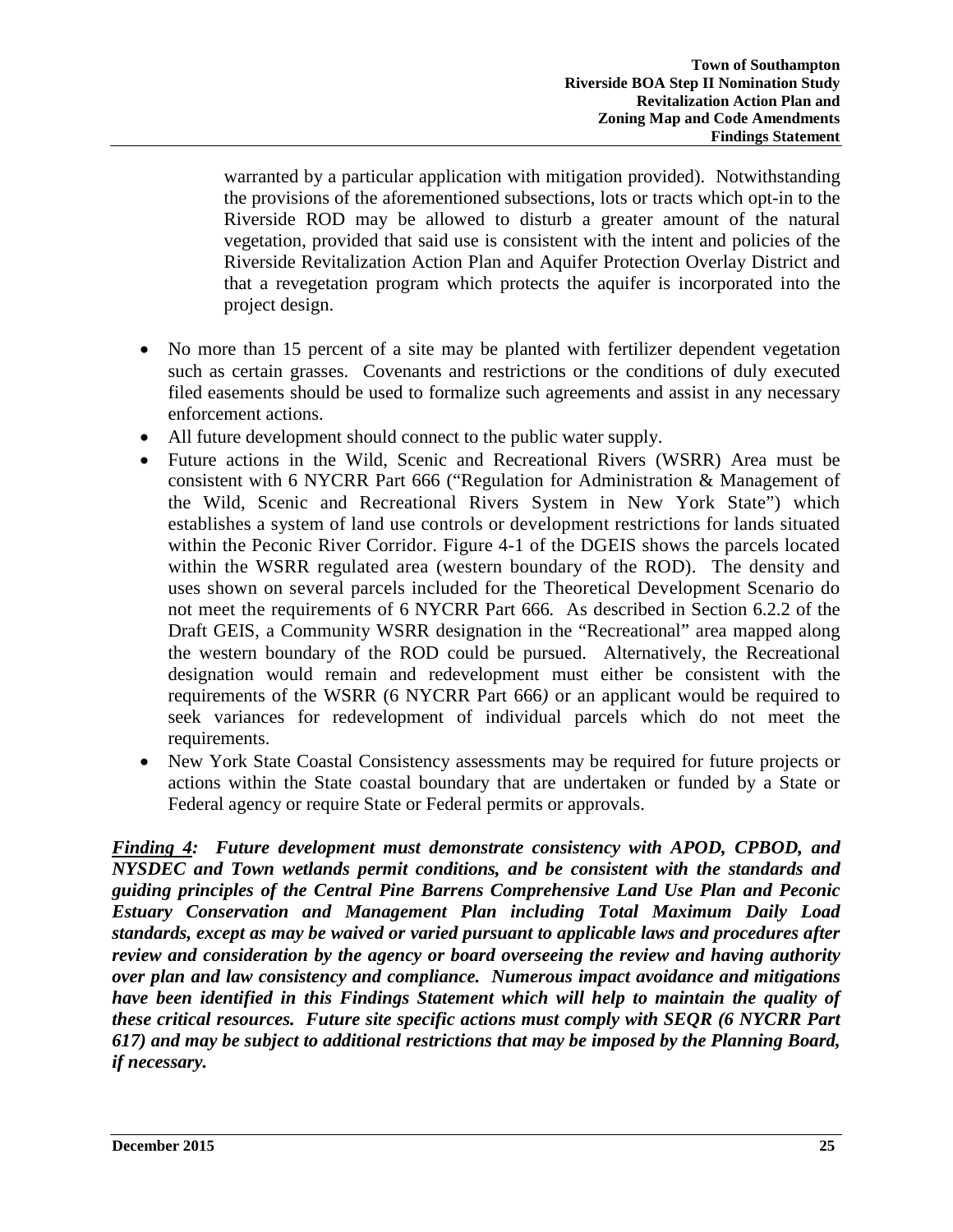warranted by a particular application with mitigation provided). Notwithstanding the provisions of the aforementioned subsections, lots or tracts which opt-in to the Riverside ROD may be allowed to disturb a greater amount of the natural vegetation, provided that said use is consistent with the intent and policies of the Riverside Revitalization Action Plan and Aquifer Protection Overlay District and that a revegetation program which protects the aquifer is incorporated into the project design.

- No more than 15 percent of a site may be planted with fertilizer dependent vegetation such as certain grasses. Covenants and restrictions or the conditions of duly executed filed easements should be used to formalize such agreements and assist in any necessary enforcement actions.
- All future development should connect to the public water supply.
- Future actions in the Wild, Scenic and Recreational Rivers (WSRR) Area must be consistent with 6 NYCRR Part 666 ("Regulation for Administration & Management of the Wild, Scenic and Recreational Rivers System in New York State") which establishes a system of land use controls or development restrictions for lands situated within the Peconic River Corridor. Figure 4-1 of the DGEIS shows the parcels located within the WSRR regulated area (western boundary of the ROD). The density and uses shown on several parcels included for the Theoretical Development Scenario do not meet the requirements of 6 NYCRR Part 666*.* As described in Section 6.2.2 of the Draft GEIS, a Community WSRR designation in the "Recreational" area mapped along the western boundary of the ROD could be pursued. Alternatively, the Recreational designation would remain and redevelopment must either be consistent with the requirements of the WSRR (6 NYCRR Part 666*)* or an applicant would be required to seek variances for redevelopment of individual parcels which do not meet the requirements.
- New York State Coastal Consistency assessments may be required for future projects or actions within the State coastal boundary that are undertaken or funded by a State or Federal agency or require State or Federal permits or approvals.

*Finding 4: Future development must demonstrate consistency with APOD, CPBOD, and NYSDEC and Town wetlands permit conditions, and be consistent with the standards and guiding principles of the Central Pine Barrens Comprehensive Land Use Plan and Peconic Estuary Conservation and Management Plan including Total Maximum Daily Load standards, except as may be waived or varied pursuant to applicable laws and procedures after review and consideration by the agency or board overseeing the review and having authority over plan and law consistency and compliance. Numerous impact avoidance and mitigations have been identified in this Findings Statement which will help to maintain the quality of these critical resources. Future site specific actions must comply with SEQR (6 NYCRR Part 617) and may be subject to additional restrictions that may be imposed by the Planning Board, if necessary.*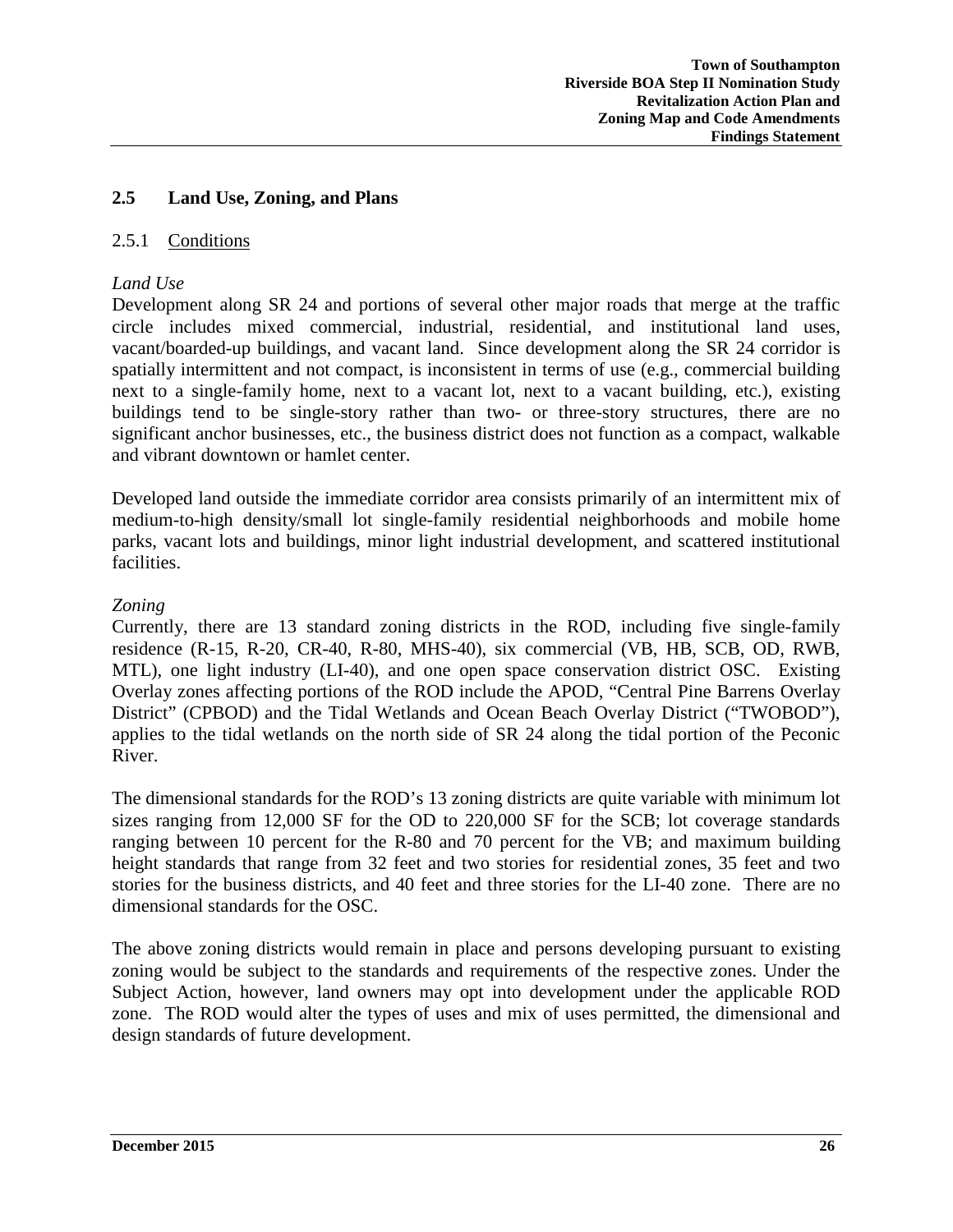### **2.5 Land Use, Zoning, and Plans**

#### 2.5.1 Conditions

#### *Land Use*

Development along SR 24 and portions of several other major roads that merge at the traffic circle includes mixed commercial, industrial, residential, and institutional land uses, vacant/boarded-up buildings, and vacant land. Since development along the SR 24 corridor is spatially intermittent and not compact, is inconsistent in terms of use (e.g., commercial building next to a single-family home, next to a vacant lot, next to a vacant building, etc.), existing buildings tend to be single-story rather than two- or three-story structures, there are no significant anchor businesses, etc., the business district does not function as a compact, walkable and vibrant downtown or hamlet center.

Developed land outside the immediate corridor area consists primarily of an intermittent mix of medium-to-high density/small lot single-family residential neighborhoods and mobile home parks, vacant lots and buildings, minor light industrial development, and scattered institutional facilities.

#### *Zoning*

Currently, there are 13 standard zoning districts in the ROD, including five single-family residence (R-15, R-20, CR-40, R-80, MHS-40), six commercial (VB, HB, SCB, OD, RWB, MTL), one light industry (LI-40), and one open space conservation district OSC. Existing Overlay zones affecting portions of the ROD include the APOD, "Central Pine Barrens Overlay District" (CPBOD) and the Tidal Wetlands and Ocean Beach Overlay District ("TWOBOD"), applies to the tidal wetlands on the north side of SR 24 along the tidal portion of the Peconic River.

The dimensional standards for the ROD's 13 zoning districts are quite variable with minimum lot sizes ranging from 12,000 SF for the OD to 220,000 SF for the SCB; lot coverage standards ranging between 10 percent for the R-80 and 70 percent for the VB; and maximum building height standards that range from 32 feet and two stories for residential zones, 35 feet and two stories for the business districts, and 40 feet and three stories for the LI-40 zone. There are no dimensional standards for the OSC.

The above zoning districts would remain in place and persons developing pursuant to existing zoning would be subject to the standards and requirements of the respective zones. Under the Subject Action, however, land owners may opt into development under the applicable ROD zone. The ROD would alter the types of uses and mix of uses permitted, the dimensional and design standards of future development.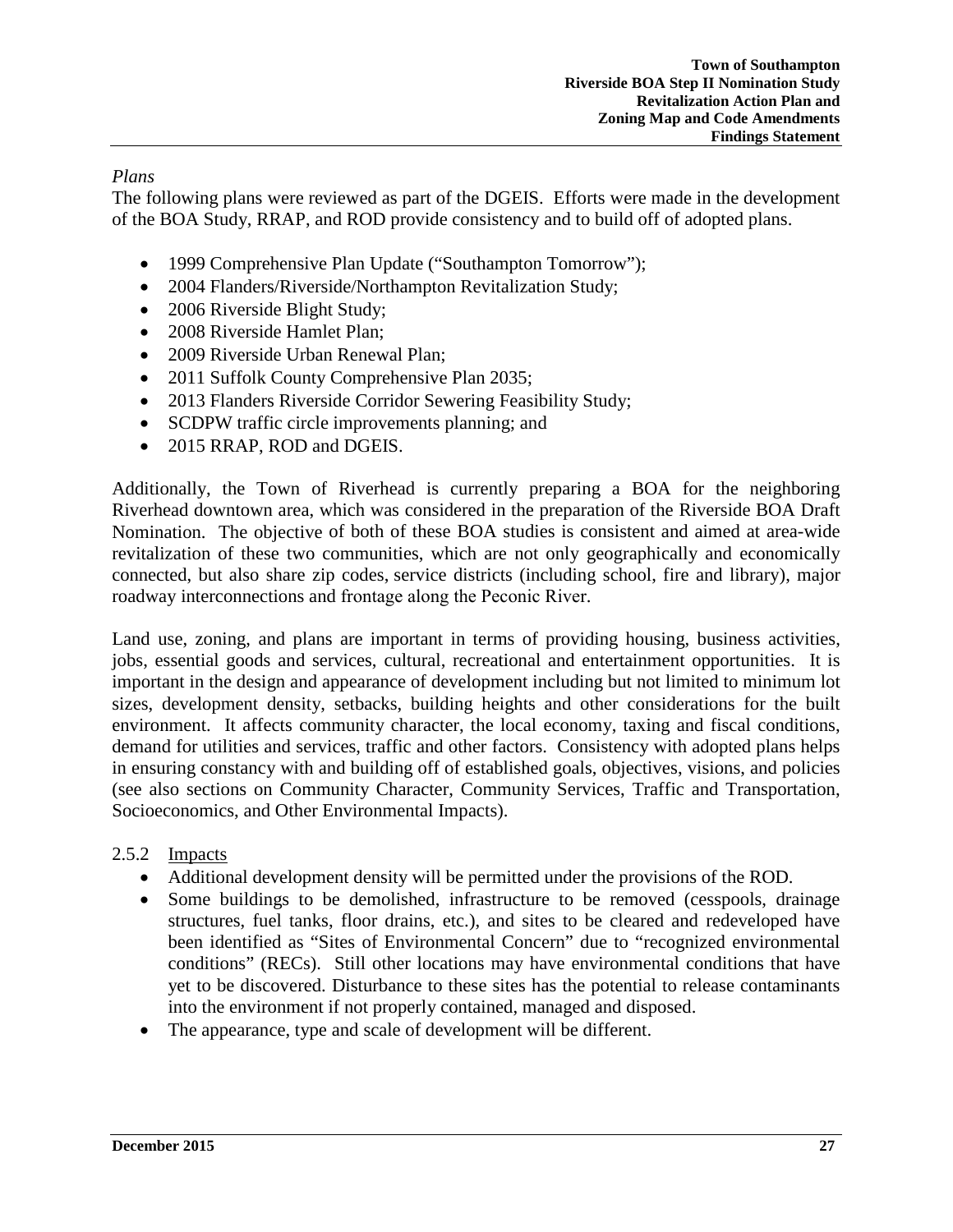### *Plans*

The following plans were reviewed as part of the DGEIS. Efforts were made in the development of the BOA Study, RRAP, and ROD provide consistency and to build off of adopted plans.

- 1999 Comprehensive Plan Update ("Southampton Tomorrow");
- 2004 Flanders/Riverside/Northampton Revitalization Study;
- 2006 Riverside Blight Study;
- 2008 Riverside Hamlet Plan:
- 2009 Riverside Urban Renewal Plan;
- 2011 Suffolk County Comprehensive Plan 2035;
- 2013 Flanders Riverside Corridor Sewering Feasibility Study;
- SCDPW traffic circle improvements planning; and
- 2015 RRAP, ROD and DGEIS.

Additionally, the Town of Riverhead is currently preparing a BOA for the neighboring Riverhead downtown area, which was considered in the preparation of the Riverside BOA Draft Nomination. The objective of both of these BOA studies is consistent and aimed at area-wide revitalization of these two communities, which are not only geographically and economically connected, but also share zip codes, service districts (including school, fire and library), major roadway interconnections and frontage along the Peconic River.

Land use, zoning, and plans are important in terms of providing housing, business activities, jobs, essential goods and services, cultural, recreational and entertainment opportunities. It is important in the design and appearance of development including but not limited to minimum lot sizes, development density, setbacks, building heights and other considerations for the built environment. It affects community character, the local economy, taxing and fiscal conditions, demand for utilities and services, traffic and other factors. Consistency with adopted plans helps in ensuring constancy with and building off of established goals, objectives, visions, and policies (see also sections on Community Character, Community Services, Traffic and Transportation, Socioeconomics, and Other Environmental Impacts).

### 2.5.2 Impacts

- Additional development density will be permitted under the provisions of the ROD.
- Some buildings to be demolished, infrastructure to be removed (cesspools, drainage structures, fuel tanks, floor drains, etc.), and sites to be cleared and redeveloped have been identified as "Sites of Environmental Concern" due to "recognized environmental conditions" (RECs). Still other locations may have environmental conditions that have yet to be discovered. Disturbance to these sites has the potential to release contaminants into the environment if not properly contained, managed and disposed.
- The appearance, type and scale of development will be different.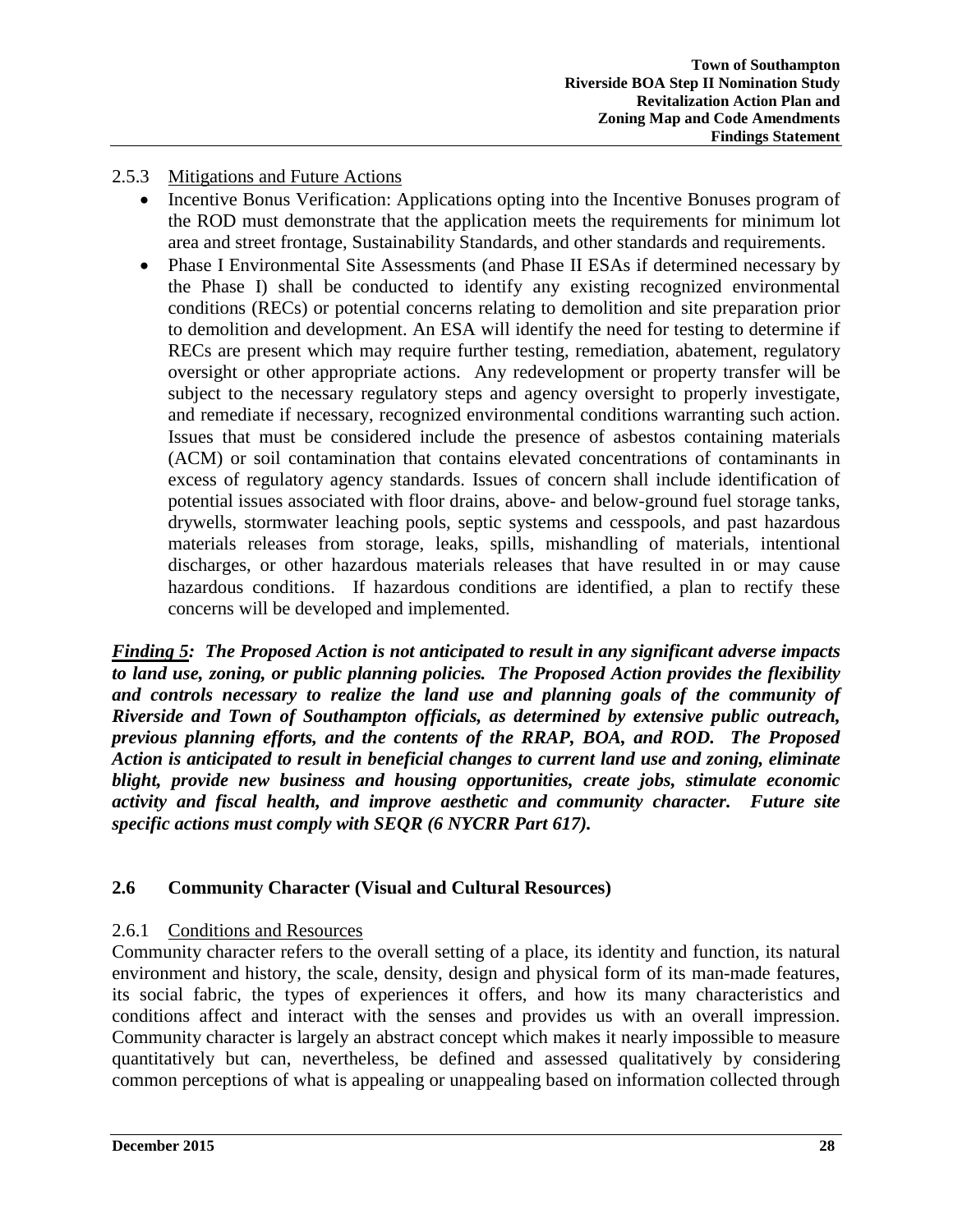### 2.5.3 Mitigations and Future Actions

- Incentive Bonus Verification: Applications opting into the Incentive Bonuses program of the ROD must demonstrate that the application meets the requirements for minimum lot area and street frontage, Sustainability Standards, and other standards and requirements.
- Phase I Environmental Site Assessments (and Phase II ESAs if determined necessary by the Phase I) shall be conducted to identify any existing recognized environmental conditions (RECs) or potential concerns relating to demolition and site preparation prior to demolition and development. An ESA will identify the need for testing to determine if RECs are present which may require further testing, remediation, abatement, regulatory oversight or other appropriate actions. Any redevelopment or property transfer will be subject to the necessary regulatory steps and agency oversight to properly investigate, and remediate if necessary, recognized environmental conditions warranting such action. Issues that must be considered include the presence of asbestos containing materials (ACM) or soil contamination that contains elevated concentrations of contaminants in excess of regulatory agency standards. Issues of concern shall include identification of potential issues associated with floor drains, above- and below-ground fuel storage tanks, drywells, stormwater leaching pools, septic systems and cesspools, and past hazardous materials releases from storage, leaks, spills, mishandling of materials, intentional discharges, or other hazardous materials releases that have resulted in or may cause hazardous conditions. If hazardous conditions are identified, a plan to rectify these concerns will be developed and implemented.

*Finding 5: The Proposed Action is not anticipated to result in any significant adverse impacts to land use, zoning, or public planning policies. The Proposed Action provides the flexibility and controls necessary to realize the land use and planning goals of the community of Riverside and Town of Southampton officials, as determined by extensive public outreach, previous planning efforts, and the contents of the RRAP, BOA, and ROD. The Proposed Action is anticipated to result in beneficial changes to current land use and zoning, eliminate blight, provide new business and housing opportunities, create jobs, stimulate economic activity and fiscal health, and improve aesthetic and community character. Future site specific actions must comply with SEQR (6 NYCRR Part 617).*

### **2.6 Community Character (Visual and Cultural Resources)**

### 2.6.1 Conditions and Resources

Community character refers to the overall setting of a place, its identity and function, its natural environment and history, the scale, density, design and physical form of its man-made features, its social fabric, the types of experiences it offers, and how its many characteristics and conditions affect and interact with the senses and provides us with an overall impression. Community character is largely an abstract concept which makes it nearly impossible to measure quantitatively but can, nevertheless, be defined and assessed qualitatively by considering common perceptions of what is appealing or unappealing based on information collected through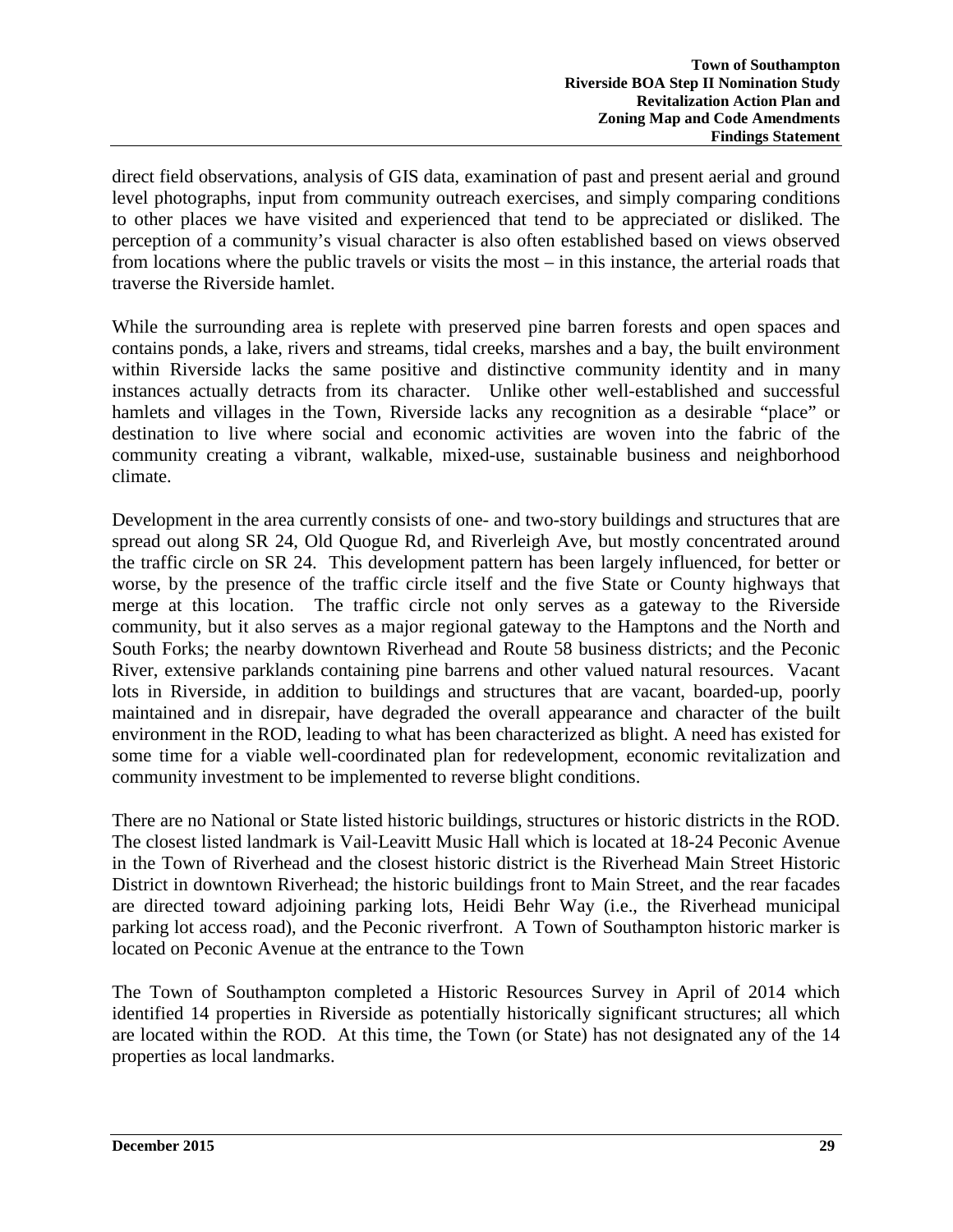direct field observations, analysis of GIS data, examination of past and present aerial and ground level photographs, input from community outreach exercises, and simply comparing conditions to other places we have visited and experienced that tend to be appreciated or disliked. The perception of a community's visual character is also often established based on views observed from locations where the public travels or visits the most – in this instance, the arterial roads that traverse the Riverside hamlet.

While the surrounding area is replete with preserved pine barren forests and open spaces and contains ponds, a lake, rivers and streams, tidal creeks, marshes and a bay, the built environment within Riverside lacks the same positive and distinctive community identity and in many instances actually detracts from its character. Unlike other well-established and successful hamlets and villages in the Town, Riverside lacks any recognition as a desirable "place" or destination to live where social and economic activities are woven into the fabric of the community creating a vibrant, walkable, mixed-use, sustainable business and neighborhood climate.

Development in the area currently consists of one- and two-story buildings and structures that are spread out along SR 24, Old Quogue Rd, and Riverleigh Ave, but mostly concentrated around the traffic circle on SR 24. This development pattern has been largely influenced, for better or worse, by the presence of the traffic circle itself and the five State or County highways that merge at this location. The traffic circle not only serves as a gateway to the Riverside community, but it also serves as a major regional gateway to the Hamptons and the North and South Forks; the nearby downtown Riverhead and Route 58 business districts; and the Peconic River, extensive parklands containing pine barrens and other valued natural resources. Vacant lots in Riverside, in addition to buildings and structures that are vacant, boarded-up, poorly maintained and in disrepair, have degraded the overall appearance and character of the built environment in the ROD, leading to what has been characterized as blight. A need has existed for some time for a viable well-coordinated plan for redevelopment, economic revitalization and community investment to be implemented to reverse blight conditions.

There are no National or State listed historic buildings, structures or historic districts in the ROD. The closest listed landmark is Vail-Leavitt Music Hall which is located at 18-24 Peconic Avenue in the Town of Riverhead and the closest historic district is the Riverhead Main Street Historic District in downtown Riverhead; the historic buildings front to Main Street, and the rear facades are directed toward adjoining parking lots, Heidi Behr Way (i.e., the Riverhead municipal parking lot access road), and the Peconic riverfront. A Town of Southampton historic marker is located on Peconic Avenue at the entrance to the Town

The Town of Southampton completed a Historic Resources Survey in April of 2014 which identified 14 properties in Riverside as potentially historically significant structures; all which are located within the ROD. At this time, the Town (or State) has not designated any of the 14 properties as local landmarks.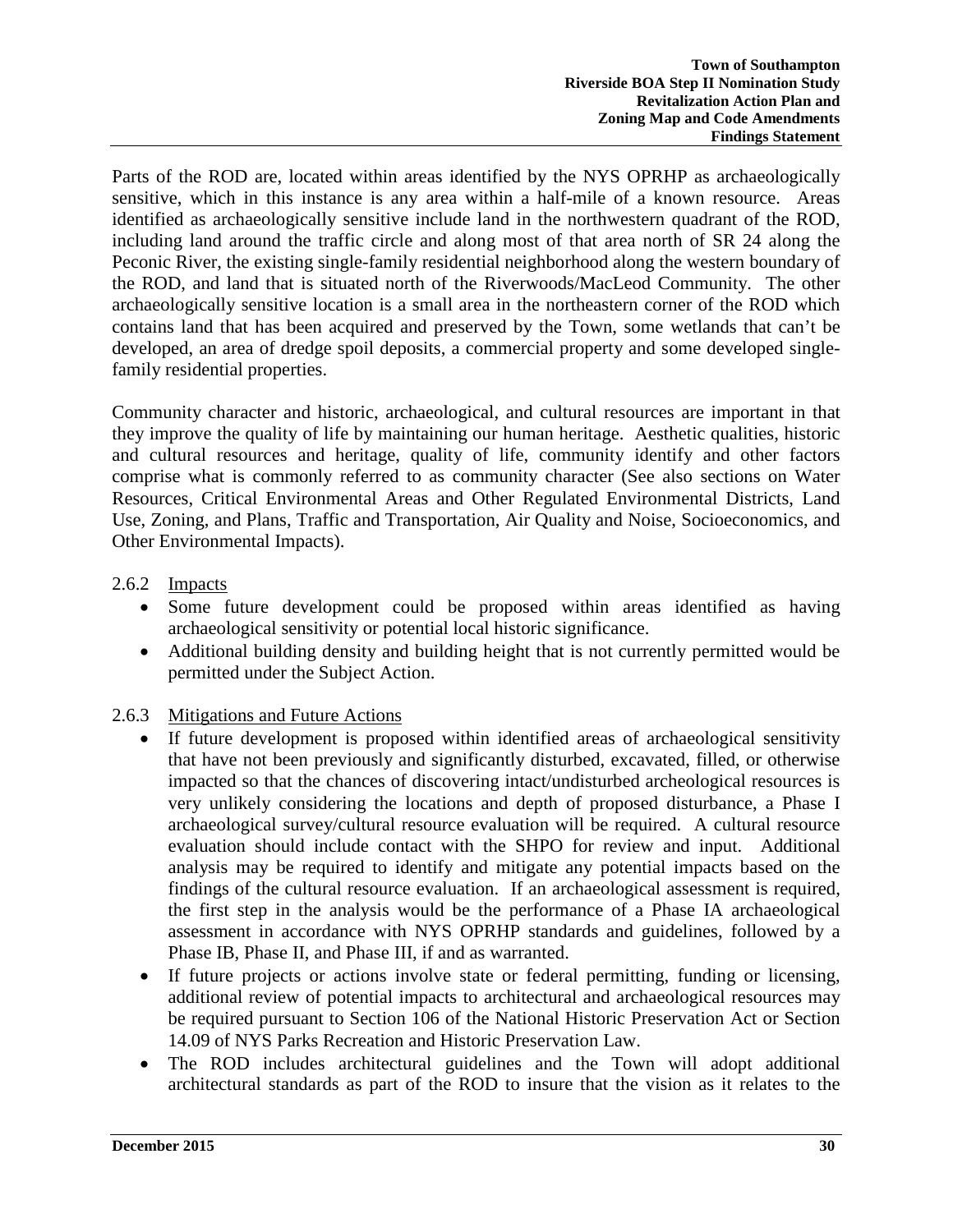Parts of the ROD are, located within areas identified by the NYS OPRHP as archaeologically sensitive, which in this instance is any area within a half-mile of a known resource. Areas identified as archaeologically sensitive include land in the northwestern quadrant of the ROD, including land around the traffic circle and along most of that area north of SR 24 along the Peconic River, the existing single-family residential neighborhood along the western boundary of the ROD, and land that is situated north of the Riverwoods/MacLeod Community. The other archaeologically sensitive location is a small area in the northeastern corner of the ROD which contains land that has been acquired and preserved by the Town, some wetlands that can't be developed, an area of dredge spoil deposits, a commercial property and some developed singlefamily residential properties.

Community character and historic, archaeological, and cultural resources are important in that they improve the quality of life by maintaining our human heritage. Aesthetic qualities, historic and cultural resources and heritage, quality of life, community identify and other factors comprise what is commonly referred to as community character (See also sections on Water Resources, Critical Environmental Areas and Other Regulated Environmental Districts, Land Use, Zoning, and Plans, Traffic and Transportation, Air Quality and Noise, Socioeconomics, and Other Environmental Impacts).

- 2.6.2 Impacts
	- Some future development could be proposed within areas identified as having archaeological sensitivity or potential local historic significance.
	- Additional building density and building height that is not currently permitted would be permitted under the Subject Action.

# 2.6.3 Mitigations and Future Actions

- If future development is proposed within identified areas of archaeological sensitivity that have not been previously and significantly disturbed, excavated, filled, or otherwise impacted so that the chances of discovering intact/undisturbed archeological resources is very unlikely considering the locations and depth of proposed disturbance, a Phase I archaeological survey/cultural resource evaluation will be required. A cultural resource evaluation should include contact with the SHPO for review and input. Additional analysis may be required to identify and mitigate any potential impacts based on the findings of the cultural resource evaluation. If an archaeological assessment is required, the first step in the analysis would be the performance of a Phase IA archaeological assessment in accordance with NYS OPRHP standards and guidelines, followed by a Phase IB, Phase II, and Phase III, if and as warranted.
- If future projects or actions involve state or federal permitting, funding or licensing, additional review of potential impacts to architectural and archaeological resources may be required pursuant to Section 106 of the National Historic Preservation Act or Section 14.09 of NYS Parks Recreation and Historic Preservation Law.
- The ROD includes architectural guidelines and the Town will adopt additional architectural standards as part of the ROD to insure that the vision as it relates to the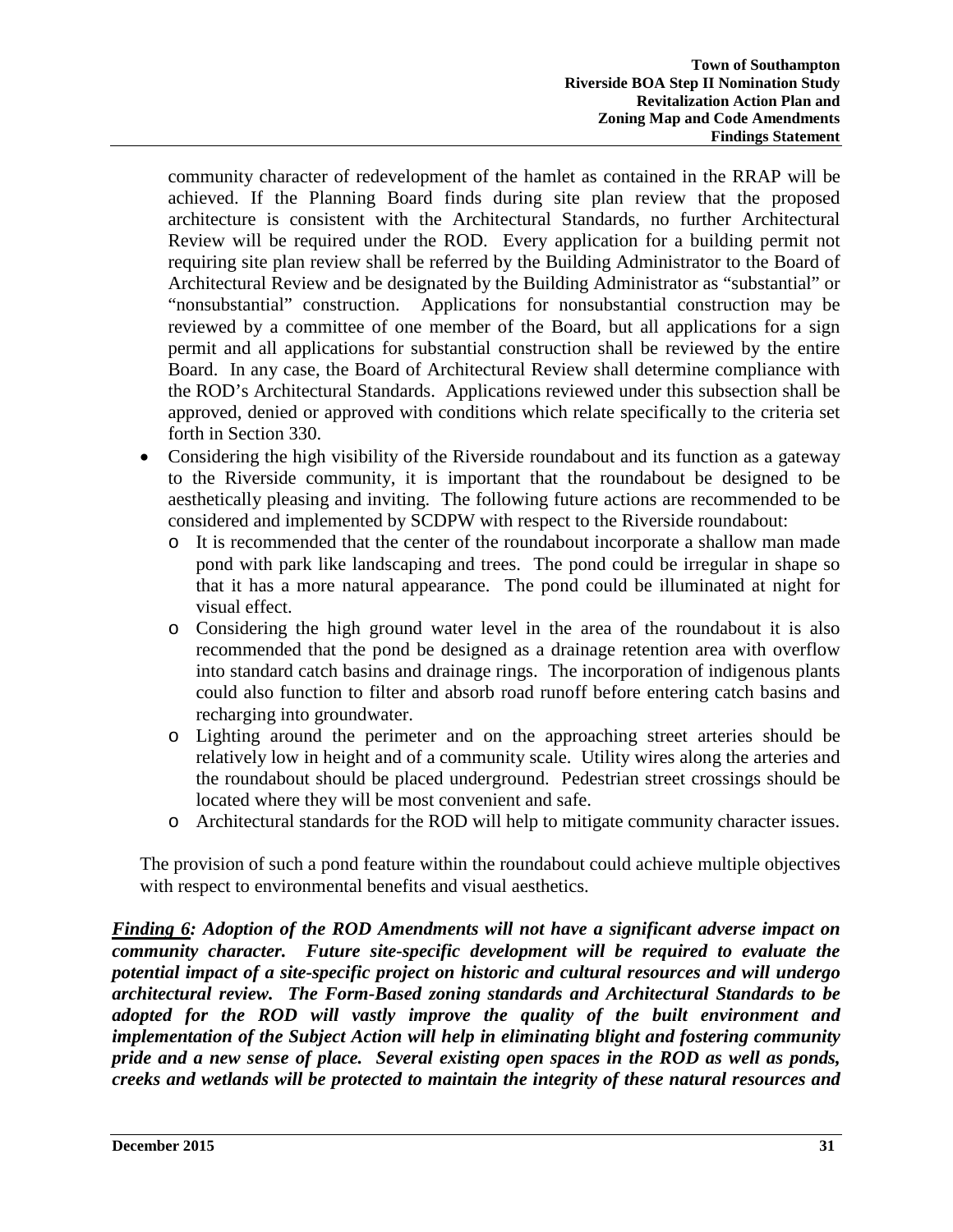community character of redevelopment of the hamlet as contained in the RRAP will be achieved. If the Planning Board finds during site plan review that the proposed architecture is consistent with the Architectural Standards, no further Architectural Review will be required under the ROD. Every application for a building permit not requiring site plan review shall be referred by the Building Administrator to the Board of Architectural Review and be designated by the Building Administrator as "substantial" or "nonsubstantial" construction. Applications for nonsubstantial construction may be reviewed by a committee of one member of the Board, but all applications for a sign permit and all applications for substantial construction shall be reviewed by the entire Board. In any case, the Board of Architectural Review shall determine compliance with the ROD's Architectural Standards. Applications reviewed under this subsection shall be approved, denied or approved with conditions which relate specifically to the criteria set forth in Section 330.

- Considering the high visibility of the Riverside roundabout and its function as a gateway to the Riverside community, it is important that the roundabout be designed to be aesthetically pleasing and inviting. The following future actions are recommended to be considered and implemented by SCDPW with respect to the Riverside roundabout:
	- o It is recommended that the center of the roundabout incorporate a shallow man made pond with park like landscaping and trees. The pond could be irregular in shape so that it has a more natural appearance. The pond could be illuminated at night for visual effect.
	- o Considering the high ground water level in the area of the roundabout it is also recommended that the pond be designed as a drainage retention area with overflow into standard catch basins and drainage rings. The incorporation of indigenous plants could also function to filter and absorb road runoff before entering catch basins and recharging into groundwater.
	- o Lighting around the perimeter and on the approaching street arteries should be relatively low in height and of a community scale. Utility wires along the arteries and the roundabout should be placed underground. Pedestrian street crossings should be located where they will be most convenient and safe.
	- o Architectural standards for the ROD will help to mitigate community character issues.

The provision of such a pond feature within the roundabout could achieve multiple objectives with respect to environmental benefits and visual aesthetics.

*Finding 6: Adoption of the ROD Amendments will not have a significant adverse impact on community character. Future site-specific development will be required to evaluate the potential impact of a site-specific project on historic and cultural resources and will undergo architectural review. The Form-Based zoning standards and Architectural Standards to be adopted for the ROD will vastly improve the quality of the built environment and implementation of the Subject Action will help in eliminating blight and fostering community pride and a new sense of place. Several existing open spaces in the ROD as well as ponds, creeks and wetlands will be protected to maintain the integrity of these natural resources and*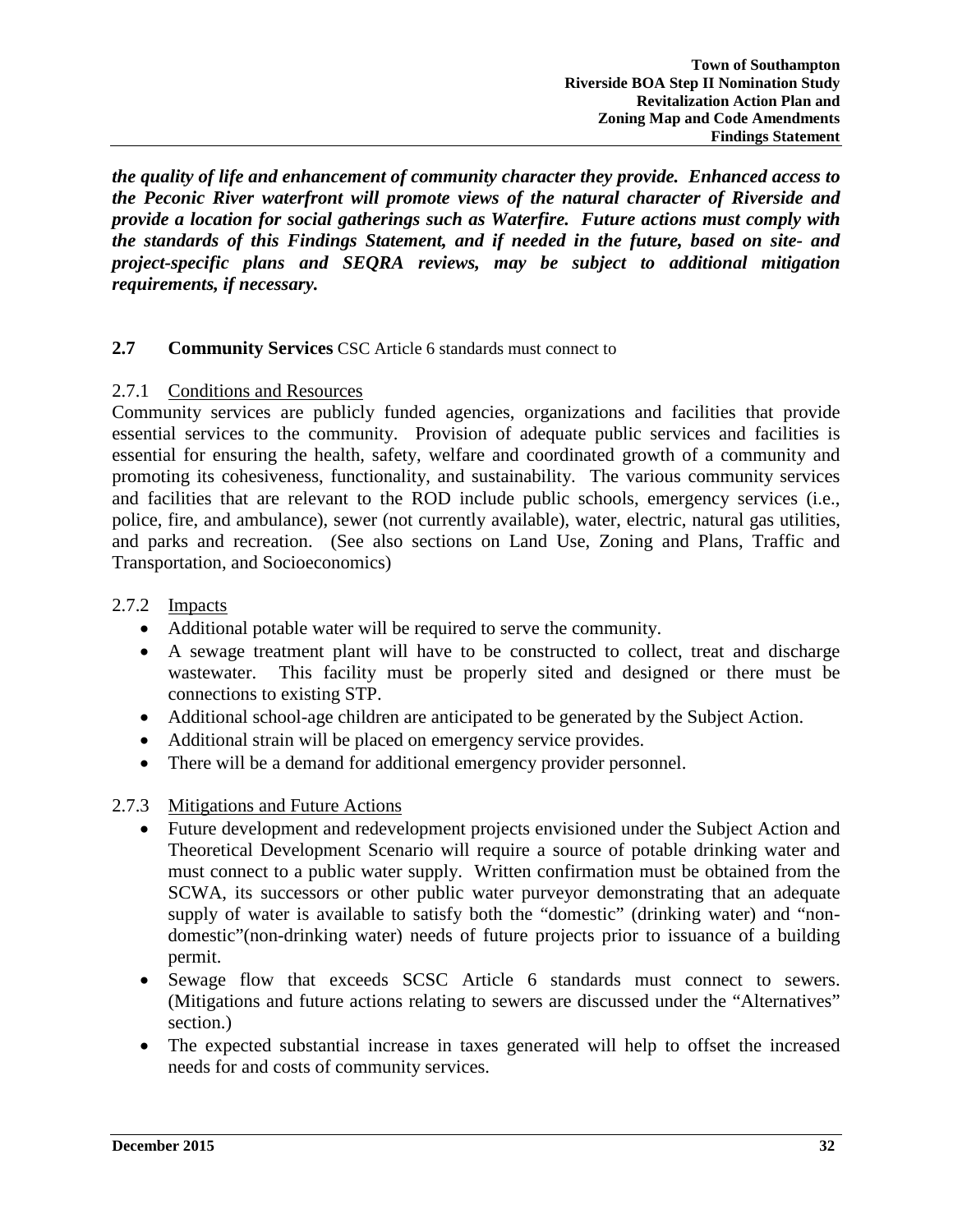*the quality of life and enhancement of community character they provide. Enhanced access to the Peconic River waterfront will promote views of the natural character of Riverside and provide a location for social gatherings such as Waterfire. Future actions must comply with the standards of this Findings Statement, and if needed in the future, based on site- and project-specific plans and SEQRA reviews, may be subject to additional mitigation requirements, if necessary.* 

### **2.7 Community Services** CSC Article 6 standards must connect to

#### 2.7.1 Conditions and Resources

Community services are publicly funded agencies, organizations and facilities that provide essential services to the community. Provision of adequate public services and facilities is essential for ensuring the health, safety, welfare and coordinated growth of a community and promoting its cohesiveness, functionality, and sustainability. The various community services and facilities that are relevant to the ROD include public schools, emergency services (i.e., police, fire, and ambulance), sewer (not currently available), water, electric, natural gas utilities, and parks and recreation. (See also sections on Land Use, Zoning and Plans, Traffic and Transportation, and Socioeconomics)

#### 2.7.2 Impacts

- Additional potable water will be required to serve the community.
- A sewage treatment plant will have to be constructed to collect, treat and discharge wastewater. This facility must be properly sited and designed or there must be connections to existing STP.
- Additional school-age children are anticipated to be generated by the Subject Action.
- Additional strain will be placed on emergency service provides.
- There will be a demand for additional emergency provider personnel.
- 2.7.3 Mitigations and Future Actions
	- Future development and redevelopment projects envisioned under the Subject Action and Theoretical Development Scenario will require a source of potable drinking water and must connect to a public water supply. Written confirmation must be obtained from the SCWA, its successors or other public water purveyor demonstrating that an adequate supply of water is available to satisfy both the "domestic" (drinking water) and "nondomestic"(non-drinking water) needs of future projects prior to issuance of a building permit.
	- Sewage flow that exceeds SCSC Article 6 standards must connect to sewers. (Mitigations and future actions relating to sewers are discussed under the "Alternatives" section.)
	- The expected substantial increase in taxes generated will help to offset the increased needs for and costs of community services.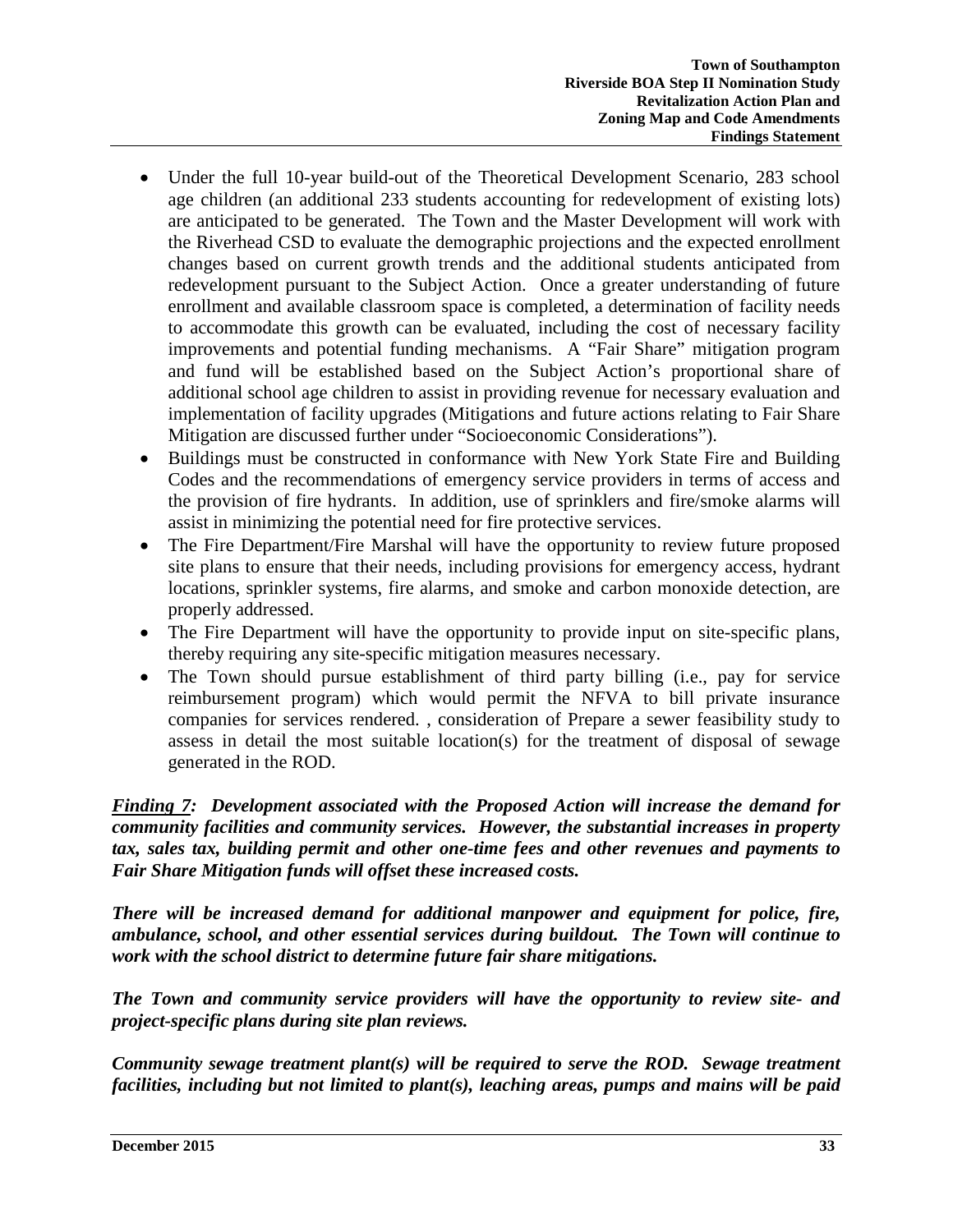- Under the full 10-year build-out of the Theoretical Development Scenario, 283 school age children (an additional 233 students accounting for redevelopment of existing lots) are anticipated to be generated. The Town and the Master Development will work with the Riverhead CSD to evaluate the demographic projections and the expected enrollment changes based on current growth trends and the additional students anticipated from redevelopment pursuant to the Subject Action. Once a greater understanding of future enrollment and available classroom space is completed, a determination of facility needs to accommodate this growth can be evaluated, including the cost of necessary facility improvements and potential funding mechanisms. A "Fair Share" mitigation program and fund will be established based on the Subject Action's proportional share of additional school age children to assist in providing revenue for necessary evaluation and implementation of facility upgrades (Mitigations and future actions relating to Fair Share Mitigation are discussed further under "Socioeconomic Considerations").
- Buildings must be constructed in conformance with New York State Fire and Building Codes and the recommendations of emergency service providers in terms of access and the provision of fire hydrants. In addition, use of sprinklers and fire/smoke alarms will assist in minimizing the potential need for fire protective services.
- The Fire Department/Fire Marshal will have the opportunity to review future proposed site plans to ensure that their needs, including provisions for emergency access, hydrant locations, sprinkler systems, fire alarms, and smoke and carbon monoxide detection, are properly addressed.
- The Fire Department will have the opportunity to provide input on site-specific plans, thereby requiring any site-specific mitigation measures necessary.
- The Town should pursue establishment of third party billing (i.e., pay for service reimbursement program) which would permit the NFVA to bill private insurance companies for services rendered. , consideration of Prepare a sewer feasibility study to assess in detail the most suitable location(s) for the treatment of disposal of sewage generated in the ROD.

*Finding 7: Development associated with the Proposed Action will increase the demand for community facilities and community services. However, the substantial increases in property tax, sales tax, building permit and other one-time fees and other revenues and payments to Fair Share Mitigation funds will offset these increased costs.* 

*There will be increased demand for additional manpower and equipment for police, fire, ambulance, school, and other essential services during buildout. The Town will continue to work with the school district to determine future fair share mitigations.* 

*The Town and community service providers will have the opportunity to review site- and project-specific plans during site plan reviews.* 

*Community sewage treatment plant(s) will be required to serve the ROD. Sewage treatment facilities, including but not limited to plant(s), leaching areas, pumps and mains will be paid*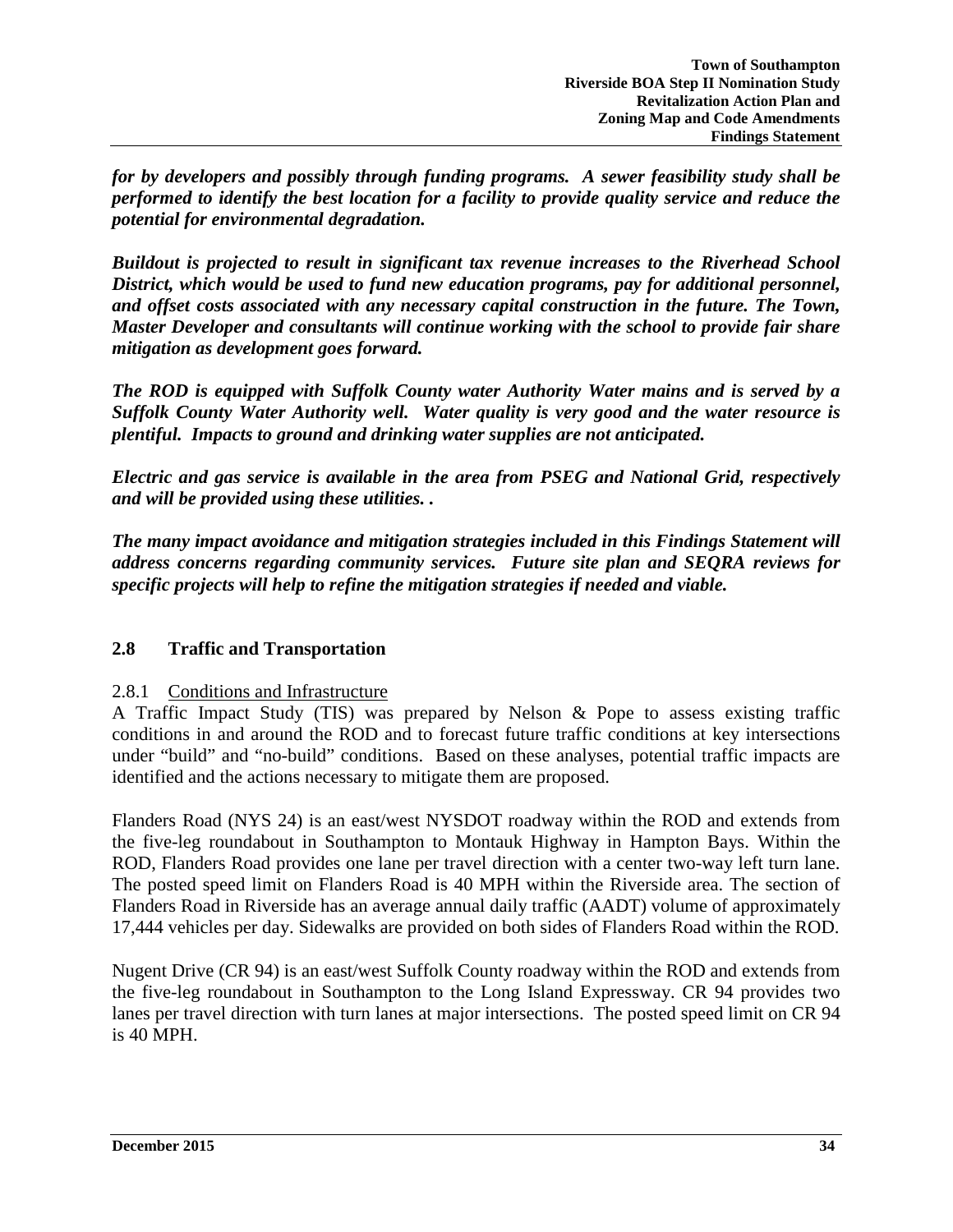*for by developers and possibly through funding programs. A sewer feasibility study shall be performed to identify the best location for a facility to provide quality service and reduce the potential for environmental degradation.* 

*Buildout is projected to result in significant tax revenue increases to the Riverhead School District, which would be used to fund new education programs, pay for additional personnel, and offset costs associated with any necessary capital construction in the future. The Town, Master Developer and consultants will continue working with the school to provide fair share mitigation as development goes forward.* 

*The ROD is equipped with Suffolk County water Authority Water mains and is served by a Suffolk County Water Authority well. Water quality is very good and the water resource is plentiful. Impacts to ground and drinking water supplies are not anticipated.* 

*Electric and gas service is available in the area from PSEG and National Grid, respectively and will be provided using these utilities. .*

*The many impact avoidance and mitigation strategies included in this Findings Statement will address concerns regarding community services. Future site plan and SEQRA reviews for specific projects will help to refine the mitigation strategies if needed and viable.* 

### **2.8 Traffic and Transportation**

### 2.8.1 Conditions and Infrastructure

A Traffic Impact Study (TIS) was prepared by Nelson & Pope to assess existing traffic conditions in and around the ROD and to forecast future traffic conditions at key intersections under "build" and "no-build" conditions. Based on these analyses, potential traffic impacts are identified and the actions necessary to mitigate them are proposed.

Flanders Road (NYS 24) is an east/west NYSDOT roadway within the ROD and extends from the five-leg roundabout in Southampton to Montauk Highway in Hampton Bays. Within the ROD, Flanders Road provides one lane per travel direction with a center two-way left turn lane. The posted speed limit on Flanders Road is 40 MPH within the Riverside area. The section of Flanders Road in Riverside has an average annual daily traffic (AADT) volume of approximately 17,444 vehicles per day. Sidewalks are provided on both sides of Flanders Road within the ROD.

Nugent Drive (CR 94) is an east/west Suffolk County roadway within the ROD and extends from the five-leg roundabout in Southampton to the Long Island Expressway. CR 94 provides two lanes per travel direction with turn lanes at major intersections. The posted speed limit on CR 94 is 40 MPH.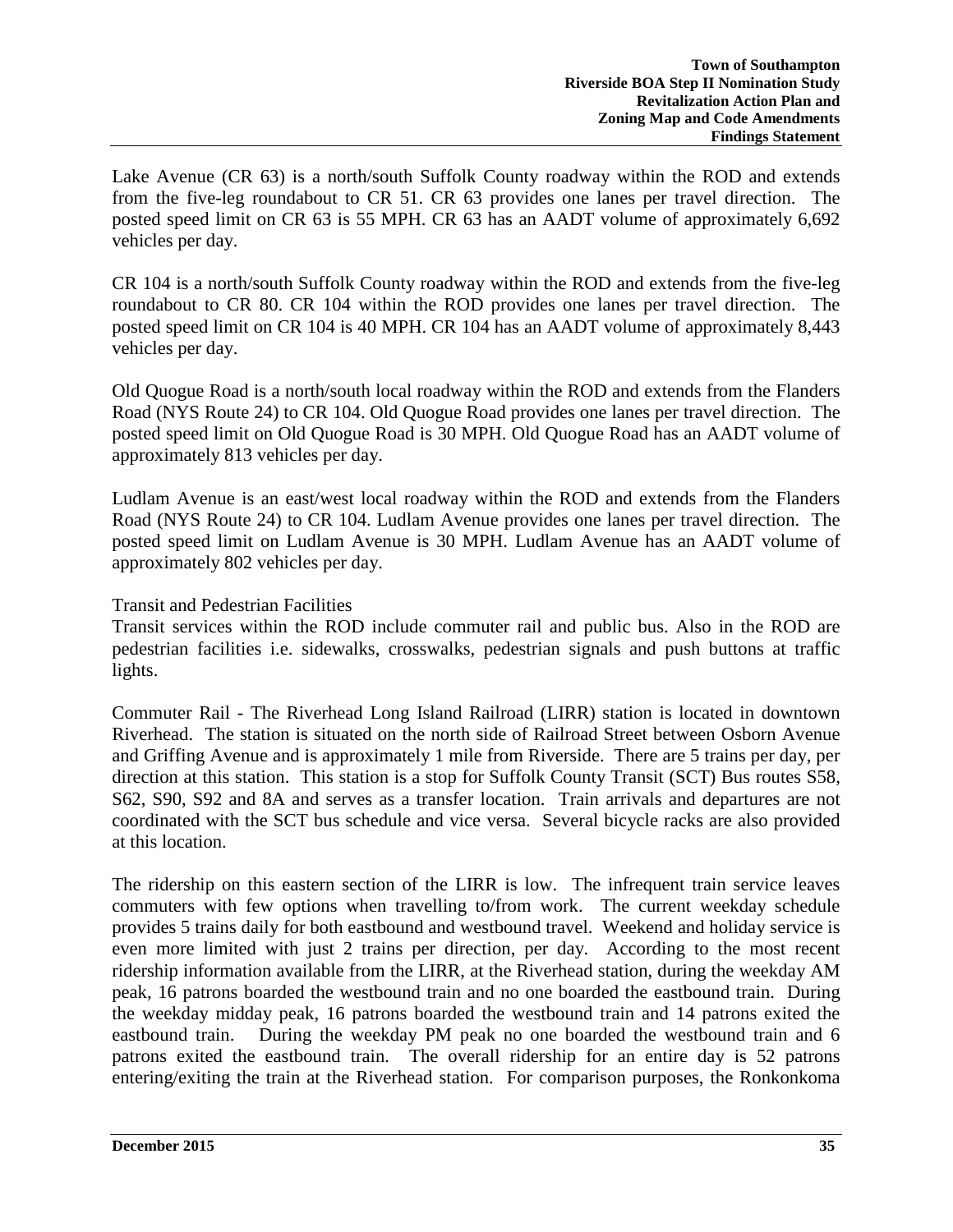Lake Avenue (CR 63) is a north/south Suffolk County roadway within the ROD and extends from the five-leg roundabout to CR 51. CR 63 provides one lanes per travel direction. The posted speed limit on CR 63 is 55 MPH. CR 63 has an AADT volume of approximately 6,692 vehicles per day.

CR 104 is a north/south Suffolk County roadway within the ROD and extends from the five-leg roundabout to CR 80. CR 104 within the ROD provides one lanes per travel direction. The posted speed limit on CR 104 is 40 MPH. CR 104 has an AADT volume of approximately 8,443 vehicles per day.

Old Quogue Road is a north/south local roadway within the ROD and extends from the Flanders Road (NYS Route 24) to CR 104. Old Quogue Road provides one lanes per travel direction. The posted speed limit on Old Quogue Road is 30 MPH. Old Quogue Road has an AADT volume of approximately 813 vehicles per day.

Ludlam Avenue is an east/west local roadway within the ROD and extends from the Flanders Road (NYS Route 24) to CR 104. Ludlam Avenue provides one lanes per travel direction. The posted speed limit on Ludlam Avenue is 30 MPH. Ludlam Avenue has an AADT volume of approximately 802 vehicles per day.

### Transit and Pedestrian Facilities

Transit services within the ROD include commuter rail and public bus. Also in the ROD are pedestrian facilities i.e. sidewalks, crosswalks, pedestrian signals and push buttons at traffic lights.

Commuter Rail - The Riverhead Long Island Railroad (LIRR) station is located in downtown Riverhead. The station is situated on the north side of Railroad Street between Osborn Avenue and Griffing Avenue and is approximately 1 mile from Riverside. There are 5 trains per day, per direction at this station. This station is a stop for Suffolk County Transit (SCT) Bus routes S58, S62, S90, S92 and 8A and serves as a transfer location. Train arrivals and departures are not coordinated with the SCT bus schedule and vice versa. Several bicycle racks are also provided at this location.

The ridership on this eastern section of the LIRR is low. The infrequent train service leaves commuters with few options when travelling to/from work. The current weekday schedule provides 5 trains daily for both eastbound and westbound travel. Weekend and holiday service is even more limited with just 2 trains per direction, per day. According to the most recent ridership information available from the LIRR, at the Riverhead station, during the weekday AM peak, 16 patrons boarded the westbound train and no one boarded the eastbound train. During the weekday midday peak, 16 patrons boarded the westbound train and 14 patrons exited the eastbound train. During the weekday PM peak no one boarded the westbound train and 6 patrons exited the eastbound train. The overall ridership for an entire day is 52 patrons entering/exiting the train at the Riverhead station. For comparison purposes, the Ronkonkoma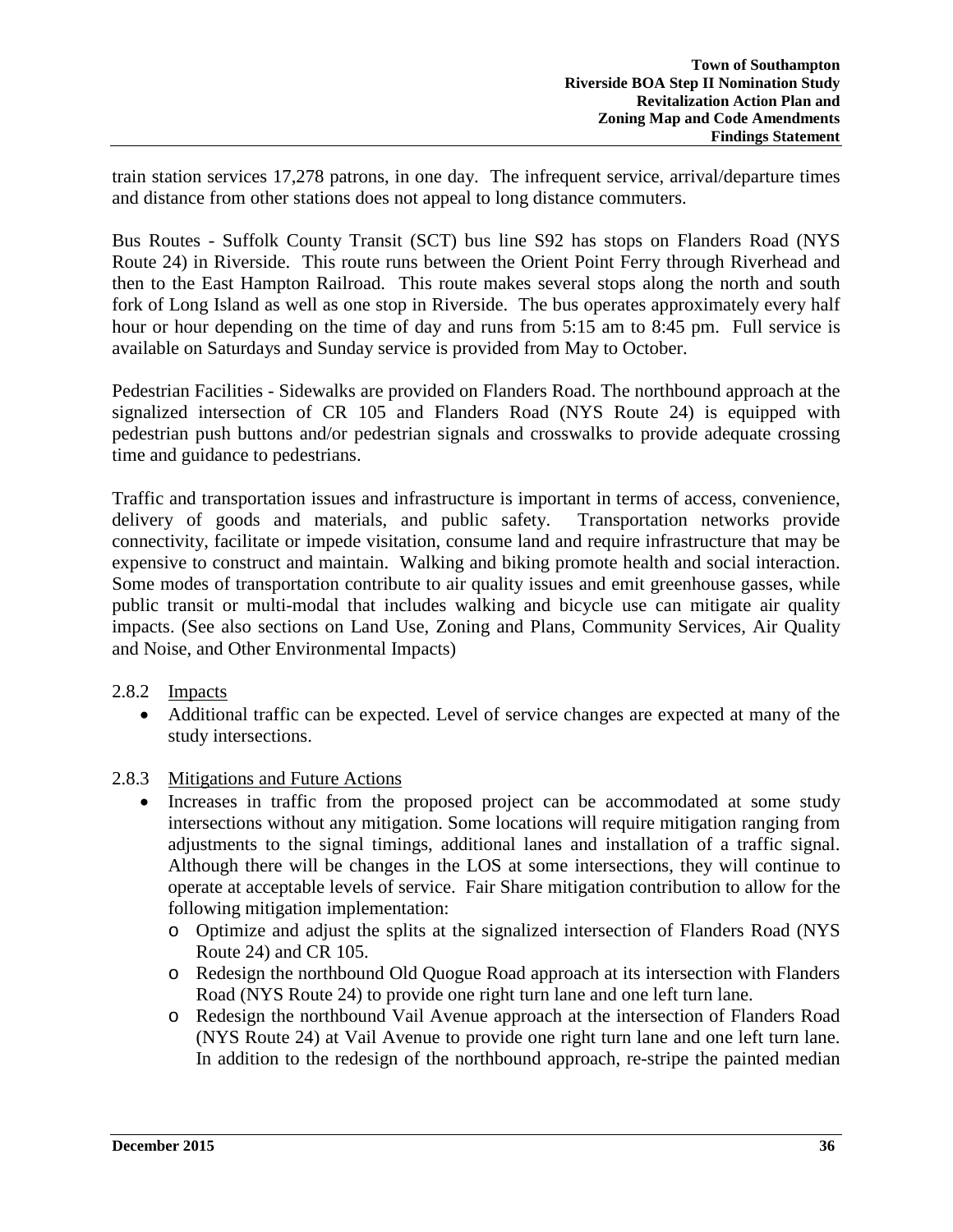train station services 17,278 patrons, in one day. The infrequent service, arrival/departure times and distance from other stations does not appeal to long distance commuters.

Bus Routes - Suffolk County Transit (SCT) bus line S92 has stops on Flanders Road (NYS Route 24) in Riverside. This route runs between the Orient Point Ferry through Riverhead and then to the East Hampton Railroad. This route makes several stops along the north and south fork of Long Island as well as one stop in Riverside. The bus operates approximately every half hour or hour depending on the time of day and runs from 5:15 am to 8:45 pm. Full service is available on Saturdays and Sunday service is provided from May to October.

Pedestrian Facilities - Sidewalks are provided on Flanders Road. The northbound approach at the signalized intersection of CR 105 and Flanders Road (NYS Route 24) is equipped with pedestrian push buttons and/or pedestrian signals and crosswalks to provide adequate crossing time and guidance to pedestrians.

Traffic and transportation issues and infrastructure is important in terms of access, convenience, delivery of goods and materials, and public safety. Transportation networks provide connectivity, facilitate or impede visitation, consume land and require infrastructure that may be expensive to construct and maintain. Walking and biking promote health and social interaction. Some modes of transportation contribute to air quality issues and emit greenhouse gasses, while public transit or multi-modal that includes walking and bicycle use can mitigate air quality impacts. (See also sections on Land Use, Zoning and Plans, Community Services, Air Quality and Noise, and Other Environmental Impacts)

### 2.8.2 Impacts

• Additional traffic can be expected. Level of service changes are expected at many of the study intersections.

# 2.8.3 Mitigations and Future Actions

- Increases in traffic from the proposed project can be accommodated at some study intersections without any mitigation. Some locations will require mitigation ranging from adjustments to the signal timings, additional lanes and installation of a traffic signal. Although there will be changes in the LOS at some intersections, they will continue to operate at acceptable levels of service. Fair Share mitigation contribution to allow for the following mitigation implementation:
	- o Optimize and adjust the splits at the signalized intersection of Flanders Road (NYS Route 24) and CR 105.
	- o Redesign the northbound Old Quogue Road approach at its intersection with Flanders Road (NYS Route 24) to provide one right turn lane and one left turn lane.
	- o Redesign the northbound Vail Avenue approach at the intersection of Flanders Road (NYS Route 24) at Vail Avenue to provide one right turn lane and one left turn lane. In addition to the redesign of the northbound approach, re-stripe the painted median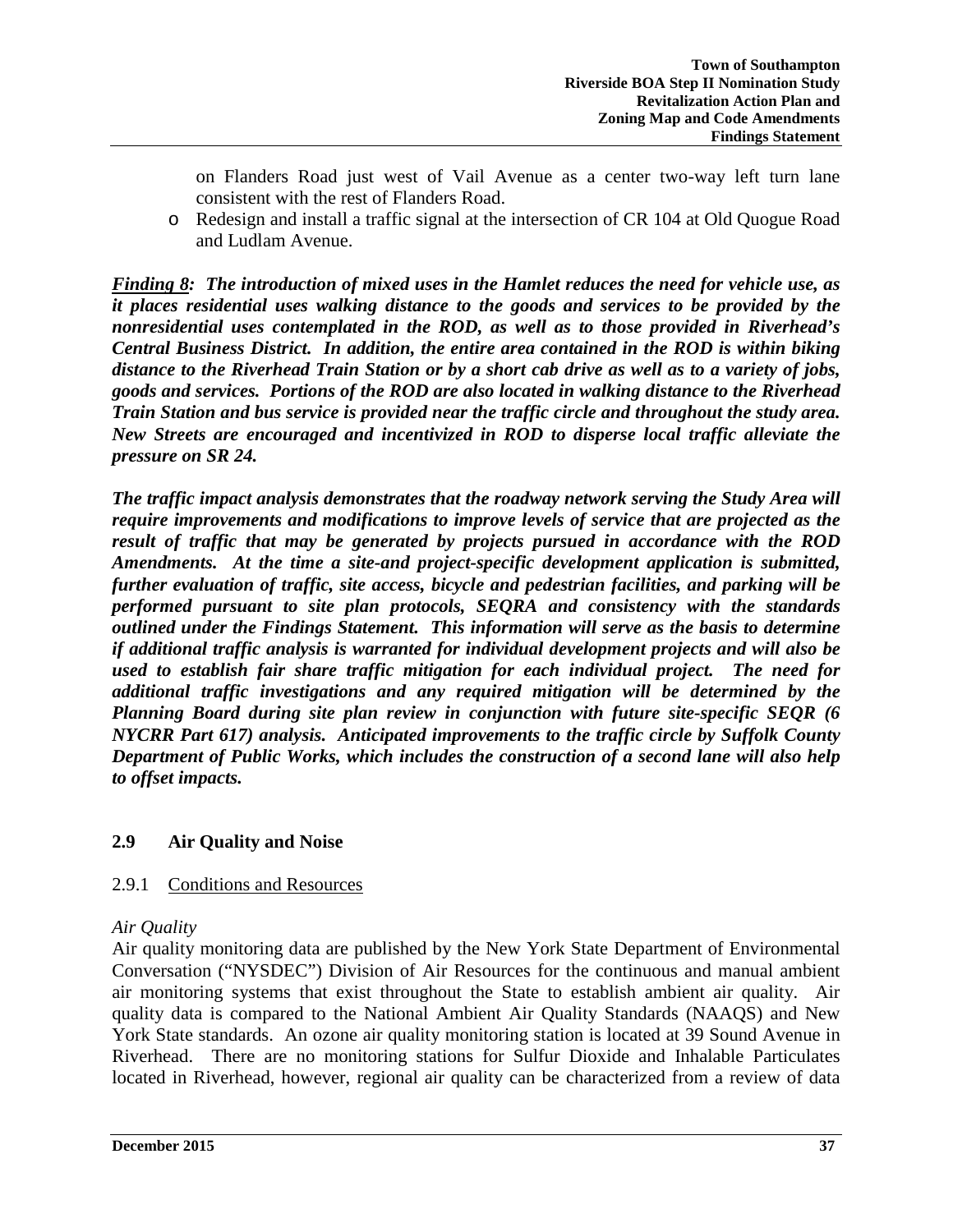on Flanders Road just west of Vail Avenue as a center two-way left turn lane consistent with the rest of Flanders Road.

o Redesign and install a traffic signal at the intersection of CR 104 at Old Quogue Road and Ludlam Avenue.

*Finding 8: The introduction of mixed uses in the Hamlet reduces the need for vehicle use, as it places residential uses walking distance to the goods and services to be provided by the nonresidential uses contemplated in the ROD, as well as to those provided in Riverhead's Central Business District. In addition, the entire area contained in the ROD is within biking distance to the Riverhead Train Station or by a short cab drive as well as to a variety of jobs, goods and services. Portions of the ROD are also located in walking distance to the Riverhead Train Station and bus service is provided near the traffic circle and throughout the study area. New Streets are encouraged and incentivized in ROD to disperse local traffic alleviate the pressure on SR 24.*

*The traffic impact analysis demonstrates that the roadway network serving the Study Area will require improvements and modifications to improve levels of service that are projected as the result of traffic that may be generated by projects pursued in accordance with the ROD Amendments. At the time a site-and project-specific development application is submitted, further evaluation of traffic, site access, bicycle and pedestrian facilities, and parking will be performed pursuant to site plan protocols, SEQRA and consistency with the standards outlined under the Findings Statement. This information will serve as the basis to determine if additional traffic analysis is warranted for individual development projects and will also be used to establish fair share traffic mitigation for each individual project. The need for additional traffic investigations and any required mitigation will be determined by the Planning Board during site plan review in conjunction with future site-specific SEQR (6 NYCRR Part 617) analysis. Anticipated improvements to the traffic circle by Suffolk County Department of Public Works, which includes the construction of a second lane will also help to offset impacts.* 

# **2.9 Air Quality and Noise**

# 2.9.1 Conditions and Resources

# *Air Quality*

Air quality monitoring data are published by the New York State Department of Environmental Conversation ("NYSDEC") Division of Air Resources for the continuous and manual ambient air monitoring systems that exist throughout the State to establish ambient air quality. Air quality data is compared to the National Ambient Air Quality Standards (NAAQS) and New York State standards. An ozone air quality monitoring station is located at 39 Sound Avenue in Riverhead. There are no monitoring stations for Sulfur Dioxide and Inhalable Particulates located in Riverhead, however, regional air quality can be characterized from a review of data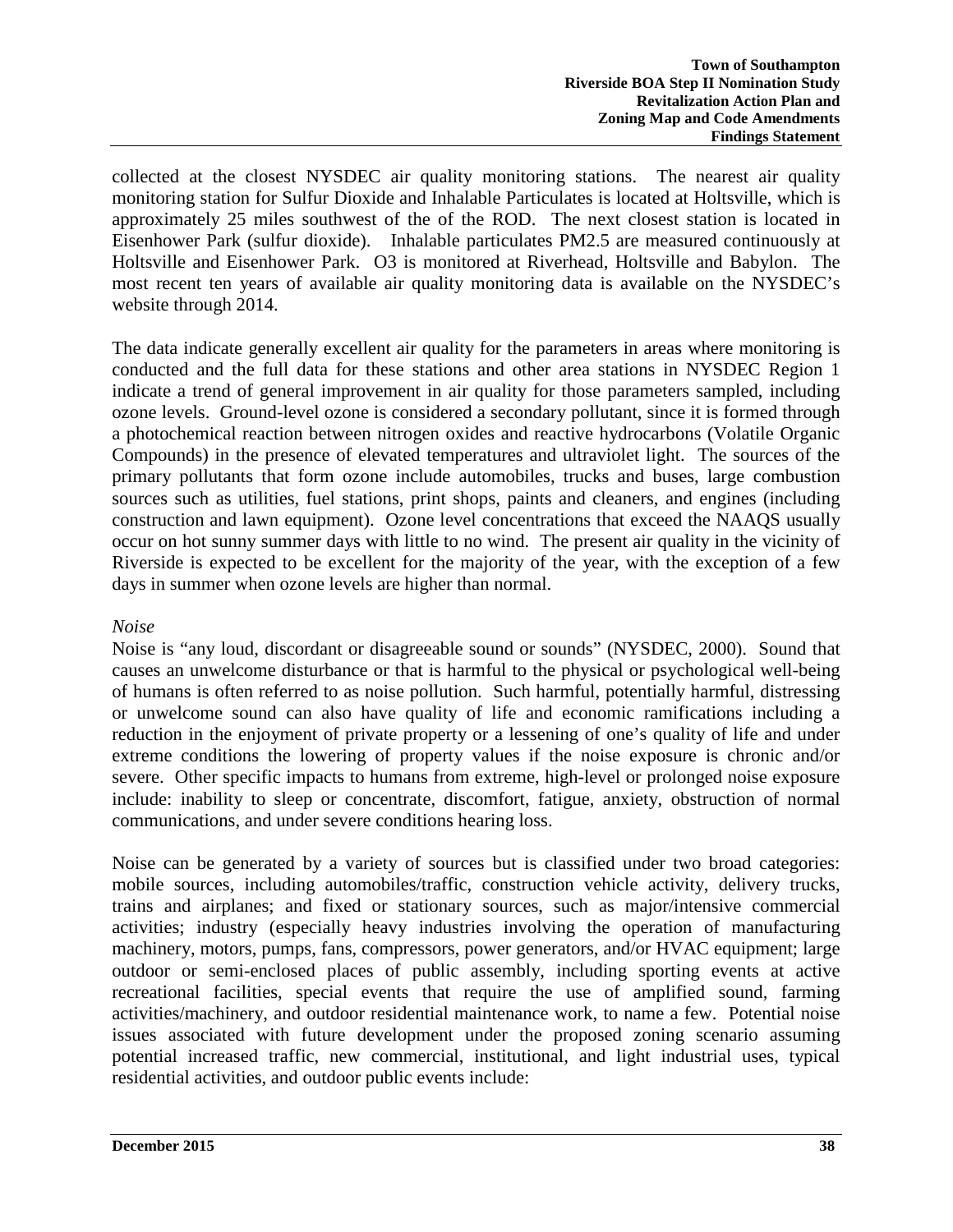collected at the closest NYSDEC air quality monitoring stations. The nearest air quality monitoring station for Sulfur Dioxide and Inhalable Particulates is located at Holtsville, which is approximately 25 miles southwest of the of the ROD. The next closest station is located in Eisenhower Park (sulfur dioxide). Inhalable particulates PM2.5 are measured continuously at Holtsville and Eisenhower Park. O3 is monitored at Riverhead, Holtsville and Babylon. The most recent ten years of available air quality monitoring data is available on the NYSDEC's website through 2014.

The data indicate generally excellent air quality for the parameters in areas where monitoring is conducted and the full data for these stations and other area stations in NYSDEC Region 1 indicate a trend of general improvement in air quality for those parameters sampled, including ozone levels. Ground-level ozone is considered a secondary pollutant, since it is formed through a photochemical reaction between nitrogen oxides and reactive hydrocarbons (Volatile Organic Compounds) in the presence of elevated temperatures and ultraviolet light. The sources of the primary pollutants that form ozone include automobiles, trucks and buses, large combustion sources such as utilities, fuel stations, print shops, paints and cleaners, and engines (including construction and lawn equipment). Ozone level concentrations that exceed the NAAQS usually occur on hot sunny summer days with little to no wind. The present air quality in the vicinity of Riverside is expected to be excellent for the majority of the year, with the exception of a few days in summer when ozone levels are higher than normal.

## *Noise*

Noise is "any loud, discordant or disagreeable sound or sounds" (NYSDEC, 2000). Sound that causes an unwelcome disturbance or that is harmful to the physical or psychological well-being of humans is often referred to as noise pollution. Such harmful, potentially harmful, distressing or unwelcome sound can also have quality of life and economic ramifications including a reduction in the enjoyment of private property or a lessening of one's quality of life and under extreme conditions the lowering of property values if the noise exposure is chronic and/or severe. Other specific impacts to humans from extreme, high-level or prolonged noise exposure include: inability to sleep or concentrate, discomfort, fatigue, anxiety, obstruction of normal communications, and under severe conditions hearing loss.

Noise can be generated by a variety of sources but is classified under two broad categories: mobile sources, including automobiles/traffic, construction vehicle activity, delivery trucks, trains and airplanes; and fixed or stationary sources, such as major/intensive commercial activities; industry (especially heavy industries involving the operation of manufacturing machinery, motors, pumps, fans, compressors, power generators, and/or HVAC equipment; large outdoor or semi-enclosed places of public assembly, including sporting events at active recreational facilities, special events that require the use of amplified sound, farming activities/machinery, and outdoor residential maintenance work, to name a few. Potential noise issues associated with future development under the proposed zoning scenario assuming potential increased traffic, new commercial, institutional, and light industrial uses, typical residential activities, and outdoor public events include: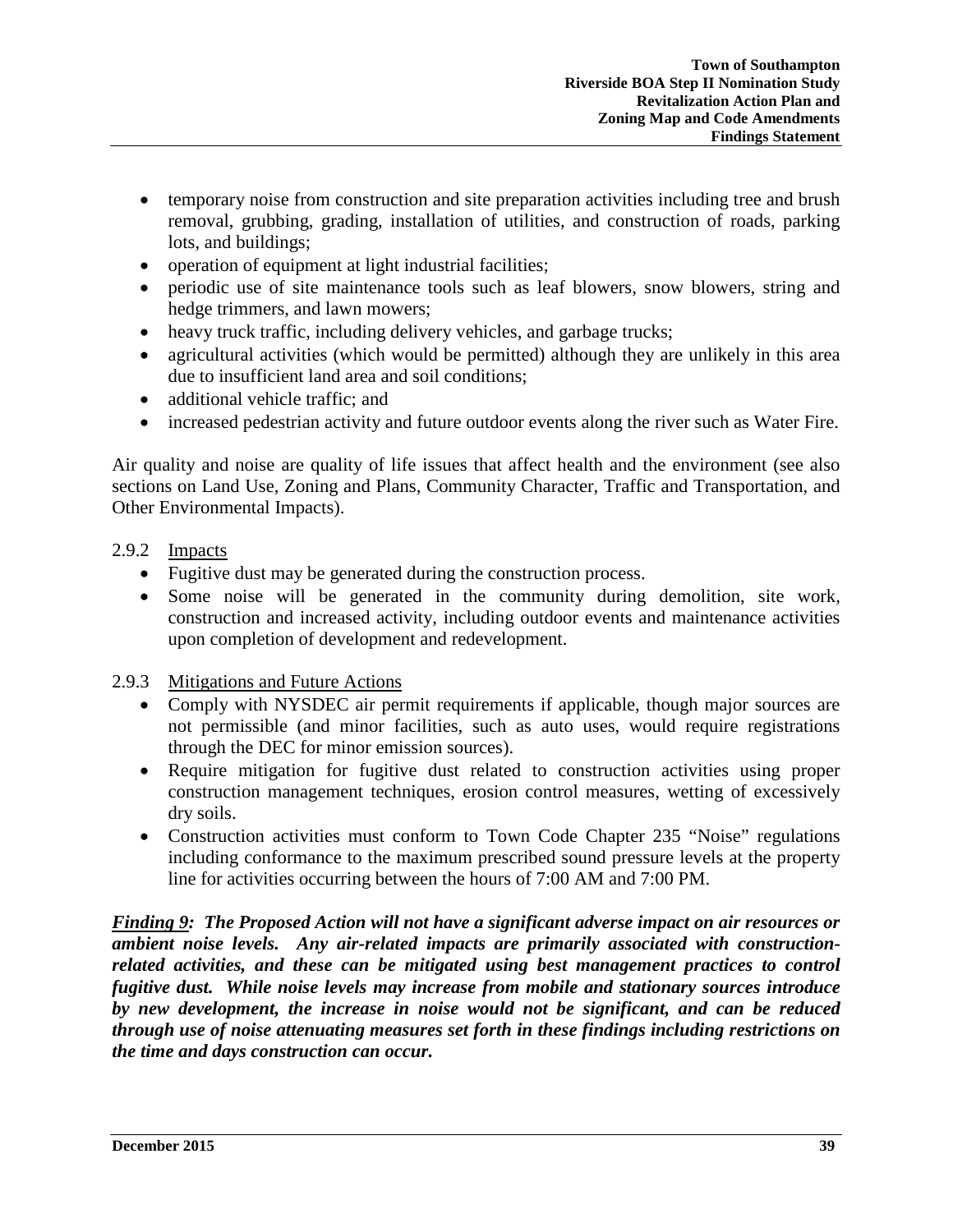- temporary noise from construction and site preparation activities including tree and brush removal, grubbing, grading, installation of utilities, and construction of roads, parking lots, and buildings;
- operation of equipment at light industrial facilities;
- periodic use of site maintenance tools such as leaf blowers, snow blowers, string and hedge trimmers, and lawn mowers;
- heavy truck traffic, including delivery vehicles, and garbage trucks;
- agricultural activities (which would be permitted) although they are unlikely in this area due to insufficient land area and soil conditions;
- additional vehicle traffic: and
- increased pedestrian activity and future outdoor events along the river such as Water Fire.

Air quality and noise are quality of life issues that affect health and the environment (see also sections on Land Use, Zoning and Plans, Community Character, Traffic and Transportation, and Other Environmental Impacts).

# 2.9.2 Impacts

- Fugitive dust may be generated during the construction process.
- Some noise will be generated in the community during demolition, site work, construction and increased activity, including outdoor events and maintenance activities upon completion of development and redevelopment.

# 2.9.3 Mitigations and Future Actions

- Comply with NYSDEC air permit requirements if applicable, though major sources are not permissible (and minor facilities, such as auto uses, would require registrations through the DEC for minor emission sources).
- Require mitigation for fugitive dust related to construction activities using proper construction management techniques, erosion control measures, wetting of excessively dry soils.
- Construction activities must conform to Town Code Chapter 235 "Noise" regulations including conformance to the maximum prescribed sound pressure levels at the property line for activities occurring between the hours of 7:00 AM and 7:00 PM.

*Finding 9: The Proposed Action will not have a significant adverse impact on air resources or ambient noise levels. Any air-related impacts are primarily associated with constructionrelated activities, and these can be mitigated using best management practices to control fugitive dust. While noise levels may increase from mobile and stationary sources introduce by new development, the increase in noise would not be significant, and can be reduced through use of noise attenuating measures set forth in these findings including restrictions on the time and days construction can occur.*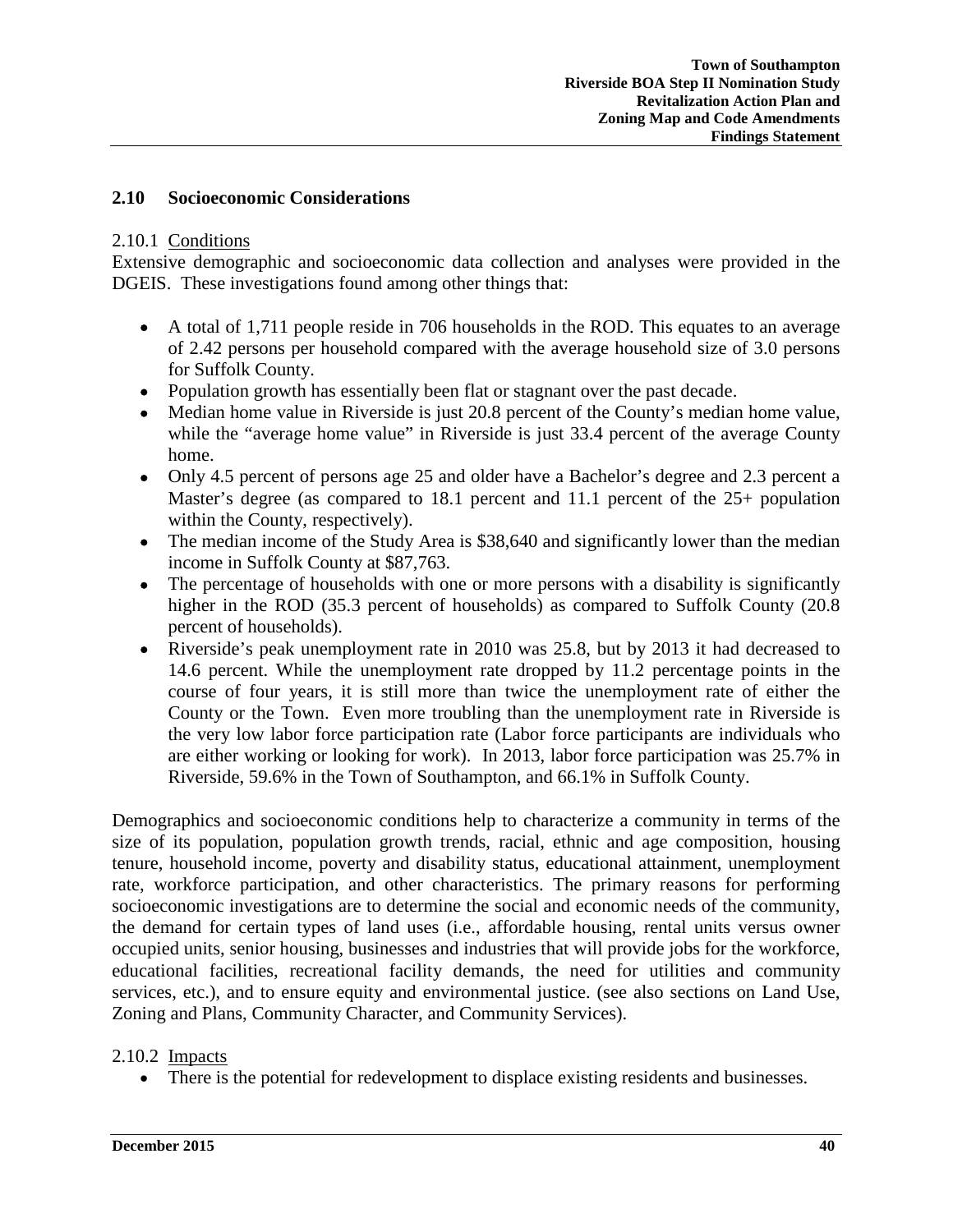### **2.10 Socioeconomic Considerations**

#### 2.10.1 Conditions

Extensive demographic and socioeconomic data collection and analyses were provided in the DGEIS. These investigations found among other things that:

- A total of 1,711 people reside in 706 households in the ROD. This equates to an average of 2.42 persons per household compared with the average household size of 3.0 persons for Suffolk County.
- Population growth has essentially been flat or stagnant over the past decade.
- Median home value in Riverside is just 20.8 percent of the County's median home value, while the "average home value" in Riverside is just 33.4 percent of the average County home.
- Only 4.5 percent of persons age 25 and older have a Bachelor's degree and 2.3 percent a Master's degree (as compared to 18.1 percent and 11.1 percent of the 25+ population within the County, respectively).
- The median income of the Study Area is \$38,640 and significantly lower than the median income in Suffolk County at \$87,763.
- The percentage of households with one or more persons with a disability is significantly higher in the ROD (35.3 percent of households) as compared to Suffolk County (20.8 percent of households).
- Riverside's peak unemployment rate in 2010 was 25.8, but by 2013 it had decreased to 14.6 percent. While the unemployment rate dropped by 11.2 percentage points in the course of four years, it is still more than twice the unemployment rate of either the County or the Town. Even more troubling than the unemployment rate in Riverside is the very low labor force participation rate (Labor force participants are individuals who are either working or looking for work). In 2013, labor force participation was 25.7% in Riverside, 59.6% in the Town of Southampton, and 66.1% in Suffolk County.

Demographics and socioeconomic conditions help to characterize a community in terms of the size of its population, population growth trends, racial, ethnic and age composition, housing tenure, household income, poverty and disability status, educational attainment, unemployment rate, workforce participation, and other characteristics. The primary reasons for performing socioeconomic investigations are to determine the social and economic needs of the community, the demand for certain types of land uses (i.e., affordable housing, rental units versus owner occupied units, senior housing, businesses and industries that will provide jobs for the workforce, educational facilities, recreational facility demands, the need for utilities and community services, etc.), and to ensure equity and environmental justice. (see also sections on Land Use, Zoning and Plans, Community Character, and Community Services).

#### 2.10.2 Impacts

• There is the potential for redevelopment to displace existing residents and businesses.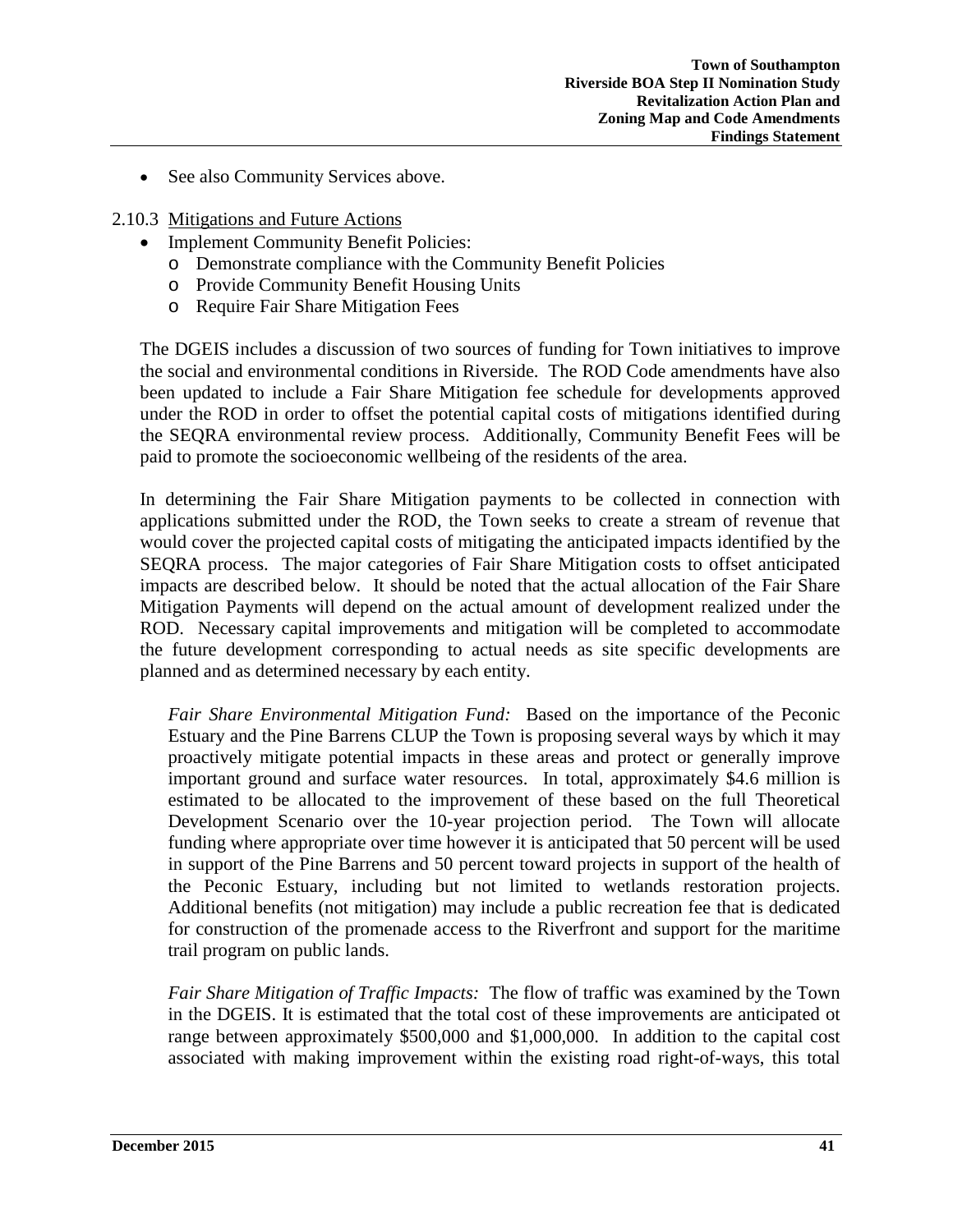• See also Community Services above.

#### 2.10.3 Mitigations and Future Actions

- Implement Community Benefit Policies:
	- o Demonstrate compliance with the Community Benefit Policies
	- o Provide Community Benefit Housing Units
	- o Require Fair Share Mitigation Fees

The DGEIS includes a discussion of two sources of funding for Town initiatives to improve the social and environmental conditions in Riverside. The ROD Code amendments have also been updated to include a Fair Share Mitigation fee schedule for developments approved under the ROD in order to offset the potential capital costs of mitigations identified during the SEQRA environmental review process. Additionally, Community Benefit Fees will be paid to promote the socioeconomic wellbeing of the residents of the area.

In determining the Fair Share Mitigation payments to be collected in connection with applications submitted under the ROD, the Town seeks to create a stream of revenue that would cover the projected capital costs of mitigating the anticipated impacts identified by the SEQRA process. The major categories of Fair Share Mitigation costs to offset anticipated impacts are described below. It should be noted that the actual allocation of the Fair Share Mitigation Payments will depend on the actual amount of development realized under the ROD. Necessary capital improvements and mitigation will be completed to accommodate the future development corresponding to actual needs as site specific developments are planned and as determined necessary by each entity.

*Fair Share Environmental Mitigation Fund:* Based on the importance of the Peconic Estuary and the Pine Barrens CLUP the Town is proposing several ways by which it may proactively mitigate potential impacts in these areas and protect or generally improve important ground and surface water resources. In total, approximately \$4.6 million is estimated to be allocated to the improvement of these based on the full Theoretical Development Scenario over the 10-year projection period. The Town will allocate funding where appropriate over time however it is anticipated that 50 percent will be used in support of the Pine Barrens and 50 percent toward projects in support of the health of the Peconic Estuary, including but not limited to wetlands restoration projects. Additional benefits (not mitigation) may include a public recreation fee that is dedicated for construction of the promenade access to the Riverfront and support for the maritime trail program on public lands.

*Fair Share Mitigation of Traffic Impacts:* The flow of traffic was examined by the Town in the DGEIS. It is estimated that the total cost of these improvements are anticipated ot range between approximately \$500,000 and \$1,000,000. In addition to the capital cost associated with making improvement within the existing road right-of-ways, this total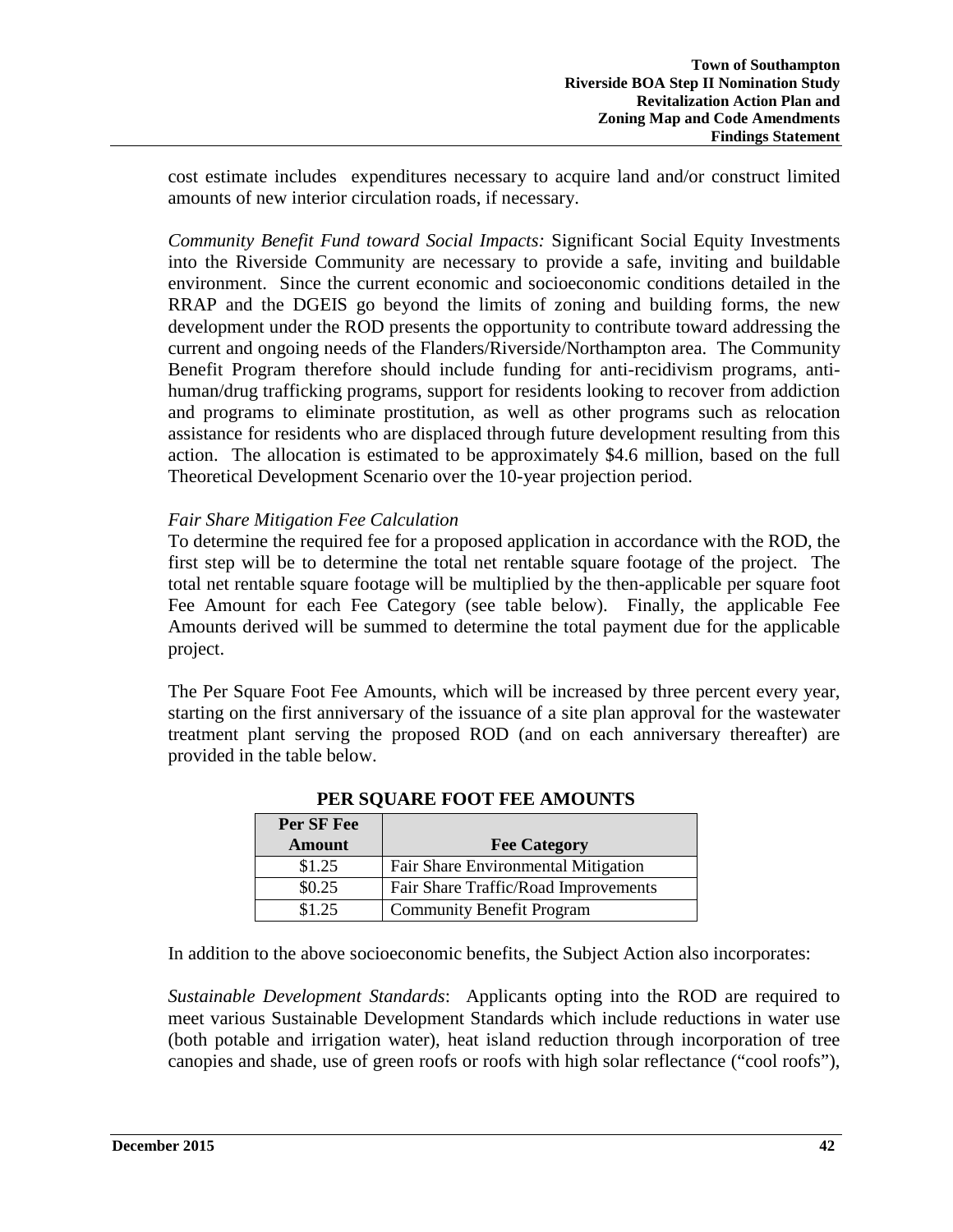cost estimate includes expenditures necessary to acquire land and/or construct limited amounts of new interior circulation roads, if necessary.

*Community Benefit Fund toward Social Impacts:* Significant Social Equity Investments into the Riverside Community are necessary to provide a safe, inviting and buildable environment. Since the current economic and socioeconomic conditions detailed in the RRAP and the DGEIS go beyond the limits of zoning and building forms, the new development under the ROD presents the opportunity to contribute toward addressing the current and ongoing needs of the Flanders/Riverside/Northampton area. The Community Benefit Program therefore should include funding for anti-recidivism programs, antihuman/drug trafficking programs, support for residents looking to recover from addiction and programs to eliminate prostitution, as well as other programs such as relocation assistance for residents who are displaced through future development resulting from this action. The allocation is estimated to be approximately \$4.6 million, based on the full Theoretical Development Scenario over the 10-year projection period.

## *Fair Share Mitigation Fee Calculation*

To determine the required fee for a proposed application in accordance with the ROD, the first step will be to determine the total net rentable square footage of the project. The total net rentable square footage will be multiplied by the then-applicable per square foot Fee Amount for each Fee Category (see table below). Finally, the applicable Fee Amounts derived will be summed to determine the total payment due for the applicable project.

The Per Square Foot Fee Amounts, which will be increased by three percent every year, starting on the first anniversary of the issuance of a site plan approval for the wastewater treatment plant serving the proposed ROD (and on each anniversary thereafter) are provided in the table below.

| Per SF Fee    |                                      |
|---------------|--------------------------------------|
| <b>Amount</b> | <b>Fee Category</b>                  |
| \$1.25        | Fair Share Environmental Mitigation  |
| \$0.25        | Fair Share Traffic/Road Improvements |
| \$1.25        | <b>Community Benefit Program</b>     |

# **PER SQUARE FOOT FEE AMOUNTS**

In addition to the above socioeconomic benefits, the Subject Action also incorporates:

*Sustainable Development Standards*: Applicants opting into the ROD are required to meet various Sustainable Development Standards which include reductions in water use (both potable and irrigation water), heat island reduction through incorporation of tree canopies and shade, use of green roofs or roofs with high solar reflectance ("cool roofs"),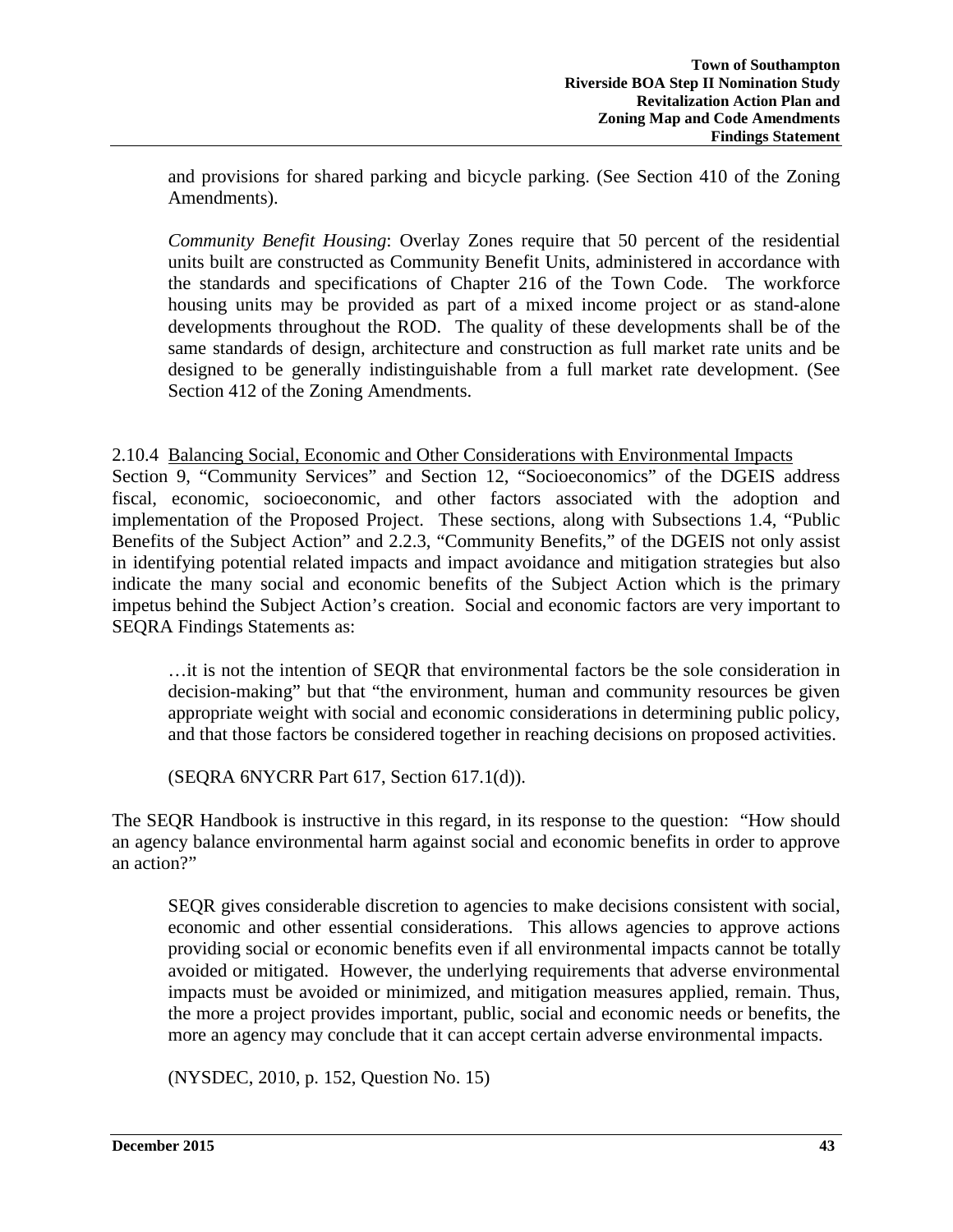and provisions for shared parking and bicycle parking. (See Section 410 of the Zoning Amendments).

*Community Benefit Housing*: Overlay Zones require that 50 percent of the residential units built are constructed as Community Benefit Units, administered in accordance with the standards and specifications of Chapter 216 of the Town Code. The workforce housing units may be provided as part of a mixed income project or as stand-alone developments throughout the ROD. The quality of these developments shall be of the same standards of design, architecture and construction as full market rate units and be designed to be generally indistinguishable from a full market rate development. (See Section 412 of the Zoning Amendments.

#### 2.10.4 Balancing Social, Economic and Other Considerations with Environmental Impacts

Section 9, "Community Services" and Section 12, "Socioeconomics" of the DGEIS address fiscal, economic, socioeconomic, and other factors associated with the adoption and implementation of the Proposed Project. These sections, along with Subsections 1.4, "Public Benefits of the Subject Action" and 2.2.3, "Community Benefits," of the DGEIS not only assist in identifying potential related impacts and impact avoidance and mitigation strategies but also indicate the many social and economic benefits of the Subject Action which is the primary impetus behind the Subject Action's creation. Social and economic factors are very important to SEQRA Findings Statements as:

…it is not the intention of SEQR that environmental factors be the sole consideration in decision-making" but that "the environment, human and community resources be given appropriate weight with social and economic considerations in determining public policy, and that those factors be considered together in reaching decisions on proposed activities.

(SEQRA 6NYCRR Part 617, Section 617.1(d)).

The SEQR Handbook is instructive in this regard, in its response to the question: "How should an agency balance environmental harm against social and economic benefits in order to approve an action?"

SEQR gives considerable discretion to agencies to make decisions consistent with social, economic and other essential considerations. This allows agencies to approve actions providing social or economic benefits even if all environmental impacts cannot be totally avoided or mitigated. However, the underlying requirements that adverse environmental impacts must be avoided or minimized, and mitigation measures applied, remain. Thus, the more a project provides important, public, social and economic needs or benefits, the more an agency may conclude that it can accept certain adverse environmental impacts.

(NYSDEC, 2010, p. 152, Question No. 15)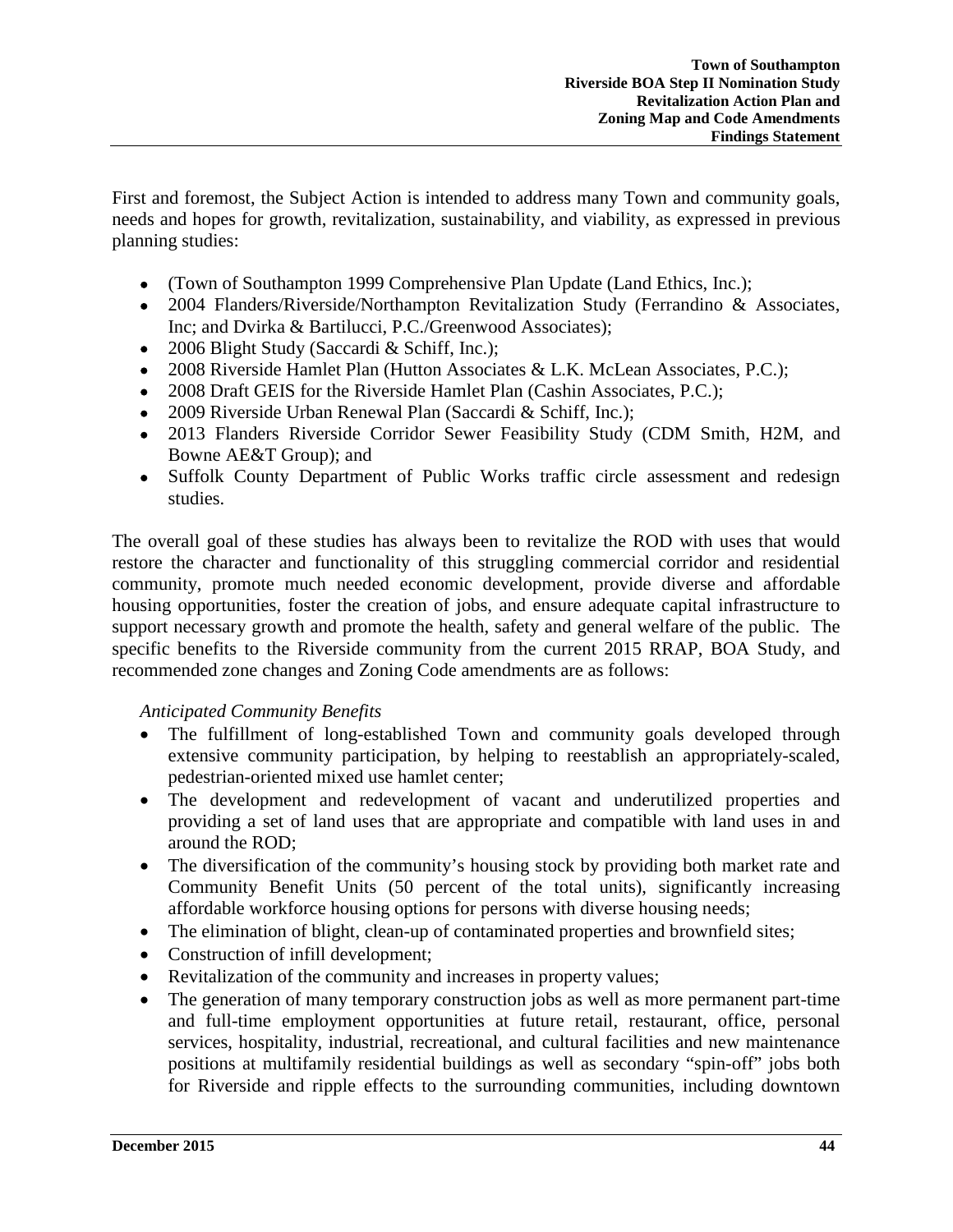First and foremost, the Subject Action is intended to address many Town and community goals, needs and hopes for growth, revitalization, sustainability, and viability, as expressed in previous planning studies:

- (Town of Southampton 1999 Comprehensive Plan Update (Land Ethics, Inc.);
- 2004 Flanders/Riverside/Northampton Revitalization Study (Ferrandino & Associates, Inc; and Dvirka & Bartilucci, P.C./Greenwood Associates);
- 2006 Blight Study (Saccardi & Schiff, Inc.);
- 2008 Riverside Hamlet Plan (Hutton Associates & L.K. McLean Associates, P.C.);
- 2008 Draft GEIS for the Riverside Hamlet Plan (Cashin Associates, P.C.);
- 2009 Riverside Urban Renewal Plan (Saccardi & Schiff, Inc.);
- 2013 Flanders Riverside Corridor Sewer Feasibility Study (CDM Smith, H2M, and Bowne AE&T Group); and
- Suffolk County Department of Public Works traffic circle assessment and redesign studies.

The overall goal of these studies has always been to revitalize the ROD with uses that would restore the character and functionality of this struggling commercial corridor and residential community, promote much needed economic development, provide diverse and affordable housing opportunities, foster the creation of jobs, and ensure adequate capital infrastructure to support necessary growth and promote the health, safety and general welfare of the public. The specific benefits to the Riverside community from the current 2015 RRAP, BOA Study, and recommended zone changes and Zoning Code amendments are as follows:

## *Anticipated Community Benefits*

- The fulfillment of long-established Town and community goals developed through extensive community participation, by helping to reestablish an appropriately-scaled, pedestrian-oriented mixed use hamlet center;
- The development and redevelopment of vacant and underutilized properties and providing a set of land uses that are appropriate and compatible with land uses in and around the ROD;
- The diversification of the community's housing stock by providing both market rate and Community Benefit Units (50 percent of the total units), significantly increasing affordable workforce housing options for persons with diverse housing needs;
- The elimination of blight, clean-up of contaminated properties and brownfield sites;
- Construction of infill development;
- Revitalization of the community and increases in property values;
- The generation of many temporary construction jobs as well as more permanent part-time and full-time employment opportunities at future retail, restaurant, office, personal services, hospitality, industrial, recreational, and cultural facilities and new maintenance positions at multifamily residential buildings as well as secondary "spin-off" jobs both for Riverside and ripple effects to the surrounding communities, including downtown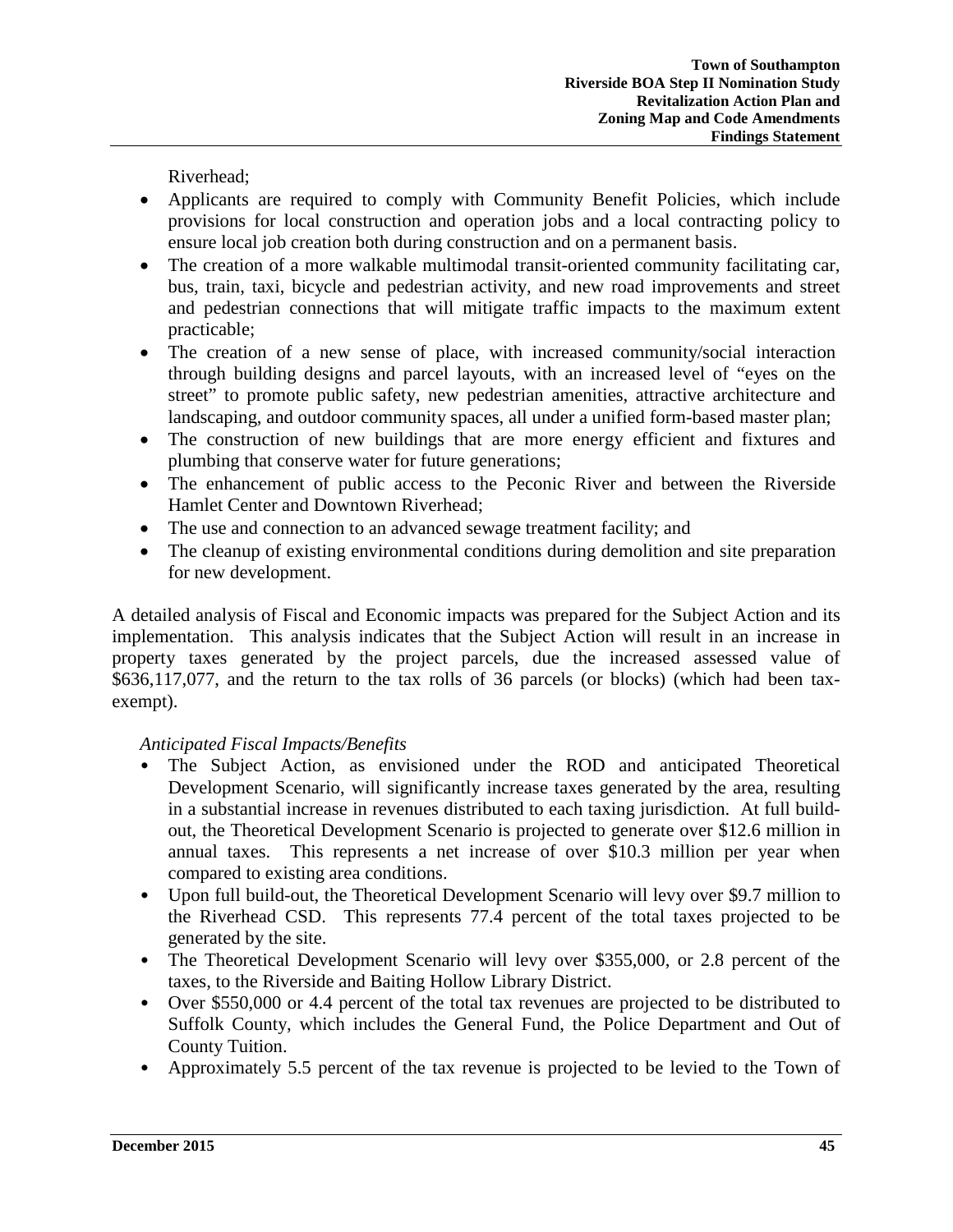Riverhead;

- Applicants are required to comply with Community Benefit Policies, which include provisions for local construction and operation jobs and a local contracting policy to ensure local job creation both during construction and on a permanent basis.
- The creation of a more walkable multimodal transit-oriented community facilitating car, bus, train, taxi, bicycle and pedestrian activity, and new road improvements and street and pedestrian connections that will mitigate traffic impacts to the maximum extent practicable;
- The creation of a new sense of place, with increased community/social interaction through building designs and parcel layouts, with an increased level of "eyes on the street" to promote public safety, new pedestrian amenities, attractive architecture and landscaping, and outdoor community spaces, all under a unified form-based master plan;
- The construction of new buildings that are more energy efficient and fixtures and plumbing that conserve water for future generations;
- The enhancement of public access to the Peconic River and between the Riverside Hamlet Center and Downtown Riverhead;
- The use and connection to an advanced sewage treatment facility; and
- The cleanup of existing environmental conditions during demolition and site preparation for new development.

A detailed analysis of Fiscal and Economic impacts was prepared for the Subject Action and its implementation. This analysis indicates that the Subject Action will result in an increase in property taxes generated by the project parcels, due the increased assessed value of \$636,117,077, and the return to the tax rolls of 36 parcels (or blocks) (which had been taxexempt).

## *Anticipated Fiscal Impacts/Benefits*

- The Subject Action, as envisioned under the ROD and anticipated Theoretical Development Scenario, will significantly increase taxes generated by the area, resulting in a substantial increase in revenues distributed to each taxing jurisdiction. At full buildout, the Theoretical Development Scenario is projected to generate over \$12.6 million in annual taxes. This represents a net increase of over \$10.3 million per year when compared to existing area conditions.
- Upon full build-out, the Theoretical Development Scenario will levy over \$9.7 million to the Riverhead CSD. This represents 77.4 percent of the total taxes projected to be generated by the site.
- The Theoretical Development Scenario will levy over \$355,000, or 2.8 percent of the taxes, to the Riverside and Baiting Hollow Library District.
- Over \$550,000 or 4.4 percent of the total tax revenues are projected to be distributed to Suffolk County, which includes the General Fund, the Police Department and Out of County Tuition.
- Approximately 5.5 percent of the tax revenue is projected to be levied to the Town of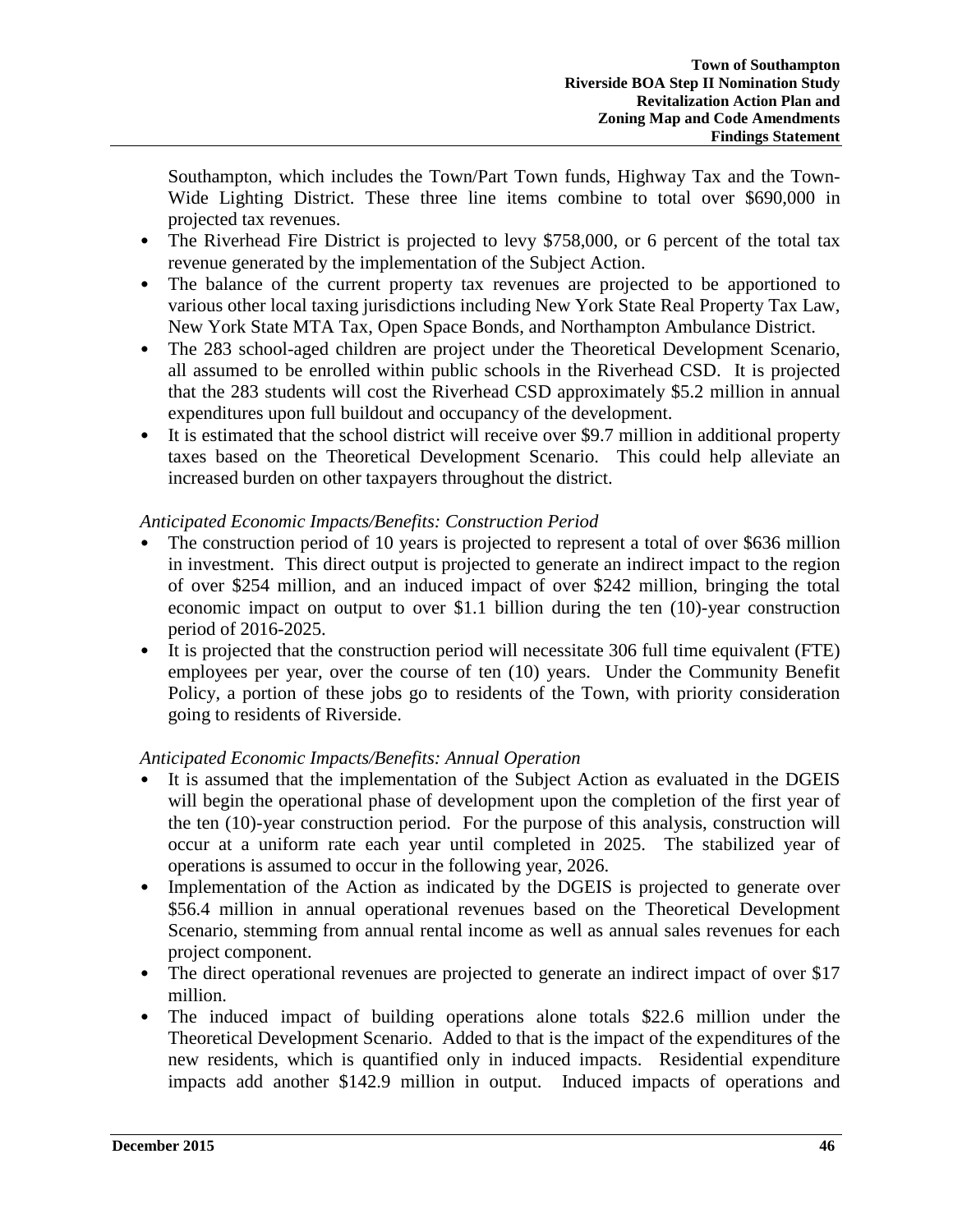Southampton, which includes the Town/Part Town funds, Highway Tax and the Town-Wide Lighting District. These three line items combine to total over \$690,000 in projected tax revenues.

- The Riverhead Fire District is projected to levy \$758,000, or 6 percent of the total tax revenue generated by the implementation of the Subject Action.
- The balance of the current property tax revenues are projected to be apportioned to various other local taxing jurisdictions including New York State Real Property Tax Law, New York State MTA Tax, Open Space Bonds, and Northampton Ambulance District.
- The 283 school-aged children are project under the Theoretical Development Scenario, all assumed to be enrolled within public schools in the Riverhead CSD. It is projected that the 283 students will cost the Riverhead CSD approximately \$5.2 million in annual expenditures upon full buildout and occupancy of the development.
- It is estimated that the school district will receive over \$9.7 million in additional property taxes based on the Theoretical Development Scenario. This could help alleviate an increased burden on other taxpayers throughout the district.

# *Anticipated Economic Impacts/Benefits: Construction Period*

- The construction period of 10 years is projected to represent a total of over \$636 million in investment. This direct output is projected to generate an indirect impact to the region of over \$254 million, and an induced impact of over \$242 million, bringing the total economic impact on output to over \$1.1 billion during the ten (10)-year construction period of 2016-2025.
- It is projected that the construction period will necessitate 306 full time equivalent (FTE) employees per year, over the course of ten (10) years. Under the Community Benefit Policy, a portion of these jobs go to residents of the Town, with priority consideration going to residents of Riverside.

# *Anticipated Economic Impacts/Benefits: Annual Operation*

- It is assumed that the implementation of the Subject Action as evaluated in the DGEIS will begin the operational phase of development upon the completion of the first year of the ten (10)-year construction period. For the purpose of this analysis, construction will occur at a uniform rate each year until completed in 2025. The stabilized year of operations is assumed to occur in the following year, 2026.
- Implementation of the Action as indicated by the DGEIS is projected to generate over \$56.4 million in annual operational revenues based on the Theoretical Development Scenario, stemming from annual rental income as well as annual sales revenues for each project component.
- The direct operational revenues are projected to generate an indirect impact of over \$17 million.
- The induced impact of building operations alone totals \$22.6 million under the Theoretical Development Scenario. Added to that is the impact of the expenditures of the new residents, which is quantified only in induced impacts. Residential expenditure impacts add another \$142.9 million in output. Induced impacts of operations and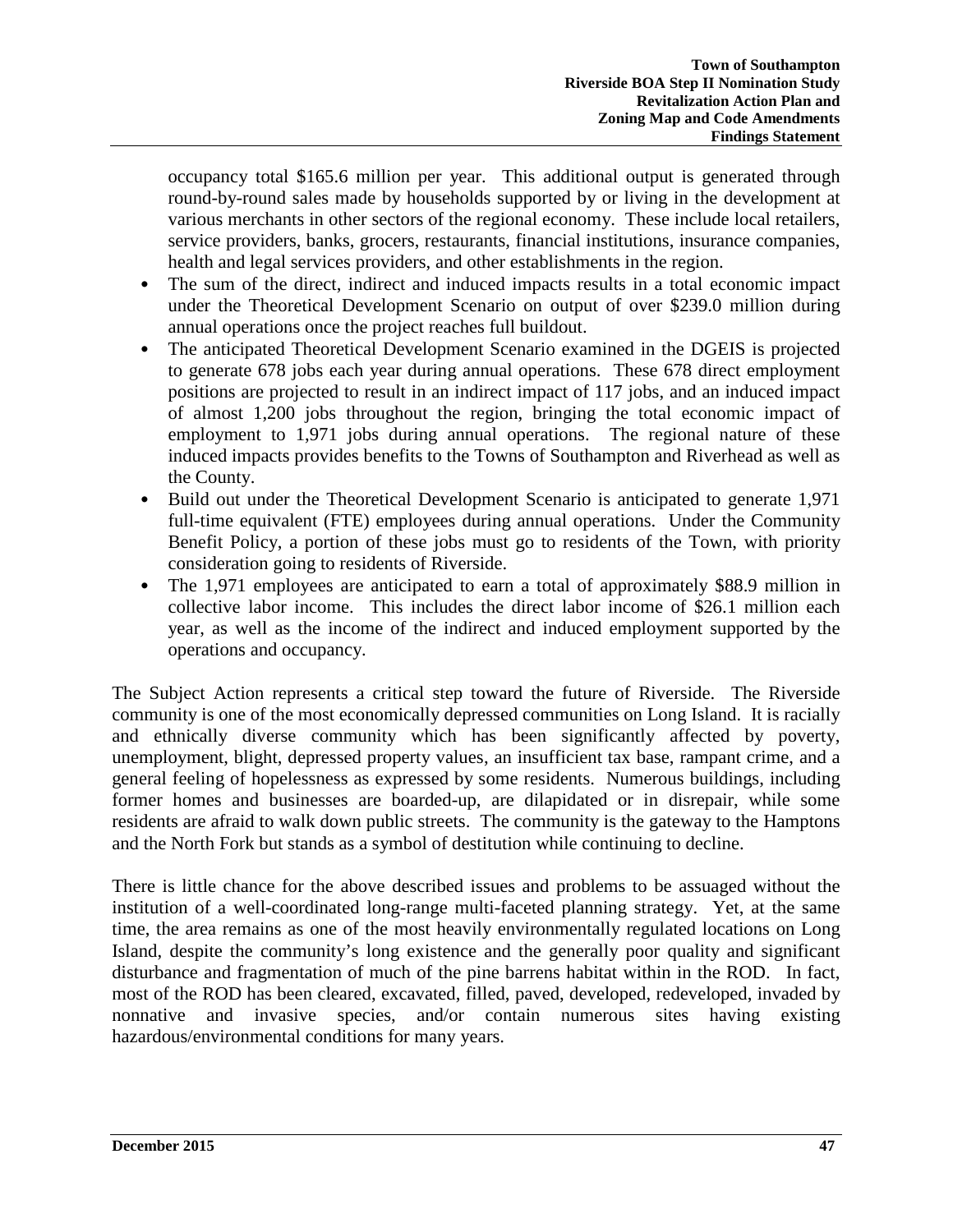occupancy total \$165.6 million per year. This additional output is generated through round-by-round sales made by households supported by or living in the development at various merchants in other sectors of the regional economy. These include local retailers, service providers, banks, grocers, restaurants, financial institutions, insurance companies, health and legal services providers, and other establishments in the region.

- The sum of the direct, indirect and induced impacts results in a total economic impact under the Theoretical Development Scenario on output of over \$239.0 million during annual operations once the project reaches full buildout.
- The anticipated Theoretical Development Scenario examined in the DGEIS is projected to generate 678 jobs each year during annual operations. These 678 direct employment positions are projected to result in an indirect impact of 117 jobs, and an induced impact of almost 1,200 jobs throughout the region, bringing the total economic impact of employment to 1,971 jobs during annual operations. The regional nature of these induced impacts provides benefits to the Towns of Southampton and Riverhead as well as the County.
- Build out under the Theoretical Development Scenario is anticipated to generate 1,971 full-time equivalent (FTE) employees during annual operations. Under the Community Benefit Policy, a portion of these jobs must go to residents of the Town, with priority consideration going to residents of Riverside.
- The 1,971 employees are anticipated to earn a total of approximately \$88.9 million in collective labor income. This includes the direct labor income of \$26.1 million each year, as well as the income of the indirect and induced employment supported by the operations and occupancy.

The Subject Action represents a critical step toward the future of Riverside. The Riverside community is one of the most economically depressed communities on Long Island. It is racially and ethnically diverse community which has been significantly affected by poverty, unemployment, blight, depressed property values, an insufficient tax base, rampant crime, and a general feeling of hopelessness as expressed by some residents. Numerous buildings, including former homes and businesses are boarded-up, are dilapidated or in disrepair, while some residents are afraid to walk down public streets. The community is the gateway to the Hamptons and the North Fork but stands as a symbol of destitution while continuing to decline.

There is little chance for the above described issues and problems to be assuaged without the institution of a well-coordinated long-range multi-faceted planning strategy. Yet, at the same time, the area remains as one of the most heavily environmentally regulated locations on Long Island, despite the community's long existence and the generally poor quality and significant disturbance and fragmentation of much of the pine barrens habitat within in the ROD. In fact, most of the ROD has been cleared, excavated, filled, paved, developed, redeveloped, invaded by nonnative and invasive species, and/or contain numerous sites having existing hazardous/environmental conditions for many years.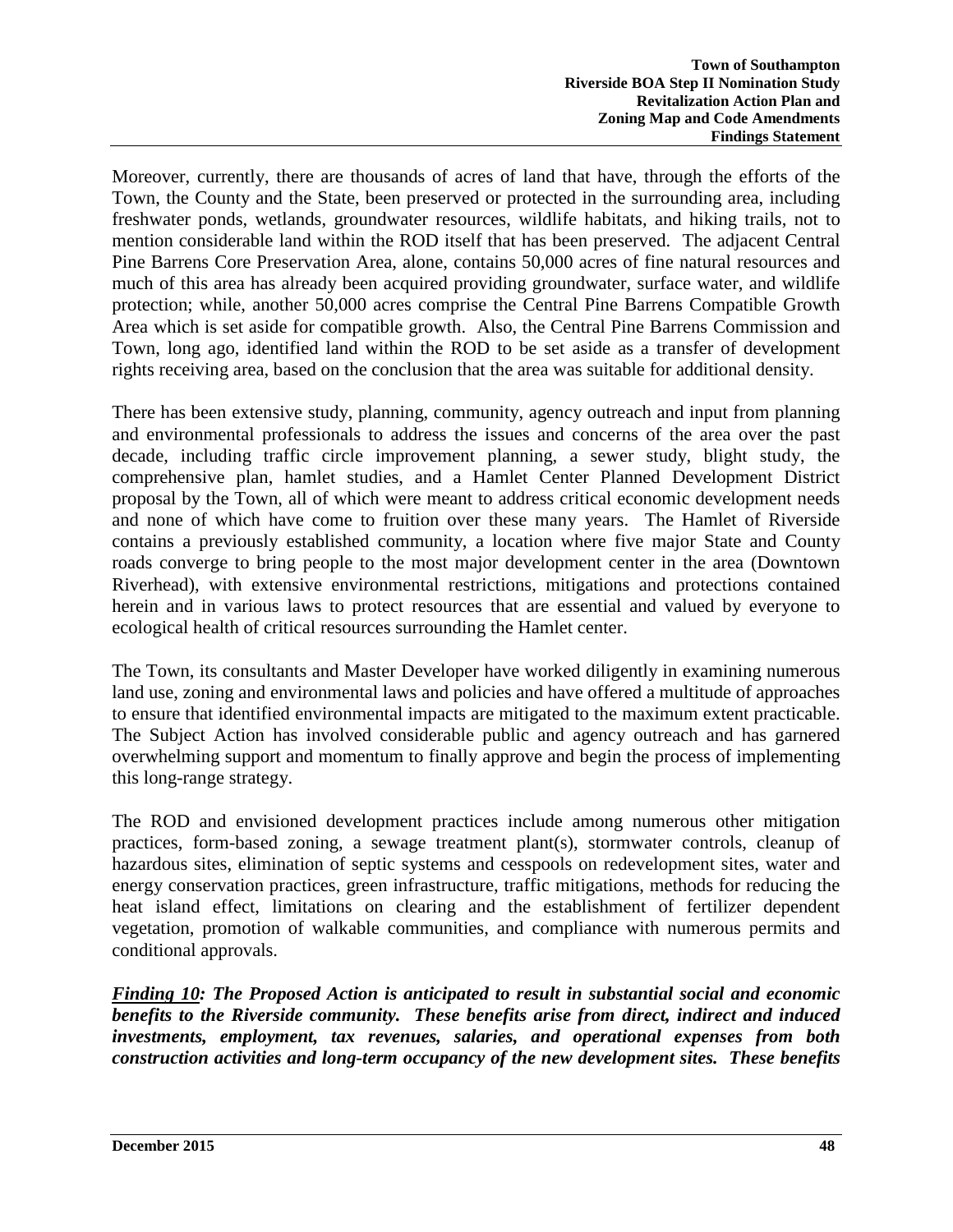Moreover, currently, there are thousands of acres of land that have, through the efforts of the Town, the County and the State, been preserved or protected in the surrounding area, including freshwater ponds, wetlands, groundwater resources, wildlife habitats, and hiking trails, not to mention considerable land within the ROD itself that has been preserved. The adjacent Central Pine Barrens Core Preservation Area, alone, contains 50,000 acres of fine natural resources and much of this area has already been acquired providing groundwater, surface water, and wildlife protection; while, another 50,000 acres comprise the Central Pine Barrens Compatible Growth Area which is set aside for compatible growth. Also, the Central Pine Barrens Commission and Town, long ago, identified land within the ROD to be set aside as a transfer of development rights receiving area, based on the conclusion that the area was suitable for additional density.

There has been extensive study, planning, community, agency outreach and input from planning and environmental professionals to address the issues and concerns of the area over the past decade, including traffic circle improvement planning, a sewer study, blight study, the comprehensive plan, hamlet studies, and a Hamlet Center Planned Development District proposal by the Town, all of which were meant to address critical economic development needs and none of which have come to fruition over these many years. The Hamlet of Riverside contains a previously established community, a location where five major State and County roads converge to bring people to the most major development center in the area (Downtown Riverhead), with extensive environmental restrictions, mitigations and protections contained herein and in various laws to protect resources that are essential and valued by everyone to ecological health of critical resources surrounding the Hamlet center.

The Town, its consultants and Master Developer have worked diligently in examining numerous land use, zoning and environmental laws and policies and have offered a multitude of approaches to ensure that identified environmental impacts are mitigated to the maximum extent practicable. The Subject Action has involved considerable public and agency outreach and has garnered overwhelming support and momentum to finally approve and begin the process of implementing this long-range strategy.

The ROD and envisioned development practices include among numerous other mitigation practices, form-based zoning, a sewage treatment plant(s), stormwater controls, cleanup of hazardous sites, elimination of septic systems and cesspools on redevelopment sites, water and energy conservation practices, green infrastructure, traffic mitigations, methods for reducing the heat island effect, limitations on clearing and the establishment of fertilizer dependent vegetation, promotion of walkable communities, and compliance with numerous permits and conditional approvals.

*Finding 10: The Proposed Action is anticipated to result in substantial social and economic benefits to the Riverside community. These benefits arise from direct, indirect and induced investments, employment, tax revenues, salaries, and operational expenses from both construction activities and long-term occupancy of the new development sites. These benefits*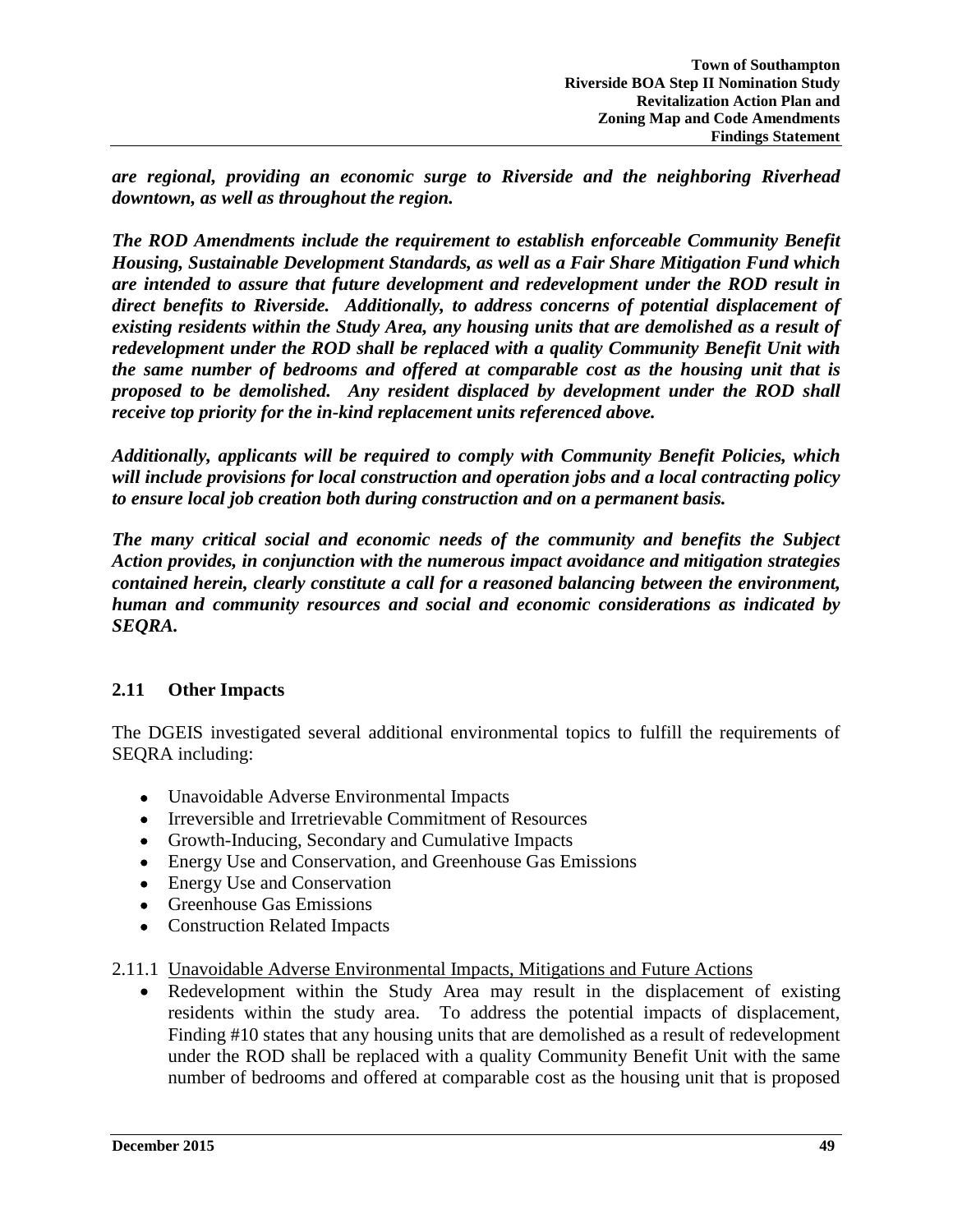*are regional, providing an economic surge to Riverside and the neighboring Riverhead downtown, as well as throughout the region.*

*The ROD Amendments include the requirement to establish enforceable Community Benefit Housing, Sustainable Development Standards, as well as a Fair Share Mitigation Fund which are intended to assure that future development and redevelopment under the ROD result in direct benefits to Riverside. Additionally, to address concerns of potential displacement of existing residents within the Study Area, any housing units that are demolished as a result of redevelopment under the ROD shall be replaced with a quality Community Benefit Unit with the same number of bedrooms and offered at comparable cost as the housing unit that is proposed to be demolished. Any resident displaced by development under the ROD shall receive top priority for the in-kind replacement units referenced above.*

*Additionally, applicants will be required to comply with Community Benefit Policies, which will include provisions for local construction and operation jobs and a local contracting policy to ensure local job creation both during construction and on a permanent basis.* 

*The many critical social and economic needs of the community and benefits the Subject Action provides, in conjunction with the numerous impact avoidance and mitigation strategies contained herein, clearly constitute a call for a reasoned balancing between the environment, human and community resources and social and economic considerations as indicated by SEQRA.* 

# **2.11 Other Impacts**

The DGEIS investigated several additional environmental topics to fulfill the requirements of SEQRA including:

- Unavoidable Adverse Environmental Impacts
- Irreversible and Irretrievable Commitment of Resources
- Growth-Inducing, Secondary and Cumulative Impacts
- Energy Use and Conservation, and Greenhouse Gas Emissions
- Energy Use and Conservation
- Greenhouse Gas Emissions
- Construction Related Impacts

## 2.11.1 Unavoidable Adverse Environmental Impacts, Mitigations and Future Actions

• Redevelopment within the Study Area may result in the displacement of existing residents within the study area. To address the potential impacts of displacement, Finding #10 states that any housing units that are demolished as a result of redevelopment under the ROD shall be replaced with a quality Community Benefit Unit with the same number of bedrooms and offered at comparable cost as the housing unit that is proposed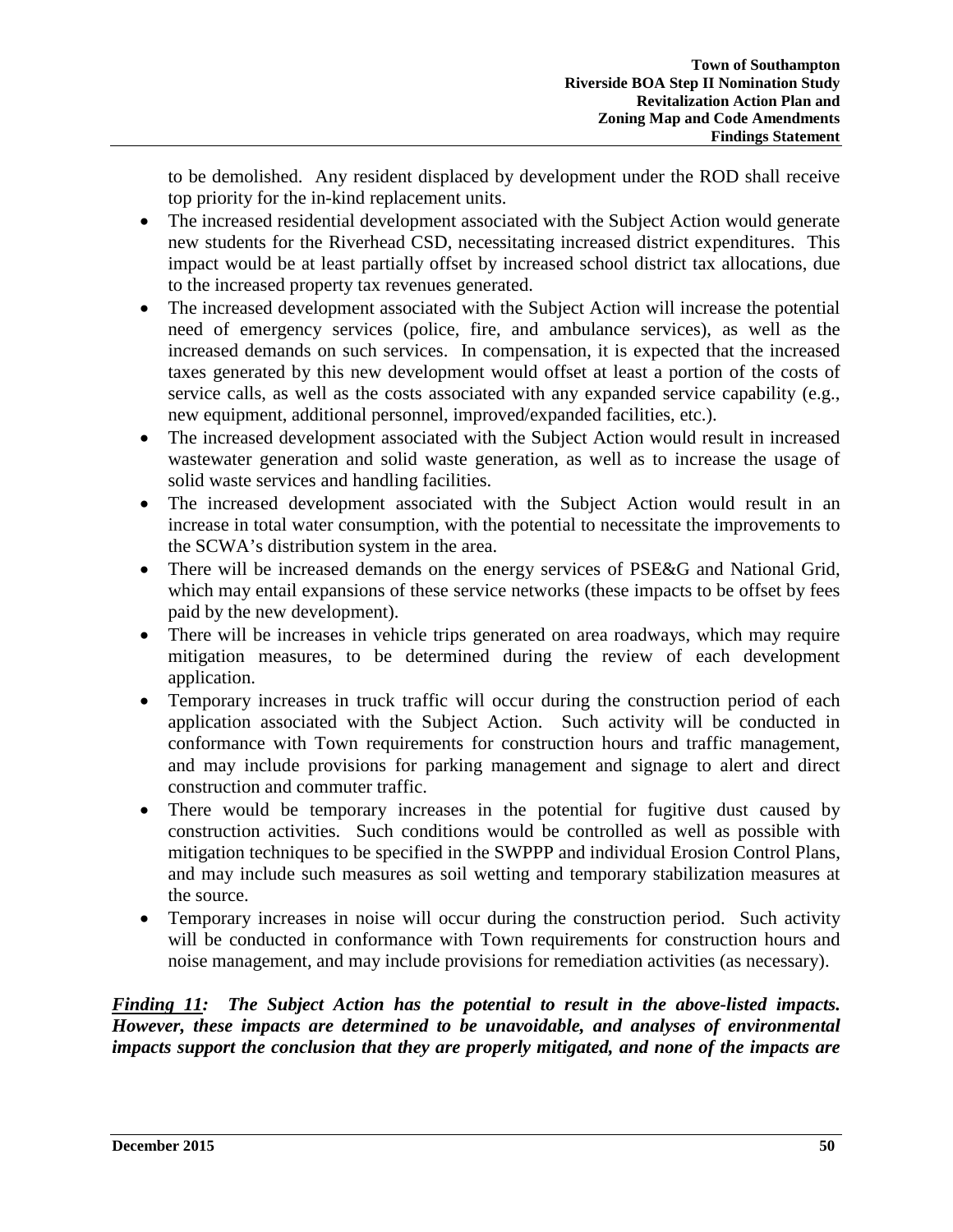to be demolished. Any resident displaced by development under the ROD shall receive top priority for the in-kind replacement units.

- The increased residential development associated with the Subject Action would generate new students for the Riverhead CSD, necessitating increased district expenditures. This impact would be at least partially offset by increased school district tax allocations, due to the increased property tax revenues generated.
- The increased development associated with the Subject Action will increase the potential need of emergency services (police, fire, and ambulance services), as well as the increased demands on such services. In compensation, it is expected that the increased taxes generated by this new development would offset at least a portion of the costs of service calls, as well as the costs associated with any expanded service capability (e.g., new equipment, additional personnel, improved/expanded facilities, etc.).
- The increased development associated with the Subject Action would result in increased wastewater generation and solid waste generation, as well as to increase the usage of solid waste services and handling facilities.
- The increased development associated with the Subject Action would result in an increase in total water consumption, with the potential to necessitate the improvements to the SCWA's distribution system in the area.
- There will be increased demands on the energy services of PSE&G and National Grid, which may entail expansions of these service networks (these impacts to be offset by fees paid by the new development).
- There will be increases in vehicle trips generated on area roadways, which may require mitigation measures, to be determined during the review of each development application.
- Temporary increases in truck traffic will occur during the construction period of each application associated with the Subject Action. Such activity will be conducted in conformance with Town requirements for construction hours and traffic management, and may include provisions for parking management and signage to alert and direct construction and commuter traffic.
- There would be temporary increases in the potential for fugitive dust caused by construction activities. Such conditions would be controlled as well as possible with mitigation techniques to be specified in the SWPPP and individual Erosion Control Plans, and may include such measures as soil wetting and temporary stabilization measures at the source.
- Temporary increases in noise will occur during the construction period. Such activity will be conducted in conformance with Town requirements for construction hours and noise management, and may include provisions for remediation activities (as necessary).

*Finding 11: The Subject Action has the potential to result in the above-listed impacts. However, these impacts are determined to be unavoidable, and analyses of environmental impacts support the conclusion that they are properly mitigated, and none of the impacts are*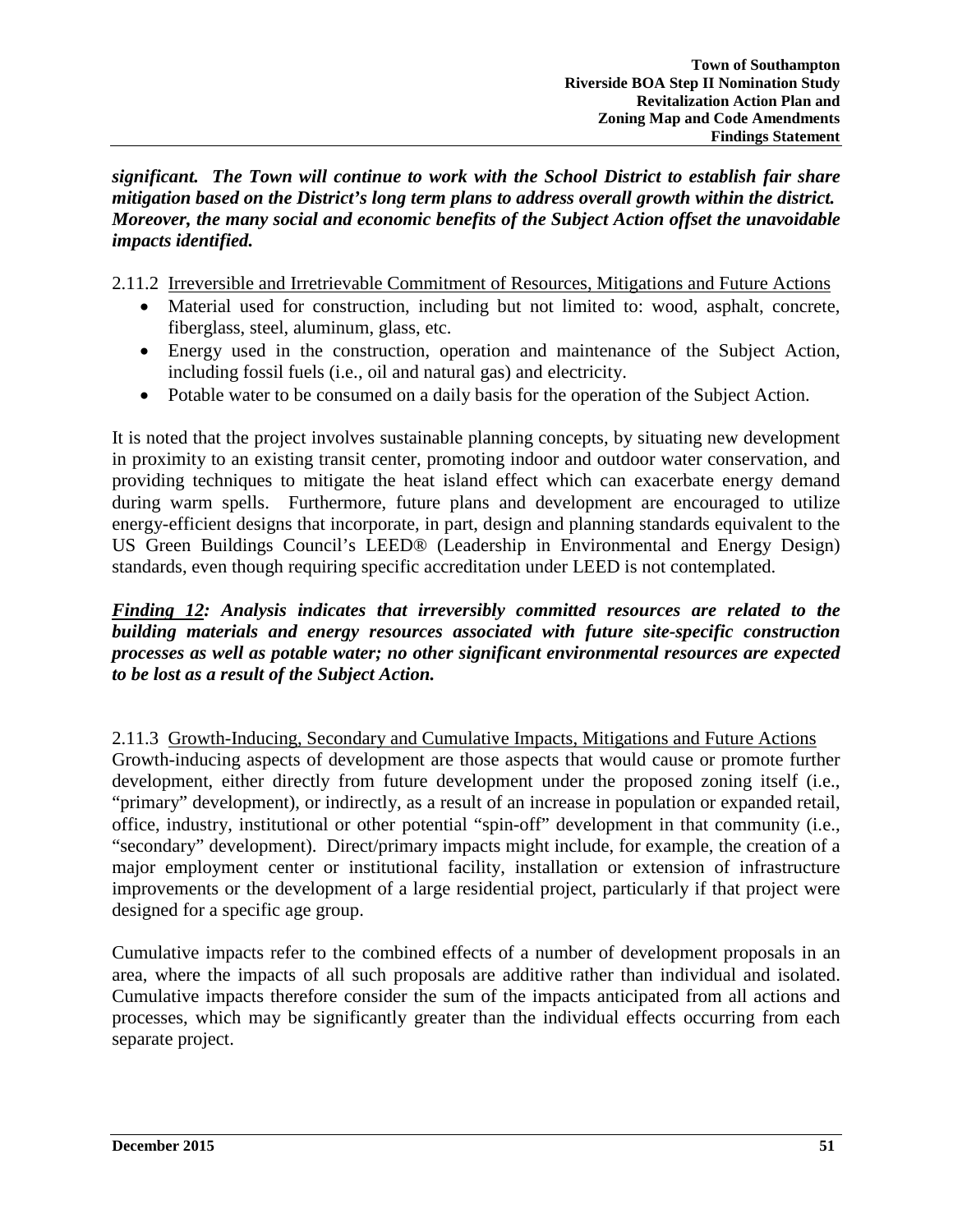*significant. The Town will continue to work with the School District to establish fair share mitigation based on the District's long term plans to address overall growth within the district. Moreover, the many social and economic benefits of the Subject Action offset the unavoidable impacts identified.*

2.11.2 Irreversible and Irretrievable Commitment of Resources, Mitigations and Future Actions

- Material used for construction, including but not limited to: wood, asphalt, concrete, fiberglass, steel, aluminum, glass, etc.
- Energy used in the construction, operation and maintenance of the Subject Action, including fossil fuels (i.e., oil and natural gas) and electricity.
- Potable water to be consumed on a daily basis for the operation of the Subject Action.

It is noted that the project involves sustainable planning concepts, by situating new development in proximity to an existing transit center, promoting indoor and outdoor water conservation, and providing techniques to mitigate the heat island effect which can exacerbate energy demand during warm spells. Furthermore, future plans and development are encouraged to utilize energy-efficient designs that incorporate, in part, design and planning standards equivalent to the US Green Buildings Council's LEED® (Leadership in Environmental and Energy Design) standards, even though requiring specific accreditation under LEED is not contemplated.

### *Finding 12: Analysis indicates that irreversibly committed resources are related to the building materials and energy resources associated with future site-specific construction processes as well as potable water; no other significant environmental resources are expected to be lost as a result of the Subject Action.*

## 2.11.3 Growth-Inducing, Secondary and Cumulative Impacts, Mitigations and Future Actions

Growth-inducing aspects of development are those aspects that would cause or promote further development, either directly from future development under the proposed zoning itself (i.e., "primary" development), or indirectly, as a result of an increase in population or expanded retail, office, industry, institutional or other potential "spin-off" development in that community (i.e., "secondary" development). Direct/primary impacts might include, for example, the creation of a major employment center or institutional facility, installation or extension of infrastructure improvements or the development of a large residential project, particularly if that project were designed for a specific age group.

Cumulative impacts refer to the combined effects of a number of development proposals in an area, where the impacts of all such proposals are additive rather than individual and isolated. Cumulative impacts therefore consider the sum of the impacts anticipated from all actions and processes, which may be significantly greater than the individual effects occurring from each separate project.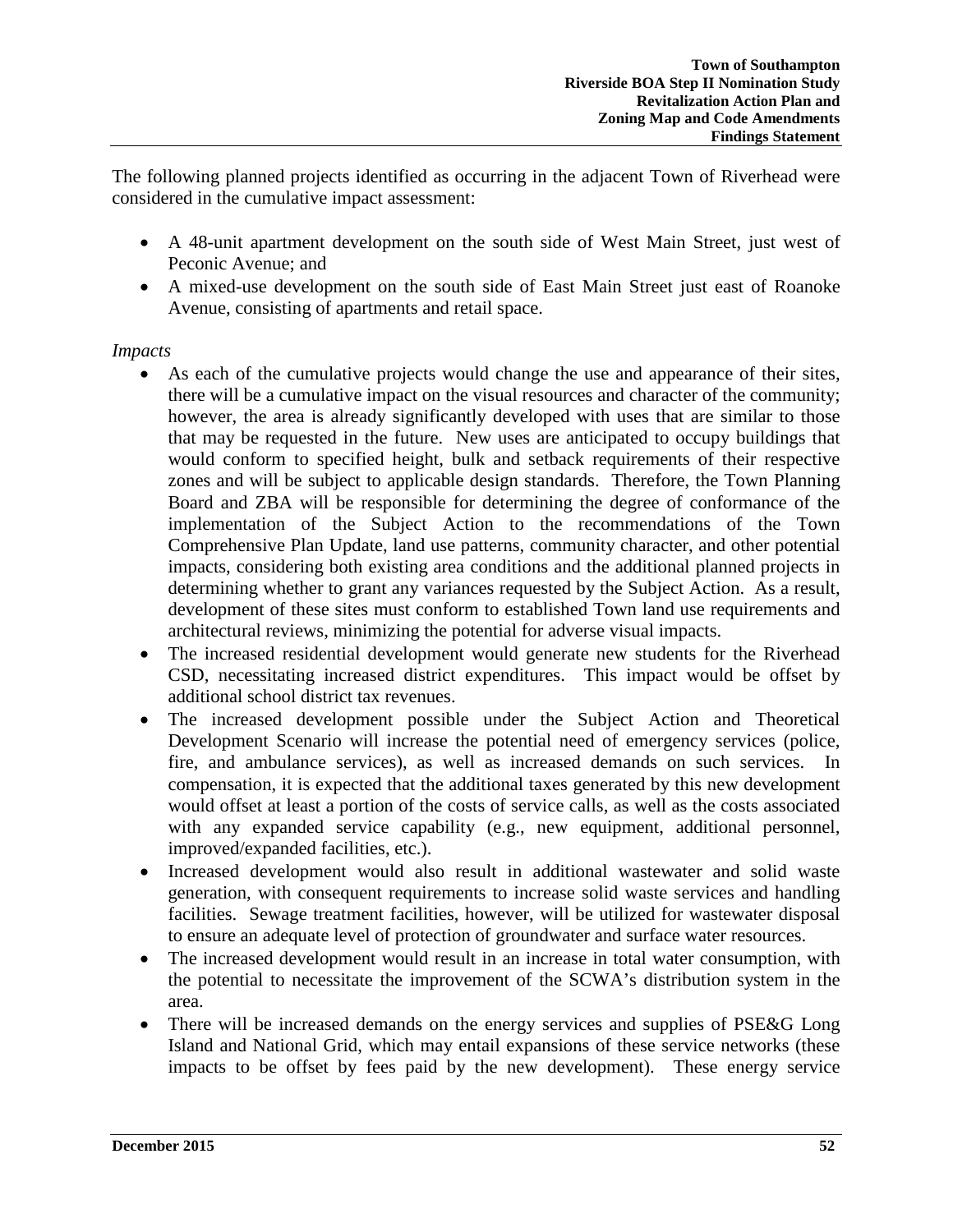The following planned projects identified as occurring in the adjacent Town of Riverhead were considered in the cumulative impact assessment:

- A 48-unit apartment development on the south side of West Main Street, just west of Peconic Avenue; and
- A mixed-use development on the south side of East Main Street just east of Roanoke Avenue, consisting of apartments and retail space.

## *Impacts*

- As each of the cumulative projects would change the use and appearance of their sites, there will be a cumulative impact on the visual resources and character of the community; however, the area is already significantly developed with uses that are similar to those that may be requested in the future. New uses are anticipated to occupy buildings that would conform to specified height, bulk and setback requirements of their respective zones and will be subject to applicable design standards. Therefore, the Town Planning Board and ZBA will be responsible for determining the degree of conformance of the implementation of the Subject Action to the recommendations of the Town Comprehensive Plan Update, land use patterns, community character, and other potential impacts, considering both existing area conditions and the additional planned projects in determining whether to grant any variances requested by the Subject Action. As a result, development of these sites must conform to established Town land use requirements and architectural reviews, minimizing the potential for adverse visual impacts.
- The increased residential development would generate new students for the Riverhead CSD, necessitating increased district expenditures. This impact would be offset by additional school district tax revenues.
- The increased development possible under the Subject Action and Theoretical Development Scenario will increase the potential need of emergency services (police, fire, and ambulance services), as well as increased demands on such services. In compensation, it is expected that the additional taxes generated by this new development would offset at least a portion of the costs of service calls, as well as the costs associated with any expanded service capability (e.g., new equipment, additional personnel, improved/expanded facilities, etc.).
- Increased development would also result in additional wastewater and solid waste generation, with consequent requirements to increase solid waste services and handling facilities. Sewage treatment facilities, however, will be utilized for wastewater disposal to ensure an adequate level of protection of groundwater and surface water resources.
- The increased development would result in an increase in total water consumption, with the potential to necessitate the improvement of the SCWA's distribution system in the area.
- There will be increased demands on the energy services and supplies of PSE&G Long Island and National Grid, which may entail expansions of these service networks (these impacts to be offset by fees paid by the new development). These energy service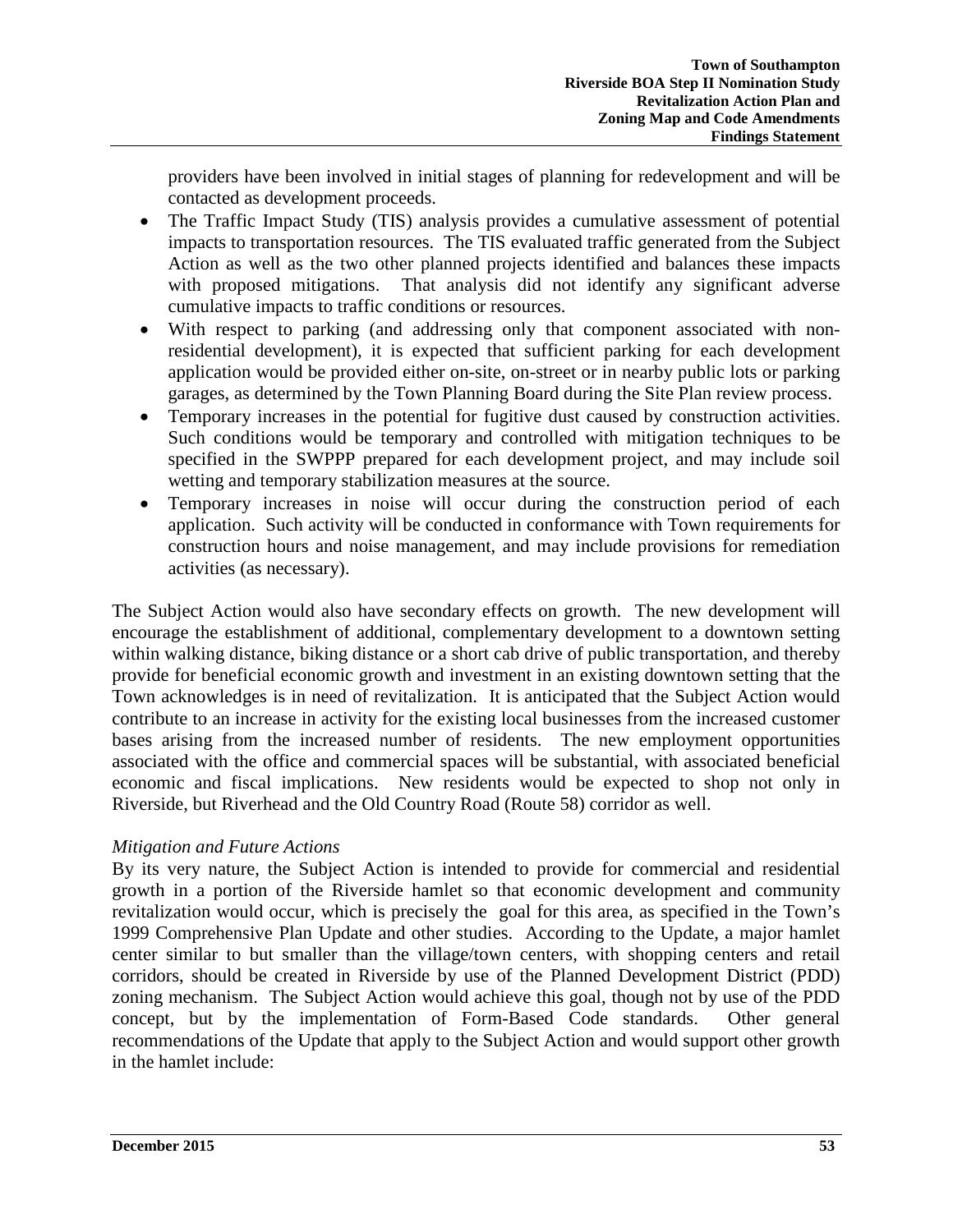providers have been involved in initial stages of planning for redevelopment and will be contacted as development proceeds.

- The Traffic Impact Study (TIS) analysis provides a cumulative assessment of potential impacts to transportation resources. The TIS evaluated traffic generated from the Subject Action as well as the two other planned projects identified and balances these impacts with proposed mitigations. That analysis did not identify any significant adverse cumulative impacts to traffic conditions or resources.
- With respect to parking (and addressing only that component associated with nonresidential development), it is expected that sufficient parking for each development application would be provided either on-site, on-street or in nearby public lots or parking garages, as determined by the Town Planning Board during the Site Plan review process.
- Temporary increases in the potential for fugitive dust caused by construction activities. Such conditions would be temporary and controlled with mitigation techniques to be specified in the SWPPP prepared for each development project, and may include soil wetting and temporary stabilization measures at the source.
- Temporary increases in noise will occur during the construction period of each application. Such activity will be conducted in conformance with Town requirements for construction hours and noise management, and may include provisions for remediation activities (as necessary).

The Subject Action would also have secondary effects on growth. The new development will encourage the establishment of additional, complementary development to a downtown setting within walking distance, biking distance or a short cab drive of public transportation, and thereby provide for beneficial economic growth and investment in an existing downtown setting that the Town acknowledges is in need of revitalization. It is anticipated that the Subject Action would contribute to an increase in activity for the existing local businesses from the increased customer bases arising from the increased number of residents. The new employment opportunities associated with the office and commercial spaces will be substantial, with associated beneficial economic and fiscal implications. New residents would be expected to shop not only in Riverside, but Riverhead and the Old Country Road (Route 58) corridor as well.

# *Mitigation and Future Actions*

By its very nature, the Subject Action is intended to provide for commercial and residential growth in a portion of the Riverside hamlet so that economic development and community revitalization would occur, which is precisely the goal for this area, as specified in the Town's 1999 Comprehensive Plan Update and other studies. According to the Update, a major hamlet center similar to but smaller than the village/town centers, with shopping centers and retail corridors, should be created in Riverside by use of the Planned Development District (PDD) zoning mechanism. The Subject Action would achieve this goal, though not by use of the PDD concept, but by the implementation of Form-Based Code standards. Other general recommendations of the Update that apply to the Subject Action and would support other growth in the hamlet include: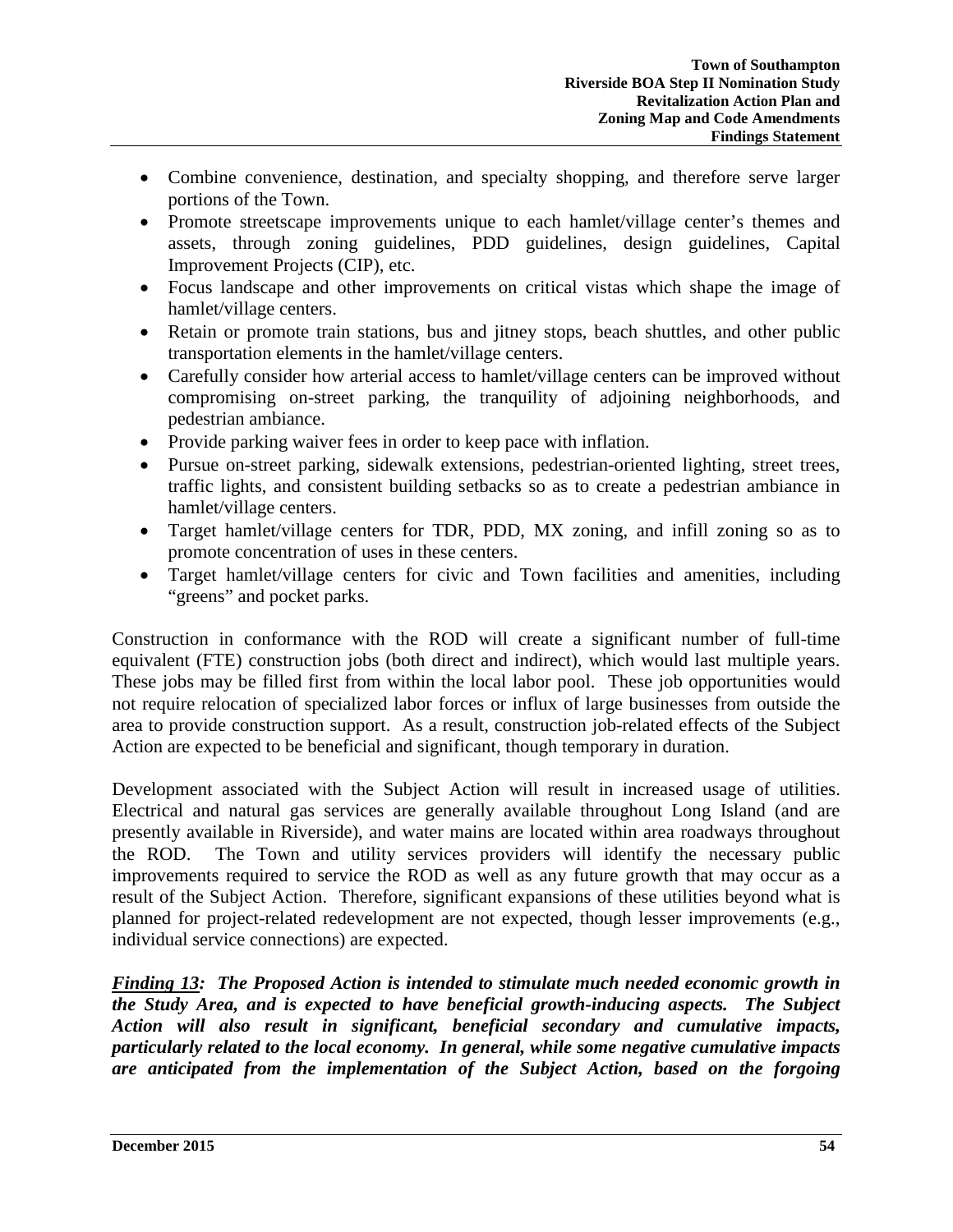- Combine convenience, destination, and specialty shopping, and therefore serve larger portions of the Town.
- Promote streetscape improvements unique to each hamlet/village center's themes and assets, through zoning guidelines, PDD guidelines, design guidelines, Capital Improvement Projects (CIP), etc.
- Focus landscape and other improvements on critical vistas which shape the image of hamlet/village centers.
- Retain or promote train stations, bus and jitney stops, beach shuttles, and other public transportation elements in the hamlet/village centers.
- Carefully consider how arterial access to hamlet/village centers can be improved without compromising on-street parking, the tranquility of adjoining neighborhoods, and pedestrian ambiance.
- Provide parking waiver fees in order to keep pace with inflation.
- Pursue on-street parking, sidewalk extensions, pedestrian-oriented lighting, street trees, traffic lights, and consistent building setbacks so as to create a pedestrian ambiance in hamlet/village centers.
- Target hamlet/village centers for TDR, PDD, MX zoning, and infill zoning so as to promote concentration of uses in these centers.
- Target hamlet/village centers for civic and Town facilities and amenities, including "greens" and pocket parks.

Construction in conformance with the ROD will create a significant number of full-time equivalent (FTE) construction jobs (both direct and indirect), which would last multiple years. These jobs may be filled first from within the local labor pool. These job opportunities would not require relocation of specialized labor forces or influx of large businesses from outside the area to provide construction support. As a result, construction job-related effects of the Subject Action are expected to be beneficial and significant, though temporary in duration.

Development associated with the Subject Action will result in increased usage of utilities. Electrical and natural gas services are generally available throughout Long Island (and are presently available in Riverside), and water mains are located within area roadways throughout the ROD. The Town and utility services providers will identify the necessary public improvements required to service the ROD as well as any future growth that may occur as a result of the Subject Action. Therefore, significant expansions of these utilities beyond what is planned for project-related redevelopment are not expected, though lesser improvements (e.g., individual service connections) are expected.

*Finding 13: The Proposed Action is intended to stimulate much needed economic growth in the Study Area, and is expected to have beneficial growth-inducing aspects. The Subject Action will also result in significant, beneficial secondary and cumulative impacts, particularly related to the local economy. In general, while some negative cumulative impacts are anticipated from the implementation of the Subject Action, based on the forgoing*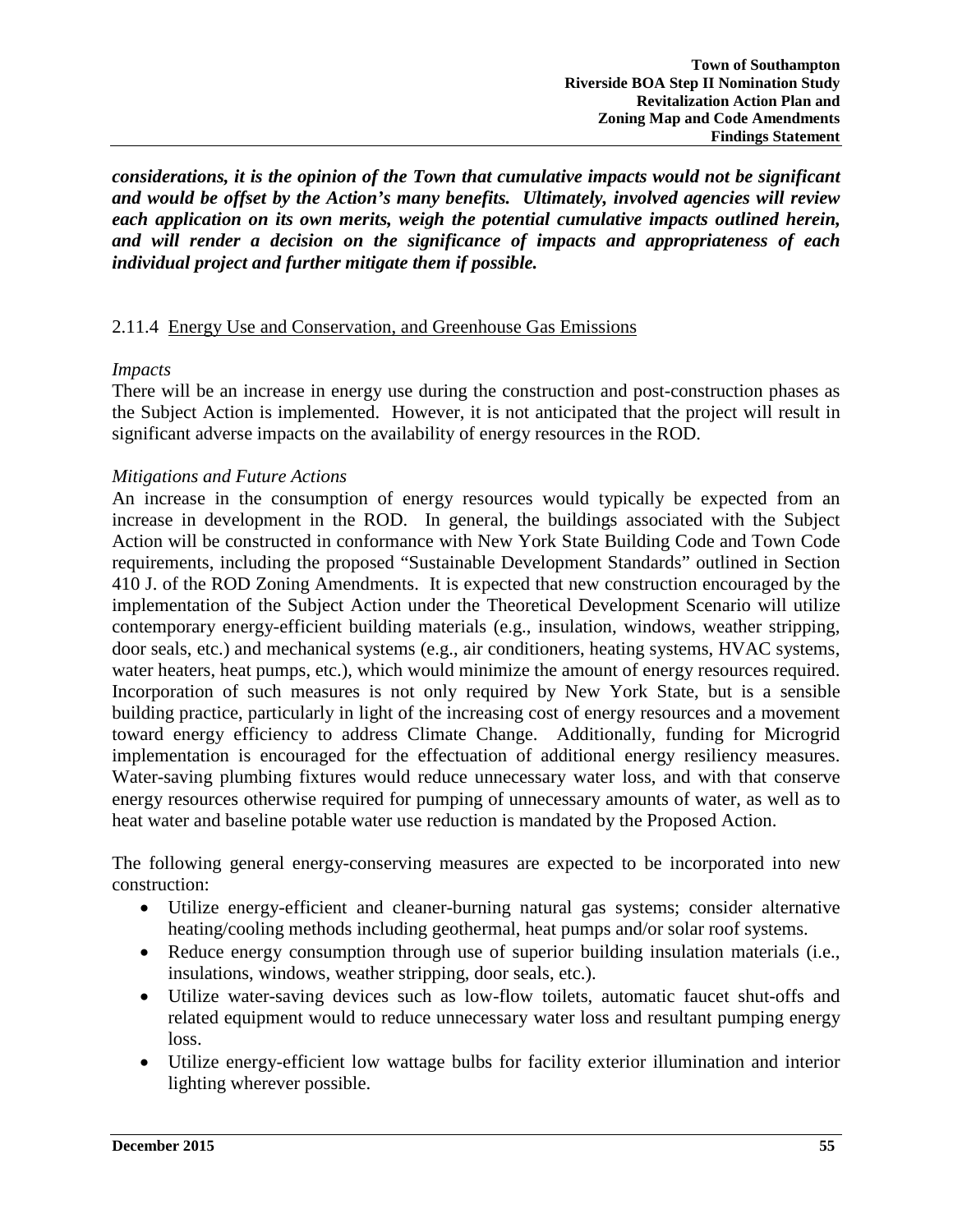*considerations, it is the opinion of the Town that cumulative impacts would not be significant and would be offset by the Action's many benefits. Ultimately, involved agencies will review each application on its own merits, weigh the potential cumulative impacts outlined herein, and will render a decision on the significance of impacts and appropriateness of each individual project and further mitigate them if possible.* 

#### 2.11.4 Energy Use and Conservation, and Greenhouse Gas Emissions

#### *Impacts*

There will be an increase in energy use during the construction and post-construction phases as the Subject Action is implemented. However, it is not anticipated that the project will result in significant adverse impacts on the availability of energy resources in the ROD.

#### *Mitigations and Future Actions*

An increase in the consumption of energy resources would typically be expected from an increase in development in the ROD. In general, the buildings associated with the Subject Action will be constructed in conformance with New York State Building Code and Town Code requirements, including the proposed "Sustainable Development Standards" outlined in Section 410 J. of the ROD Zoning Amendments. It is expected that new construction encouraged by the implementation of the Subject Action under the Theoretical Development Scenario will utilize contemporary energy-efficient building materials (e.g., insulation, windows, weather stripping, door seals, etc.) and mechanical systems (e.g., air conditioners, heating systems, HVAC systems, water heaters, heat pumps, etc.), which would minimize the amount of energy resources required. Incorporation of such measures is not only required by New York State, but is a sensible building practice, particularly in light of the increasing cost of energy resources and a movement toward energy efficiency to address Climate Change. Additionally, funding for Microgrid implementation is encouraged for the effectuation of additional energy resiliency measures. Water-saving plumbing fixtures would reduce unnecessary water loss, and with that conserve energy resources otherwise required for pumping of unnecessary amounts of water, as well as to heat water and baseline potable water use reduction is mandated by the Proposed Action.

The following general energy-conserving measures are expected to be incorporated into new construction:

- Utilize energy-efficient and cleaner-burning natural gas systems; consider alternative heating/cooling methods including geothermal, heat pumps and/or solar roof systems.
- Reduce energy consumption through use of superior building insulation materials (i.e., insulations, windows, weather stripping, door seals, etc.).
- Utilize water-saving devices such as low-flow toilets, automatic faucet shut-offs and related equipment would to reduce unnecessary water loss and resultant pumping energy loss.
- Utilize energy-efficient low wattage bulbs for facility exterior illumination and interior lighting wherever possible.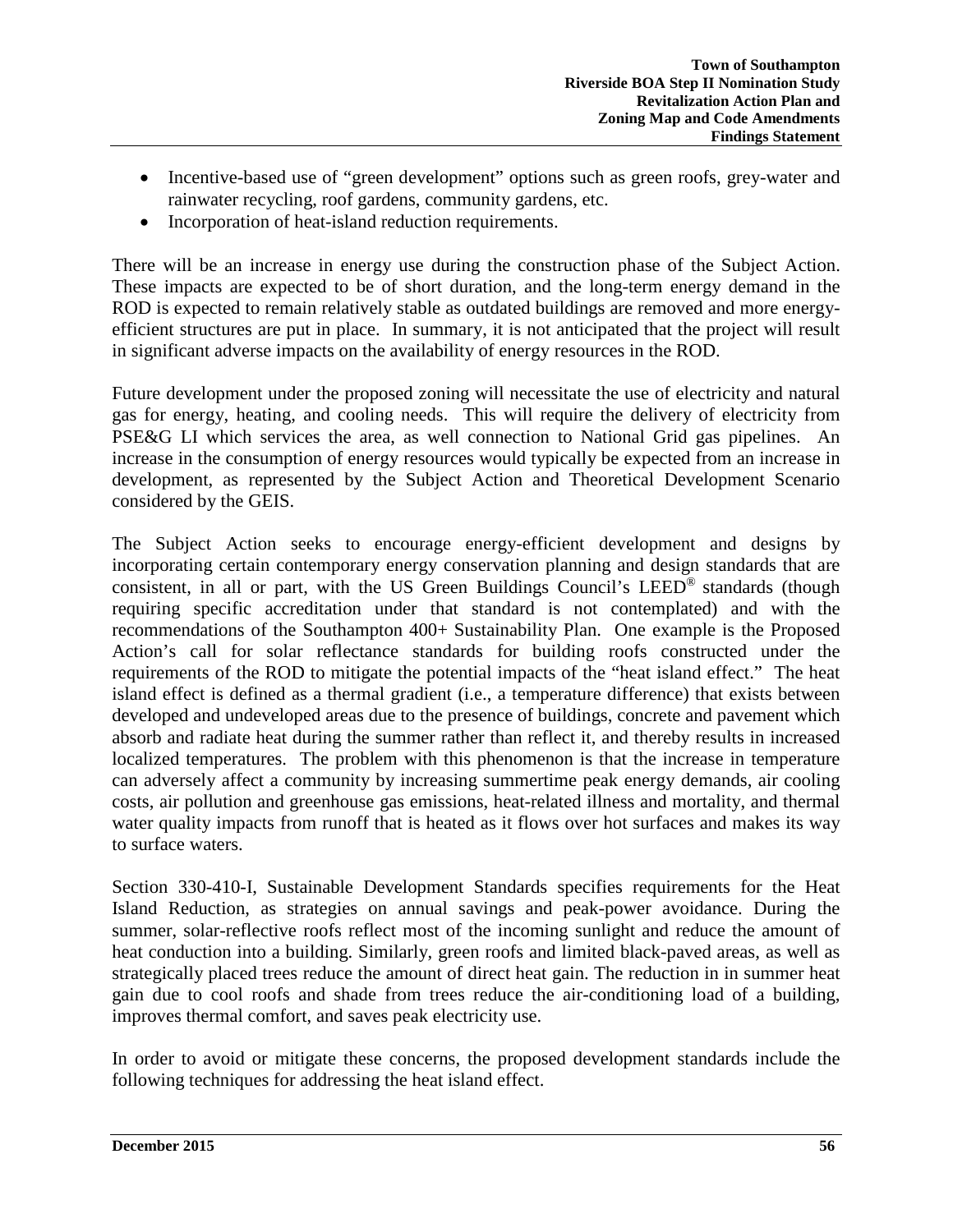- Incentive-based use of "green development" options such as green roofs, grey-water and rainwater recycling, roof gardens, community gardens, etc.
- Incorporation of heat-island reduction requirements.

There will be an increase in energy use during the construction phase of the Subject Action. These impacts are expected to be of short duration, and the long-term energy demand in the ROD is expected to remain relatively stable as outdated buildings are removed and more energyefficient structures are put in place. In summary, it is not anticipated that the project will result in significant adverse impacts on the availability of energy resources in the ROD.

Future development under the proposed zoning will necessitate the use of electricity and natural gas for energy, heating, and cooling needs. This will require the delivery of electricity from PSE&G LI which services the area, as well connection to National Grid gas pipelines. An increase in the consumption of energy resources would typically be expected from an increase in development, as represented by the Subject Action and Theoretical Development Scenario considered by the GEIS.

The Subject Action seeks to encourage energy-efficient development and designs by incorporating certain contemporary energy conservation planning and design standards that are consistent, in all or part, with the US Green Buildings Council's LEED® standards (though requiring specific accreditation under that standard is not contemplated) and with the recommendations of the Southampton 400+ Sustainability Plan. One example is the Proposed Action's call for solar reflectance standards for building roofs constructed under the requirements of the ROD to mitigate the potential impacts of the "heat island effect." The heat island effect is defined as a thermal gradient (i.e., a temperature difference) that exists between developed and undeveloped areas due to the presence of buildings, concrete and pavement which absorb and radiate heat during the summer rather than reflect it, and thereby results in increased localized temperatures. The problem with this phenomenon is that the increase in temperature can adversely affect a community by increasing summertime peak energy demands, air cooling costs, air pollution and greenhouse gas emissions, heat-related illness and mortality, and thermal water quality impacts from runoff that is heated as it flows over hot surfaces and makes its way to surface waters.

Section 330-410-I, Sustainable Development Standards specifies requirements for the Heat Island Reduction, as strategies on annual savings and peak-power avoidance. During the summer, solar-reflective roofs reflect most of the incoming sunlight and reduce the amount of heat conduction into a building. Similarly, green roofs and limited black-paved areas, as well as strategically placed trees reduce the amount of direct heat gain. The reduction in in summer heat gain due to cool roofs and shade from trees reduce the air-conditioning load of a building, improves thermal comfort, and saves peak electricity use.

In order to avoid or mitigate these concerns, the proposed development standards include the following techniques for addressing the heat island effect.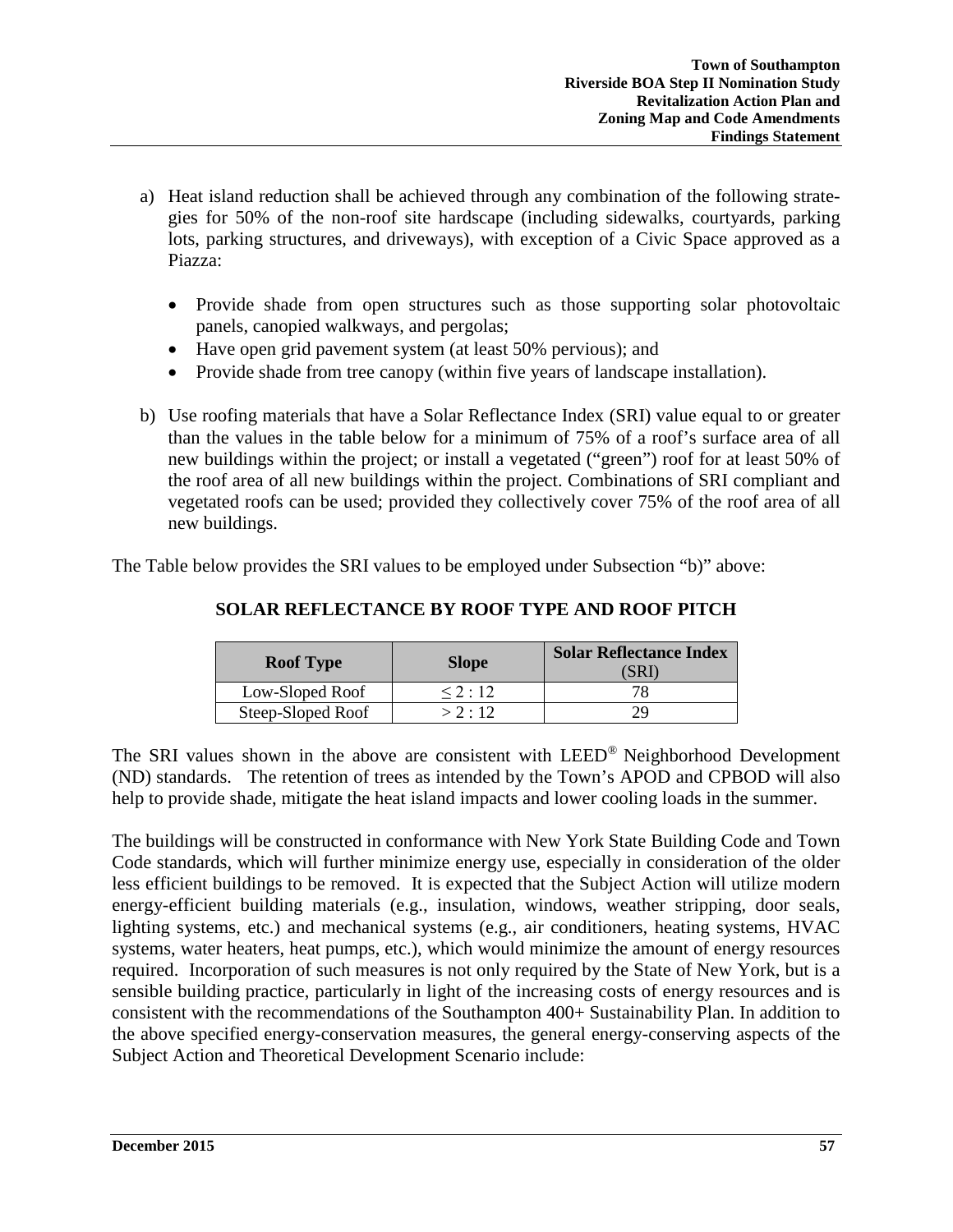- a) Heat island reduction shall be achieved through any combination of the following strategies for 50% of the non-roof site hardscape (including sidewalks, courtyards, parking lots, parking structures, and driveways), with exception of a Civic Space approved as a Piazza:
	- Provide shade from open structures such as those supporting solar photovoltaic panels, canopied walkways, and pergolas;
	- Have open grid pavement system (at least 50% pervious); and
	- Provide shade from tree canopy (within five years of landscape installation).
- b) Use roofing materials that have a Solar Reflectance Index (SRI) value equal to or greater than the values in the table below for a minimum of 75% of a roof's surface area of all new buildings within the project; or install a vegetated ("green") roof for at least 50% of the roof area of all new buildings within the project. Combinations of SRI compliant and vegetated roofs can be used; provided they collectively cover 75% of the roof area of all new buildings.

The Table below provides the SRI values to be employed under Subsection "b)" above:

| <b>Roof Type</b>  | <b>Slope</b> | <b>Solar Reflectance Index</b><br>'SRI` |  |  |
|-------------------|--------------|-----------------------------------------|--|--|
| Low-Sloped Roof   | < 2:12       |                                         |  |  |
| Steep-Sloped Roof | > 2:12       |                                         |  |  |

# **SOLAR REFLECTANCE BY ROOF TYPE AND ROOF PITCH**

The SRI values shown in the above are consistent with LEED® Neighborhood Development (ND) standards. The retention of trees as intended by the Town's APOD and CPBOD will also help to provide shade, mitigate the heat island impacts and lower cooling loads in the summer.

The buildings will be constructed in conformance with New York State Building Code and Town Code standards, which will further minimize energy use, especially in consideration of the older less efficient buildings to be removed. It is expected that the Subject Action will utilize modern energy-efficient building materials (e.g., insulation, windows, weather stripping, door seals, lighting systems, etc.) and mechanical systems (e.g., air conditioners, heating systems, HVAC systems, water heaters, heat pumps, etc.), which would minimize the amount of energy resources required.Incorporation of such measures is not only required by the State of New York, but is a sensible building practice, particularly in light of the increasing costs of energy resources and is consistent with the recommendations of the Southampton 400+ Sustainability Plan. In addition to the above specified energy-conservation measures, the general energy-conserving aspects of the Subject Action and Theoretical Development Scenario include: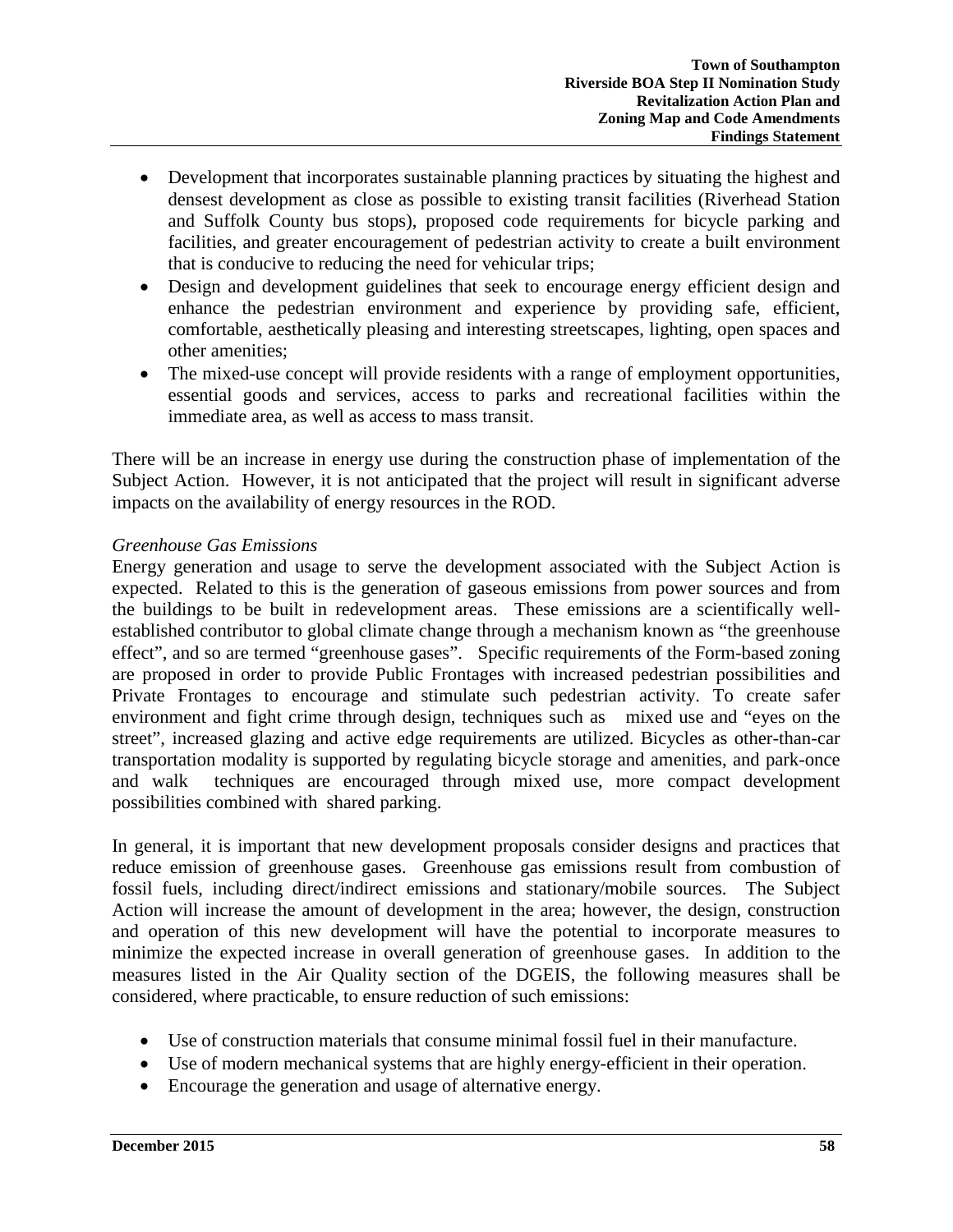- Development that incorporates sustainable planning practices by situating the highest and densest development as close as possible to existing transit facilities (Riverhead Station and Suffolk County bus stops), proposed code requirements for bicycle parking and facilities, and greater encouragement of pedestrian activity to create a built environment that is conducive to reducing the need for vehicular trips;
- Design and development guidelines that seek to encourage energy efficient design and enhance the pedestrian environment and experience by providing safe, efficient, comfortable, aesthetically pleasing and interesting streetscapes, lighting, open spaces and other amenities;
- The mixed-use concept will provide residents with a range of employment opportunities, essential goods and services, access to parks and recreational facilities within the immediate area, as well as access to mass transit.

There will be an increase in energy use during the construction phase of implementation of the Subject Action. However, it is not anticipated that the project will result in significant adverse impacts on the availability of energy resources in the ROD.

## *Greenhouse Gas Emissions*

Energy generation and usage to serve the development associated with the Subject Action is expected. Related to this is the generation of gaseous emissions from power sources and from the buildings to be built in redevelopment areas. These emissions are a scientifically wellestablished contributor to global climate change through a mechanism known as "the greenhouse effect", and so are termed "greenhouse gases". Specific requirements of the Form-based zoning are proposed in order to provide Public Frontages with increased pedestrian possibilities and Private Frontages to encourage and stimulate such pedestrian activity. To create safer environment and fight crime through design, techniques such as mixed use and "eyes on the street", increased glazing and active edge requirements are utilized. Bicycles as other-than-car transportation modality is supported by regulating bicycle storage and amenities, and park-once and walk techniques are encouraged through mixed use, more compact development possibilities combined with shared parking.

In general, it is important that new development proposals consider designs and practices that reduce emission of greenhouse gases. Greenhouse gas emissions result from combustion of fossil fuels, including direct/indirect emissions and stationary/mobile sources. The Subject Action will increase the amount of development in the area; however, the design, construction and operation of this new development will have the potential to incorporate measures to minimize the expected increase in overall generation of greenhouse gases. In addition to the measures listed in the Air Quality section of the DGEIS, the following measures shall be considered, where practicable, to ensure reduction of such emissions:

- Use of construction materials that consume minimal fossil fuel in their manufacture.
- Use of modern mechanical systems that are highly energy-efficient in their operation.
- Encourage the generation and usage of alternative energy.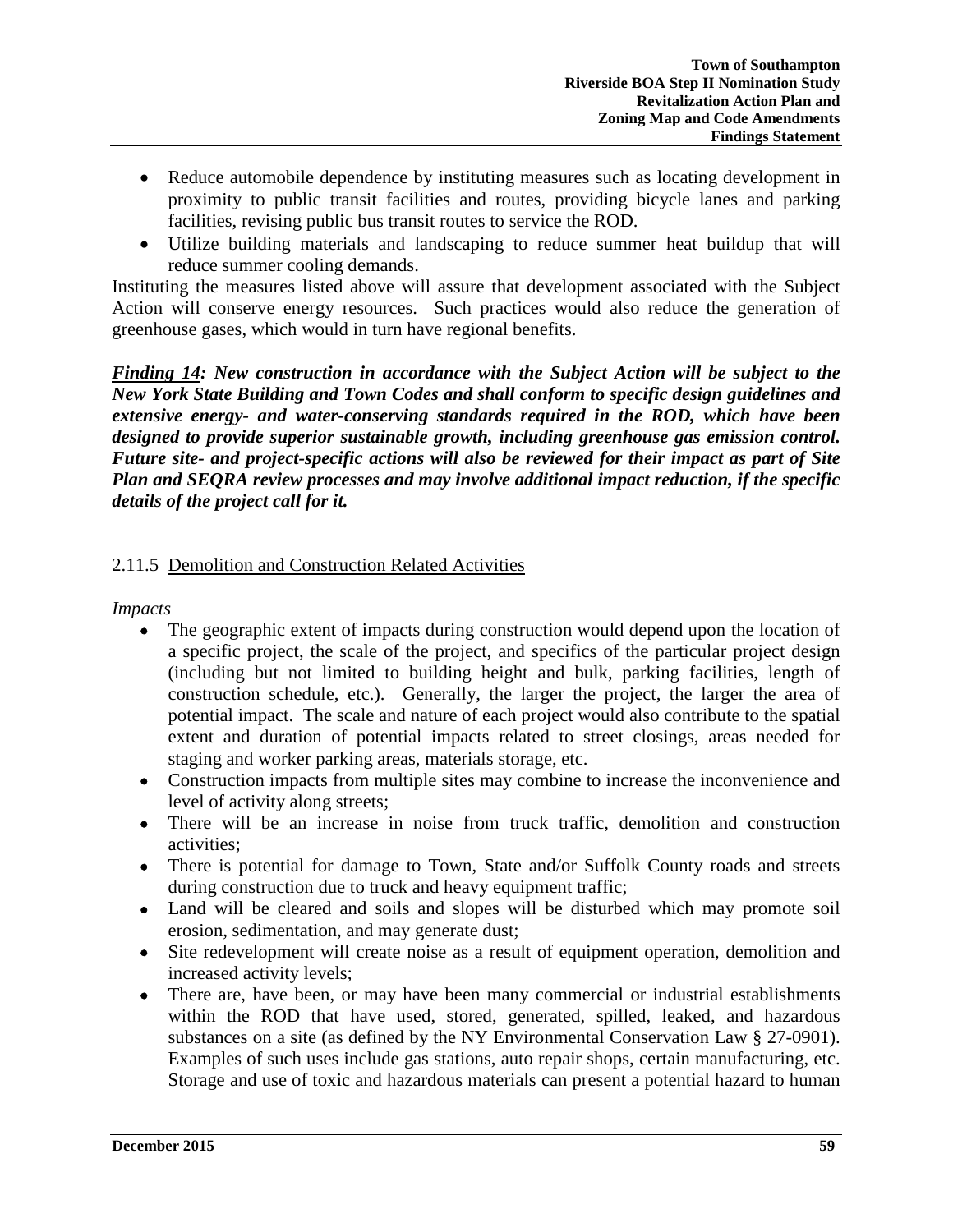- Reduce automobile dependence by instituting measures such as locating development in proximity to public transit facilities and routes, providing bicycle lanes and parking facilities, revising public bus transit routes to service the ROD.
- Utilize building materials and landscaping to reduce summer heat buildup that will reduce summer cooling demands.

Instituting the measures listed above will assure that development associated with the Subject Action will conserve energy resources. Such practices would also reduce the generation of greenhouse gases, which would in turn have regional benefits.

*Finding 14: New construction in accordance with the Subject Action will be subject to the New York State Building and Town Codes and shall conform to specific design guidelines and extensive energy- and water-conserving standards required in the ROD, which have been designed to provide superior sustainable growth, including greenhouse gas emission control. Future site- and project-specific actions will also be reviewed for their impact as part of Site Plan and SEQRA review processes and may involve additional impact reduction, if the specific details of the project call for it.* 

# 2.11.5 Demolition and Construction Related Activities

*Impacts*

- The geographic extent of impacts during construction would depend upon the location of a specific project, the scale of the project, and specifics of the particular project design (including but not limited to building height and bulk, parking facilities, length of construction schedule, etc.). Generally, the larger the project, the larger the area of potential impact. The scale and nature of each project would also contribute to the spatial extent and duration of potential impacts related to street closings, areas needed for staging and worker parking areas, materials storage, etc.
- Construction impacts from multiple sites may combine to increase the inconvenience and level of activity along streets;
- There will be an increase in noise from truck traffic, demolition and construction activities;
- There is potential for damage to Town, State and/or Suffolk County roads and streets during construction due to truck and heavy equipment traffic;
- Land will be cleared and soils and slopes will be disturbed which may promote soil erosion, sedimentation, and may generate dust;
- Site redevelopment will create noise as a result of equipment operation, demolition and increased activity levels;
- There are, have been, or may have been many commercial or industrial establishments within the ROD that have used, stored, generated, spilled, leaked, and hazardous substances on a site (as defined by the NY Environmental Conservation Law § 27-0901). Examples of such uses include gas stations, auto repair shops, certain manufacturing, etc. Storage and use of toxic and hazardous materials can present a potential hazard to human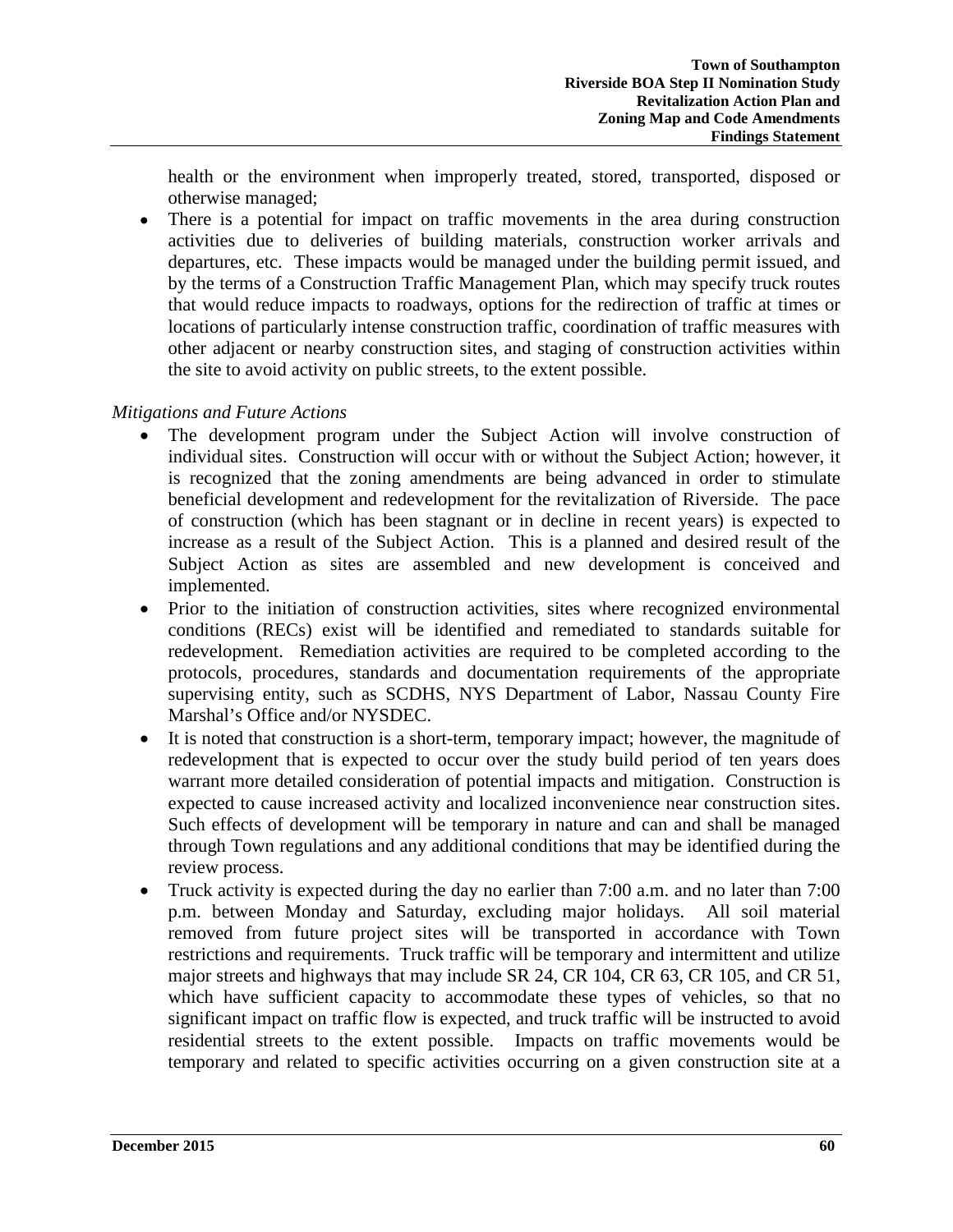health or the environment when improperly treated, stored, transported, disposed or otherwise managed;

• There is a potential for impact on traffic movements in the area during construction activities due to deliveries of building materials, construction worker arrivals and departures, etc. These impacts would be managed under the building permit issued, and by the terms of a Construction Traffic Management Plan, which may specify truck routes that would reduce impacts to roadways, options for the redirection of traffic at times or locations of particularly intense construction traffic, coordination of traffic measures with other adjacent or nearby construction sites, and staging of construction activities within the site to avoid activity on public streets, to the extent possible.

# *Mitigations and Future Actions*

- The development program under the Subject Action will involve construction of individual sites. Construction will occur with or without the Subject Action; however, it is recognized that the zoning amendments are being advanced in order to stimulate beneficial development and redevelopment for the revitalization of Riverside. The pace of construction (which has been stagnant or in decline in recent years) is expected to increase as a result of the Subject Action. This is a planned and desired result of the Subject Action as sites are assembled and new development is conceived and implemented.
- Prior to the initiation of construction activities, sites where recognized environmental conditions (RECs) exist will be identified and remediated to standards suitable for redevelopment. Remediation activities are required to be completed according to the protocols, procedures, standards and documentation requirements of the appropriate supervising entity, such as SCDHS, NYS Department of Labor, Nassau County Fire Marshal's Office and/or NYSDEC.
- It is noted that construction is a short-term, temporary impact; however, the magnitude of redevelopment that is expected to occur over the study build period of ten years does warrant more detailed consideration of potential impacts and mitigation. Construction is expected to cause increased activity and localized inconvenience near construction sites. Such effects of development will be temporary in nature and can and shall be managed through Town regulations and any additional conditions that may be identified during the review process.
- Truck activity is expected during the day no earlier than 7:00 a.m. and no later than 7:00 p.m. between Monday and Saturday, excluding major holidays. All soil material removed from future project sites will be transported in accordance with Town restrictions and requirements. Truck traffic will be temporary and intermittent and utilize major streets and highways that may include SR 24, CR 104, CR 63, CR 105, and CR 51, which have sufficient capacity to accommodate these types of vehicles, so that no significant impact on traffic flow is expected, and truck traffic will be instructed to avoid residential streets to the extent possible. Impacts on traffic movements would be temporary and related to specific activities occurring on a given construction site at a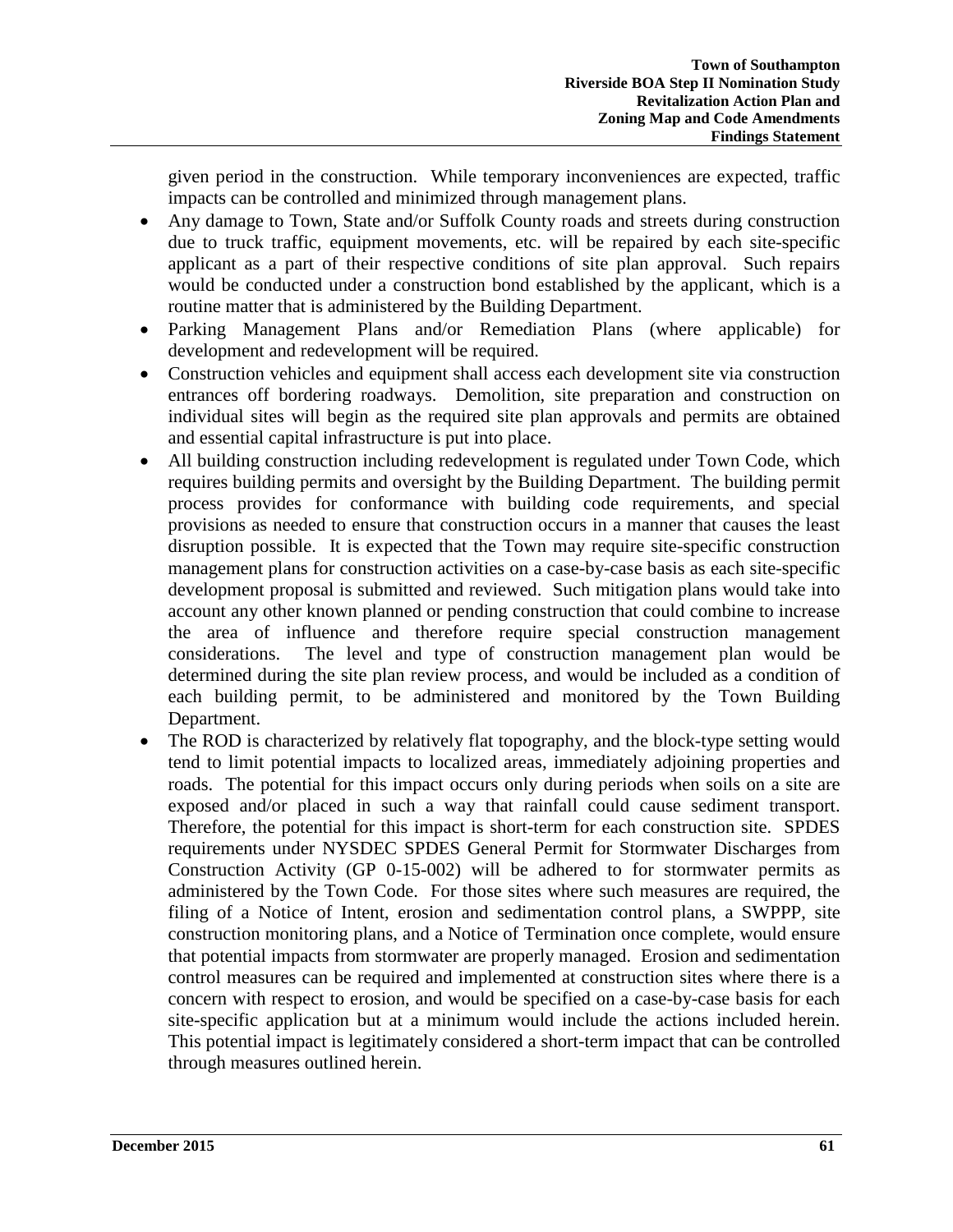given period in the construction. While temporary inconveniences are expected, traffic impacts can be controlled and minimized through management plans.

- Any damage to Town, State and/or Suffolk County roads and streets during construction due to truck traffic, equipment movements, etc. will be repaired by each site-specific applicant as a part of their respective conditions of site plan approval. Such repairs would be conducted under a construction bond established by the applicant, which is a routine matter that is administered by the Building Department.
- Parking Management Plans and/or Remediation Plans (where applicable) for development and redevelopment will be required.
- Construction vehicles and equipment shall access each development site via construction entrances off bordering roadways. Demolition, site preparation and construction on individual sites will begin as the required site plan approvals and permits are obtained and essential capital infrastructure is put into place.
- All building construction including redevelopment is regulated under Town Code, which requires building permits and oversight by the Building Department. The building permit process provides for conformance with building code requirements, and special provisions as needed to ensure that construction occurs in a manner that causes the least disruption possible. It is expected that the Town may require site-specific construction management plans for construction activities on a case-by-case basis as each site-specific development proposal is submitted and reviewed. Such mitigation plans would take into account any other known planned or pending construction that could combine to increase the area of influence and therefore require special construction management considerations. The level and type of construction management plan would be determined during the site plan review process, and would be included as a condition of each building permit, to be administered and monitored by the Town Building Department.
- The ROD is characterized by relatively flat topography, and the block-type setting would tend to limit potential impacts to localized areas, immediately adjoining properties and roads. The potential for this impact occurs only during periods when soils on a site are exposed and/or placed in such a way that rainfall could cause sediment transport. Therefore, the potential for this impact is short-term for each construction site. SPDES requirements under NYSDEC SPDES General Permit for Stormwater Discharges from Construction Activity (GP 0-15-002) will be adhered to for stormwater permits as administered by the Town Code. For those sites where such measures are required, the filing of a Notice of Intent, erosion and sedimentation control plans, a SWPPP, site construction monitoring plans, and a Notice of Termination once complete, would ensure that potential impacts from stormwater are properly managed. Erosion and sedimentation control measures can be required and implemented at construction sites where there is a concern with respect to erosion, and would be specified on a case-by-case basis for each site-specific application but at a minimum would include the actions included herein. This potential impact is legitimately considered a short-term impact that can be controlled through measures outlined herein.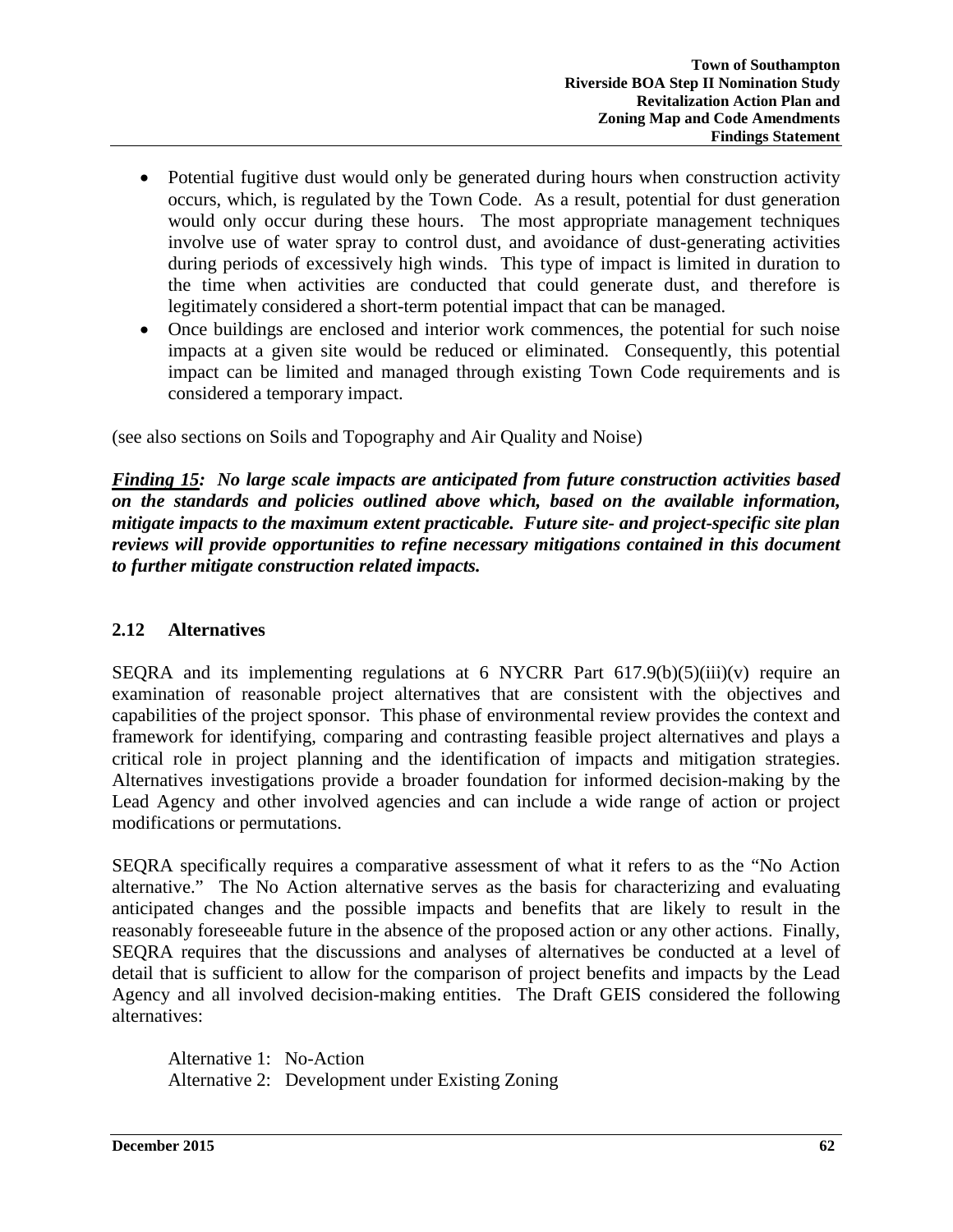- Potential fugitive dust would only be generated during hours when construction activity occurs, which, is regulated by the Town Code. As a result, potential for dust generation would only occur during these hours. The most appropriate management techniques involve use of water spray to control dust, and avoidance of dust-generating activities during periods of excessively high winds. This type of impact is limited in duration to the time when activities are conducted that could generate dust, and therefore is legitimately considered a short-term potential impact that can be managed.
- Once buildings are enclosed and interior work commences, the potential for such noise impacts at a given site would be reduced or eliminated. Consequently, this potential impact can be limited and managed through existing Town Code requirements and is considered a temporary impact.

(see also sections on Soils and Topography and Air Quality and Noise)

*Finding 15: No large scale impacts are anticipated from future construction activities based on the standards and policies outlined above which, based on the available information, mitigate impacts to the maximum extent practicable. Future site- and project-specific site plan reviews will provide opportunities to refine necessary mitigations contained in this document to further mitigate construction related impacts.* 

## **2.12 Alternatives**

SEQRA and its implementing regulations at 6 NYCRR Part  $617.9(b)(5)(iii)(v)$  require an examination of reasonable project alternatives that are consistent with the objectives and capabilities of the project sponsor. This phase of environmental review provides the context and framework for identifying, comparing and contrasting feasible project alternatives and plays a critical role in project planning and the identification of impacts and mitigation strategies. Alternatives investigations provide a broader foundation for informed decision-making by the Lead Agency and other involved agencies and can include a wide range of action or project modifications or permutations.

SEQRA specifically requires a comparative assessment of what it refers to as the "No Action alternative." The No Action alternative serves as the basis for characterizing and evaluating anticipated changes and the possible impacts and benefits that are likely to result in the reasonably foreseeable future in the absence of the proposed action or any other actions. Finally, SEQRA requires that the discussions and analyses of alternatives be conducted at a level of detail that is sufficient to allow for the comparison of project benefits and impacts by the Lead Agency and all involved decision-making entities. The Draft GEIS considered the following alternatives:

Alternative 1: No-Action Alternative 2: Development under Existing Zoning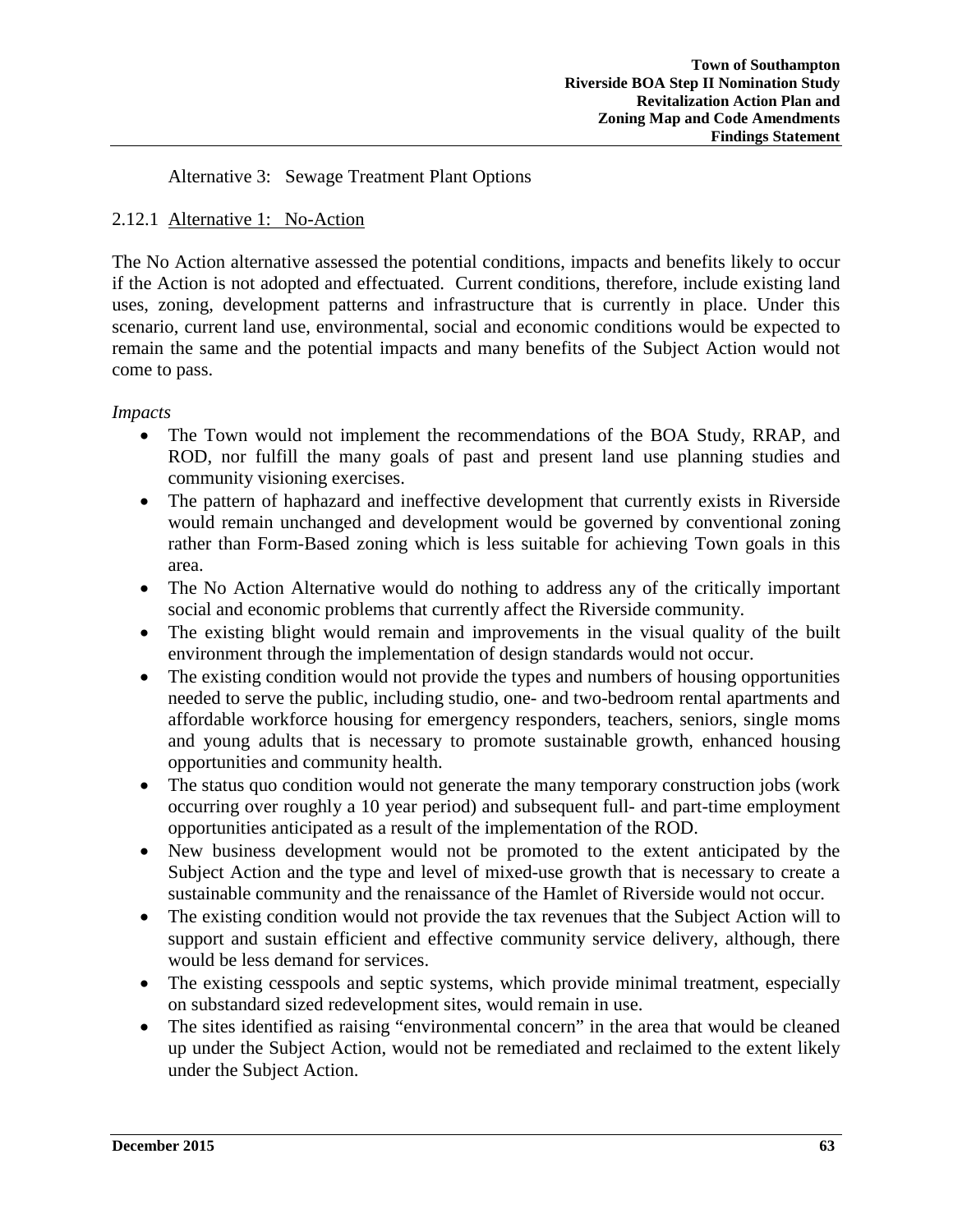Alternative 3: Sewage Treatment Plant Options

# 2.12.1 Alternative 1: No-Action

The No Action alternative assessed the potential conditions, impacts and benefits likely to occur if the Action is not adopted and effectuated. Current conditions, therefore, include existing land uses, zoning, development patterns and infrastructure that is currently in place. Under this scenario, current land use, environmental, social and economic conditions would be expected to remain the same and the potential impacts and many benefits of the Subject Action would not come to pass.

## *Impacts*

- The Town would not implement the recommendations of the BOA Study, RRAP, and ROD, nor fulfill the many goals of past and present land use planning studies and community visioning exercises.
- The pattern of haphazard and ineffective development that currently exists in Riverside would remain unchanged and development would be governed by conventional zoning rather than Form-Based zoning which is less suitable for achieving Town goals in this area.
- The No Action Alternative would do nothing to address any of the critically important social and economic problems that currently affect the Riverside community.
- The existing blight would remain and improvements in the visual quality of the built environment through the implementation of design standards would not occur.
- The existing condition would not provide the types and numbers of housing opportunities needed to serve the public, including studio, one- and two-bedroom rental apartments and affordable workforce housing for emergency responders, teachers, seniors, single moms and young adults that is necessary to promote sustainable growth, enhanced housing opportunities and community health.
- The status quo condition would not generate the many temporary construction jobs (work occurring over roughly a 10 year period) and subsequent full- and part-time employment opportunities anticipated as a result of the implementation of the ROD.
- New business development would not be promoted to the extent anticipated by the Subject Action and the type and level of mixed-use growth that is necessary to create a sustainable community and the renaissance of the Hamlet of Riverside would not occur.
- The existing condition would not provide the tax revenues that the Subject Action will to support and sustain efficient and effective community service delivery, although, there would be less demand for services.
- The existing cesspools and septic systems, which provide minimal treatment, especially on substandard sized redevelopment sites, would remain in use.
- The sites identified as raising "environmental concern" in the area that would be cleaned up under the Subject Action, would not be remediated and reclaimed to the extent likely under the Subject Action.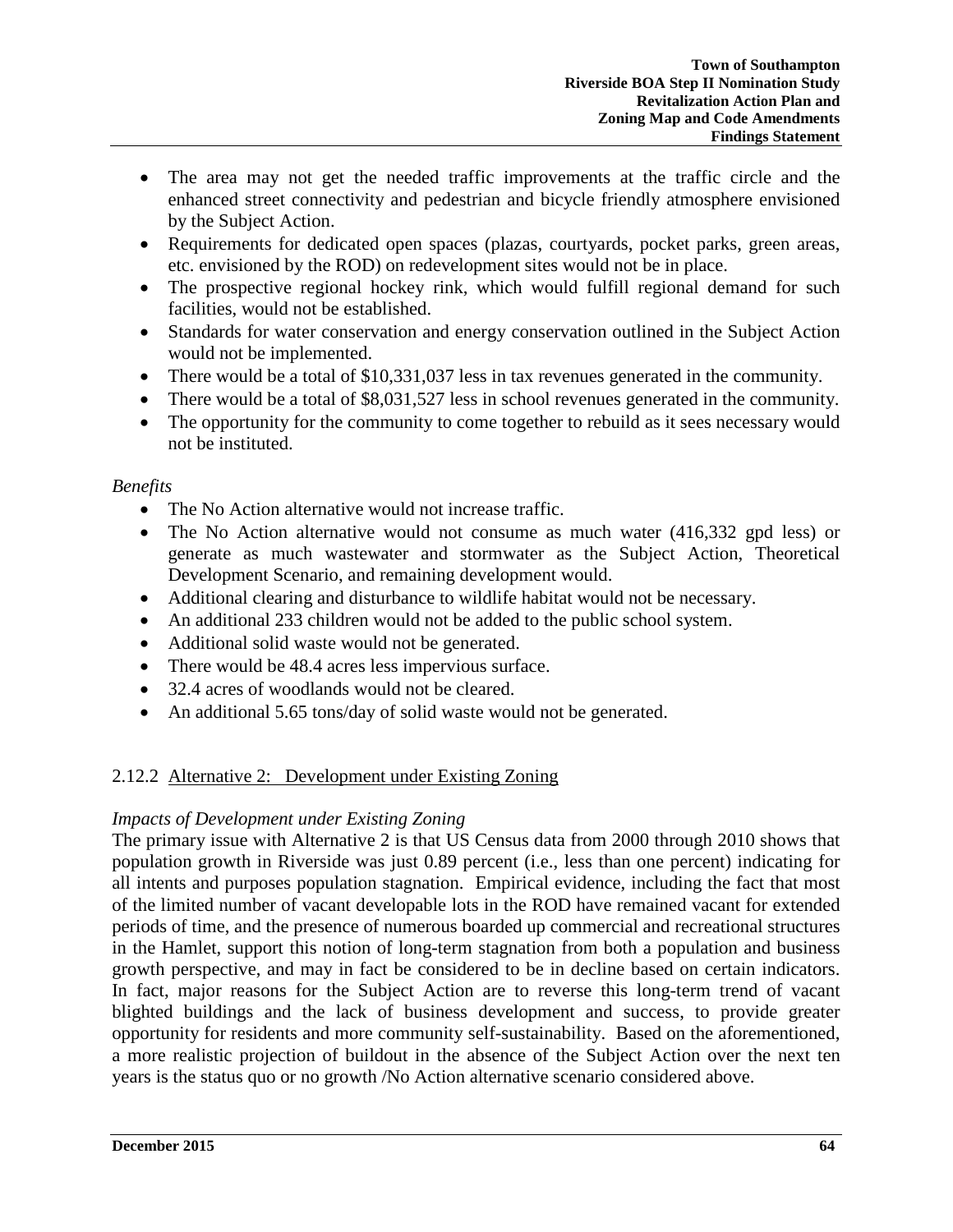- The area may not get the needed traffic improvements at the traffic circle and the enhanced street connectivity and pedestrian and bicycle friendly atmosphere envisioned by the Subject Action.
- Requirements for dedicated open spaces (plazas, courtyards, pocket parks, green areas, etc. envisioned by the ROD) on redevelopment sites would not be in place.
- The prospective regional hockey rink, which would fulfill regional demand for such facilities, would not be established.
- Standards for water conservation and energy conservation outlined in the Subject Action would not be implemented.
- There would be a total of \$10,331,037 less in tax revenues generated in the community.
- There would be a total of \$8,031,527 less in school revenues generated in the community.
- The opportunity for the community to come together to rebuild as it sees necessary would not be instituted.

## *Benefits*

- The No Action alternative would not increase traffic.
- The No Action alternative would not consume as much water (416,332 gpd less) or generate as much wastewater and stormwater as the Subject Action, Theoretical Development Scenario, and remaining development would.
- Additional clearing and disturbance to wildlife habitat would not be necessary.
- An additional 233 children would not be added to the public school system.
- Additional solid waste would not be generated.
- There would be 48.4 acres less impervious surface.
- 32.4 acres of woodlands would not be cleared.
- An additional 5.65 tons/day of solid waste would not be generated.

# 2.12.2 Alternative 2: Development under Existing Zoning

## *Impacts of Development under Existing Zoning*

The primary issue with Alternative 2 is that US Census data from 2000 through 2010 shows that population growth in Riverside was just 0.89 percent (i.e., less than one percent) indicating for all intents and purposes population stagnation. Empirical evidence, including the fact that most of the limited number of vacant developable lots in the ROD have remained vacant for extended periods of time, and the presence of numerous boarded up commercial and recreational structures in the Hamlet, support this notion of long-term stagnation from both a population and business growth perspective, and may in fact be considered to be in decline based on certain indicators. In fact, major reasons for the Subject Action are to reverse this long-term trend of vacant blighted buildings and the lack of business development and success, to provide greater opportunity for residents and more community self-sustainability. Based on the aforementioned, a more realistic projection of buildout in the absence of the Subject Action over the next ten years is the status quo or no growth /No Action alternative scenario considered above.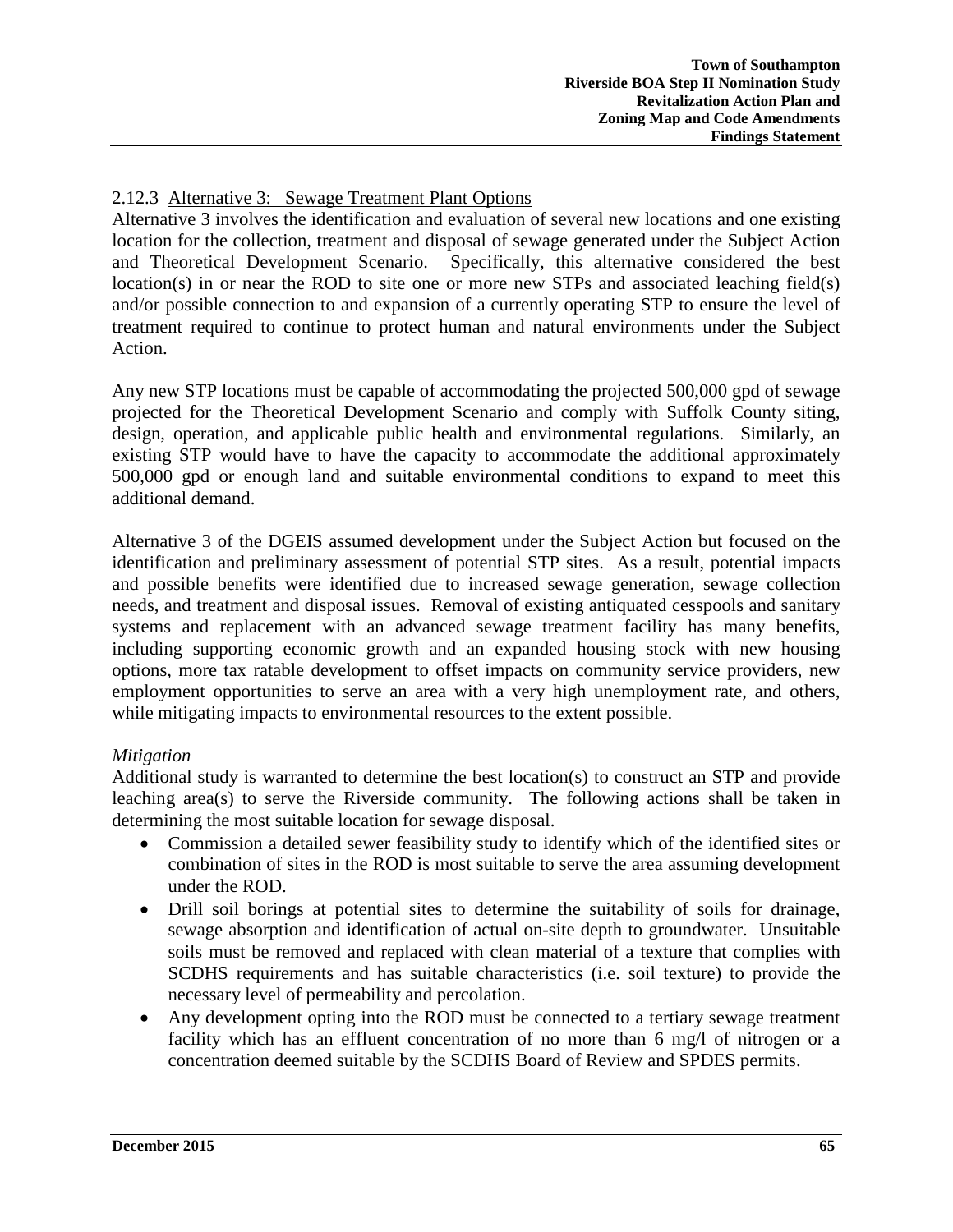# 2.12.3 Alternative 3: Sewage Treatment Plant Options

Alternative 3 involves the identification and evaluation of several new locations and one existing location for the collection, treatment and disposal of sewage generated under the Subject Action and Theoretical Development Scenario. Specifically, this alternative considered the best location(s) in or near the ROD to site one or more new STPs and associated leaching field(s) and/or possible connection to and expansion of a currently operating STP to ensure the level of treatment required to continue to protect human and natural environments under the Subject Action.

Any new STP locations must be capable of accommodating the projected 500,000 gpd of sewage projected for the Theoretical Development Scenario and comply with Suffolk County siting, design, operation, and applicable public health and environmental regulations. Similarly, an existing STP would have to have the capacity to accommodate the additional approximately 500,000 gpd or enough land and suitable environmental conditions to expand to meet this additional demand.

Alternative 3 of the DGEIS assumed development under the Subject Action but focused on the identification and preliminary assessment of potential STP sites. As a result, potential impacts and possible benefits were identified due to increased sewage generation, sewage collection needs, and treatment and disposal issues. Removal of existing antiquated cesspools and sanitary systems and replacement with an advanced sewage treatment facility has many benefits, including supporting economic growth and an expanded housing stock with new housing options, more tax ratable development to offset impacts on community service providers, new employment opportunities to serve an area with a very high unemployment rate, and others, while mitigating impacts to environmental resources to the extent possible.

## *Mitigation*

Additional study is warranted to determine the best location(s) to construct an STP and provide leaching area(s) to serve the Riverside community. The following actions shall be taken in determining the most suitable location for sewage disposal.

- Commission a detailed sewer feasibility study to identify which of the identified sites or combination of sites in the ROD is most suitable to serve the area assuming development under the ROD.
- Drill soil borings at potential sites to determine the suitability of soils for drainage, sewage absorption and identification of actual on-site depth to groundwater. Unsuitable soils must be removed and replaced with clean material of a texture that complies with SCDHS requirements and has suitable characteristics (i.e. soil texture) to provide the necessary level of permeability and percolation.
- Any development opting into the ROD must be connected to a tertiary sewage treatment facility which has an effluent concentration of no more than 6 mg/l of nitrogen or a concentration deemed suitable by the SCDHS Board of Review and SPDES permits.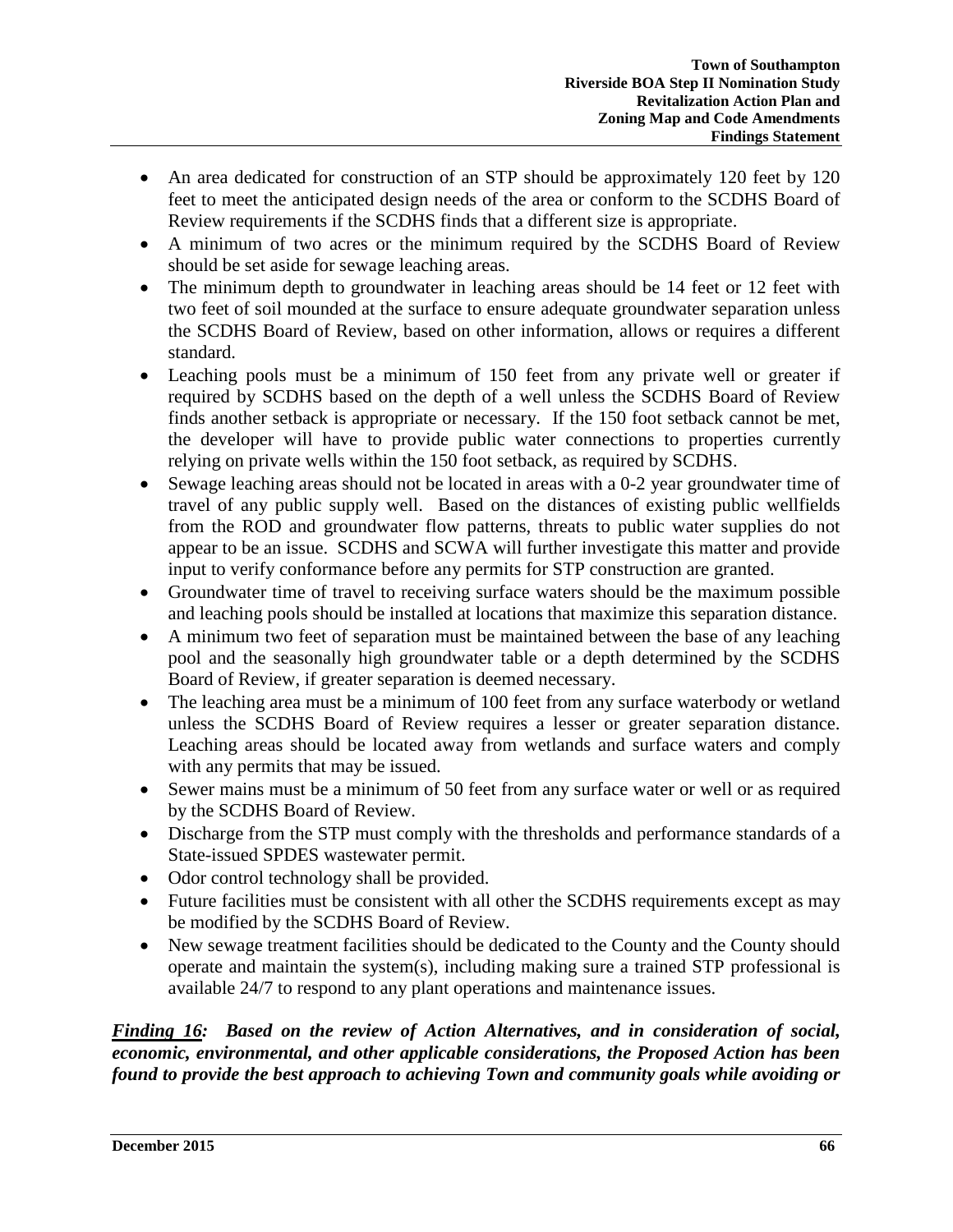- An area dedicated for construction of an STP should be approximately 120 feet by 120 feet to meet the anticipated design needs of the area or conform to the SCDHS Board of Review requirements if the SCDHS finds that a different size is appropriate.
- A minimum of two acres or the minimum required by the SCDHS Board of Review should be set aside for sewage leaching areas.
- The minimum depth to groundwater in leaching areas should be 14 feet or 12 feet with two feet of soil mounded at the surface to ensure adequate groundwater separation unless the SCDHS Board of Review, based on other information, allows or requires a different standard.
- Leaching pools must be a minimum of 150 feet from any private well or greater if required by SCDHS based on the depth of a well unless the SCDHS Board of Review finds another setback is appropriate or necessary. If the 150 foot setback cannot be met, the developer will have to provide public water connections to properties currently relying on private wells within the 150 foot setback, as required by SCDHS.
- Sewage leaching areas should not be located in areas with a 0-2 year groundwater time of travel of any public supply well. Based on the distances of existing public wellfields from the ROD and groundwater flow patterns, threats to public water supplies do not appear to be an issue. SCDHS and SCWA will further investigate this matter and provide input to verify conformance before any permits for STP construction are granted.
- Groundwater time of travel to receiving surface waters should be the maximum possible and leaching pools should be installed at locations that maximize this separation distance.
- A minimum two feet of separation must be maintained between the base of any leaching pool and the seasonally high groundwater table or a depth determined by the SCDHS Board of Review, if greater separation is deemed necessary.
- The leaching area must be a minimum of 100 feet from any surface waterbody or wetland unless the SCDHS Board of Review requires a lesser or greater separation distance. Leaching areas should be located away from wetlands and surface waters and comply with any permits that may be issued.
- Sewer mains must be a minimum of 50 feet from any surface water or well or as required by the SCDHS Board of Review.
- Discharge from the STP must comply with the thresholds and performance standards of a State-issued SPDES wastewater permit.
- Odor control technology shall be provided.
- Future facilities must be consistent with all other the SCDHS requirements except as may be modified by the SCDHS Board of Review.
- New sewage treatment facilities should be dedicated to the County and the County should operate and maintain the system(s), including making sure a trained STP professional is available 24/7 to respond to any plant operations and maintenance issues.

*Finding 16: Based on the review of Action Alternatives, and in consideration of social, economic, environmental, and other applicable considerations, the Proposed Action has been found to provide the best approach to achieving Town and community goals while avoiding or*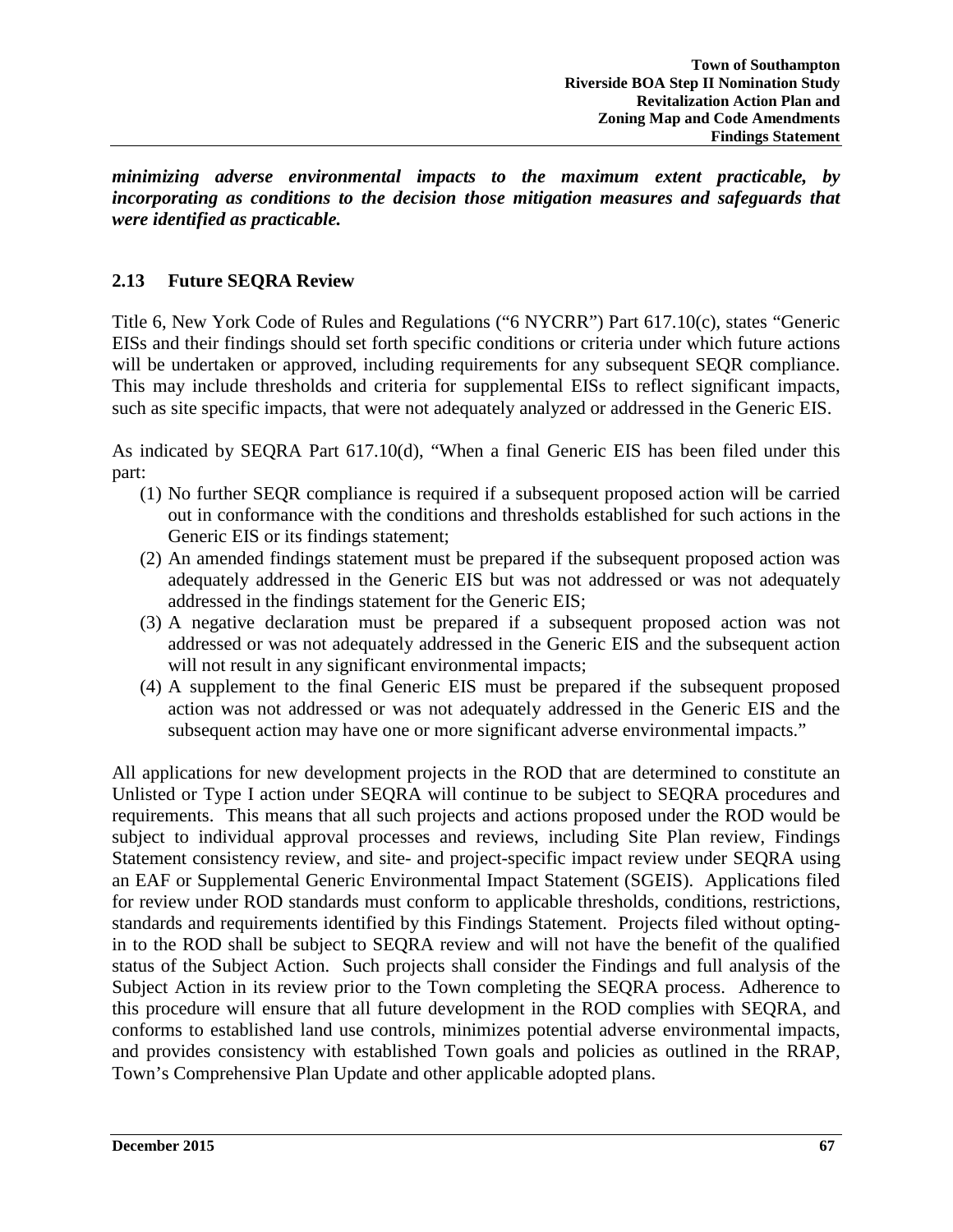*minimizing adverse environmental impacts to the maximum extent practicable, by incorporating as conditions to the decision those mitigation measures and safeguards that were identified as practicable.*

## **2.13 Future SEQRA Review**

Title 6, New York Code of Rules and Regulations ("6 NYCRR") Part 617.10(c), states "Generic EISs and their findings should set forth specific conditions or criteria under which future actions will be undertaken or approved, including requirements for any subsequent SEQR compliance. This may include thresholds and criteria for supplemental EISs to reflect significant impacts, such as site specific impacts, that were not adequately analyzed or addressed in the Generic EIS.

As indicated by SEQRA Part 617.10(d), "When a final Generic EIS has been filed under this part:

- (1) No further SEQR compliance is required if a subsequent proposed action will be carried out in conformance with the conditions and thresholds established for such actions in the Generic EIS or its findings statement;
- (2) An amended findings statement must be prepared if the subsequent proposed action was adequately addressed in the Generic EIS but was not addressed or was not adequately addressed in the findings statement for the Generic EIS;
- (3) A negative declaration must be prepared if a subsequent proposed action was not addressed or was not adequately addressed in the Generic EIS and the subsequent action will not result in any significant environmental impacts;
- (4) A supplement to the final Generic EIS must be prepared if the subsequent proposed action was not addressed or was not adequately addressed in the Generic EIS and the subsequent action may have one or more significant adverse environmental impacts."

All applications for new development projects in the ROD that are determined to constitute an Unlisted or Type I action under SEQRA will continue to be subject to SEQRA procedures and requirements. This means that all such projects and actions proposed under the ROD would be subject to individual approval processes and reviews, including Site Plan review, Findings Statement consistency review, and site- and project-specific impact review under SEQRA using an EAF or Supplemental Generic Environmental Impact Statement (SGEIS). Applications filed for review under ROD standards must conform to applicable thresholds, conditions, restrictions, standards and requirements identified by this Findings Statement. Projects filed without optingin to the ROD shall be subject to SEQRA review and will not have the benefit of the qualified status of the Subject Action. Such projects shall consider the Findings and full analysis of the Subject Action in its review prior to the Town completing the SEQRA process. Adherence to this procedure will ensure that all future development in the ROD complies with SEQRA, and conforms to established land use controls, minimizes potential adverse environmental impacts, and provides consistency with established Town goals and policies as outlined in the RRAP, Town's Comprehensive Plan Update and other applicable adopted plans.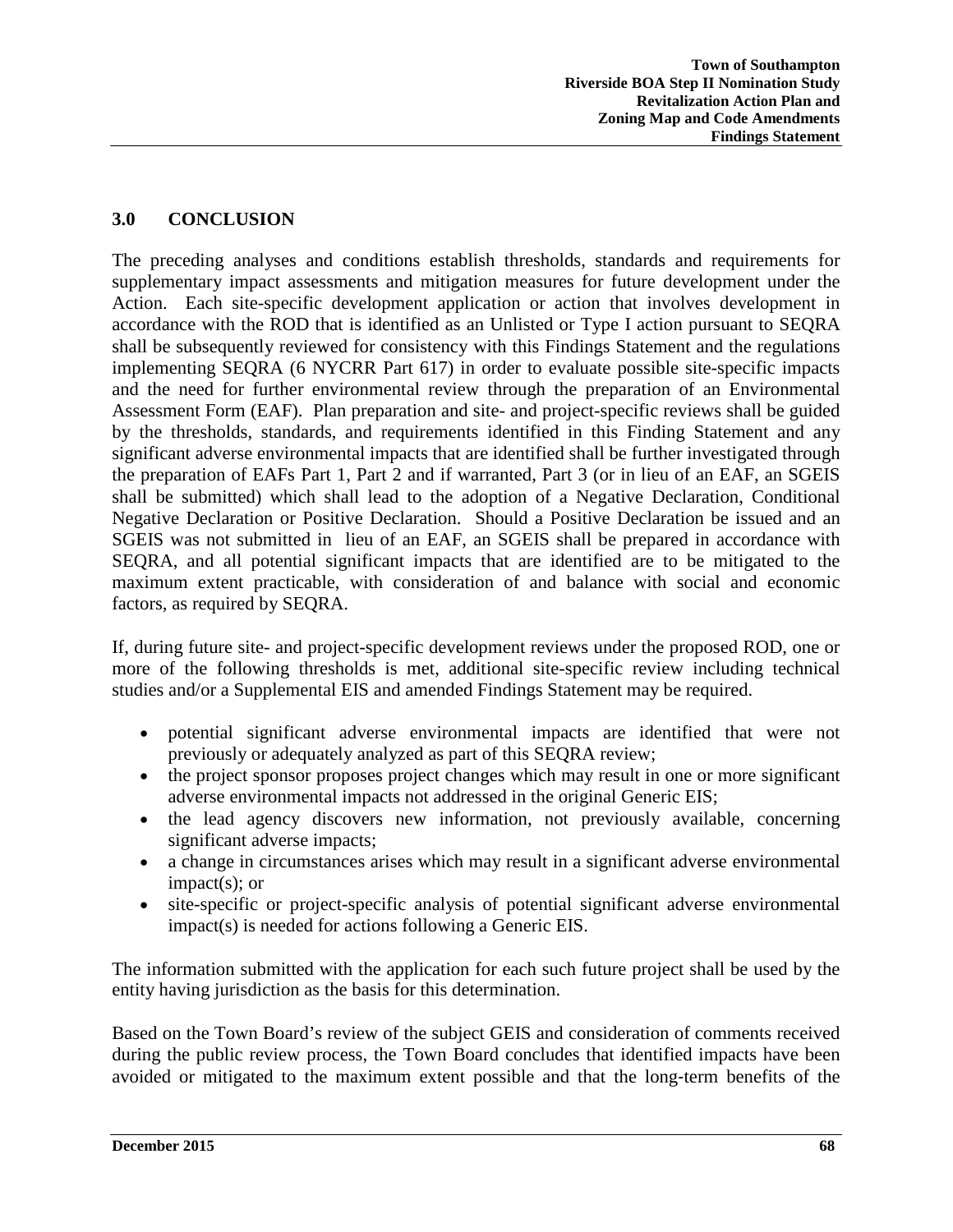# **3.0 CONCLUSION**

The preceding analyses and conditions establish thresholds, standards and requirements for supplementary impact assessments and mitigation measures for future development under the Action. Each site-specific development application or action that involves development in accordance with the ROD that is identified as an Unlisted or Type I action pursuant to SEQRA shall be subsequently reviewed for consistency with this Findings Statement and the regulations implementing SEQRA (6 NYCRR Part 617) in order to evaluate possible site-specific impacts and the need for further environmental review through the preparation of an Environmental Assessment Form (EAF). Plan preparation and site- and project-specific reviews shall be guided by the thresholds, standards, and requirements identified in this Finding Statement and any significant adverse environmental impacts that are identified shall be further investigated through the preparation of EAFs Part 1, Part 2 and if warranted, Part 3 (or in lieu of an EAF, an SGEIS shall be submitted) which shall lead to the adoption of a Negative Declaration, Conditional Negative Declaration or Positive Declaration. Should a Positive Declaration be issued and an SGEIS was not submitted in lieu of an EAF, an SGEIS shall be prepared in accordance with SEQRA, and all potential significant impacts that are identified are to be mitigated to the maximum extent practicable, with consideration of and balance with social and economic factors, as required by SEQRA.

If, during future site- and project-specific development reviews under the proposed ROD, one or more of the following thresholds is met, additional site-specific review including technical studies and/or a Supplemental EIS and amended Findings Statement may be required.

- potential significant adverse environmental impacts are identified that were not previously or adequately analyzed as part of this SEQRA review;
- the project sponsor proposes project changes which may result in one or more significant adverse environmental impacts not addressed in the original Generic EIS;
- the lead agency discovers new information, not previously available, concerning significant adverse impacts;
- a change in circumstances arises which may result in a significant adverse environmental impact(s); or
- site-specific or project-specific analysis of potential significant adverse environmental impact(s) is needed for actions following a Generic EIS.

The information submitted with the application for each such future project shall be used by the entity having jurisdiction as the basis for this determination.

Based on the Town Board's review of the subject GEIS and consideration of comments received during the public review process, the Town Board concludes that identified impacts have been avoided or mitigated to the maximum extent possible and that the long‐term benefits of the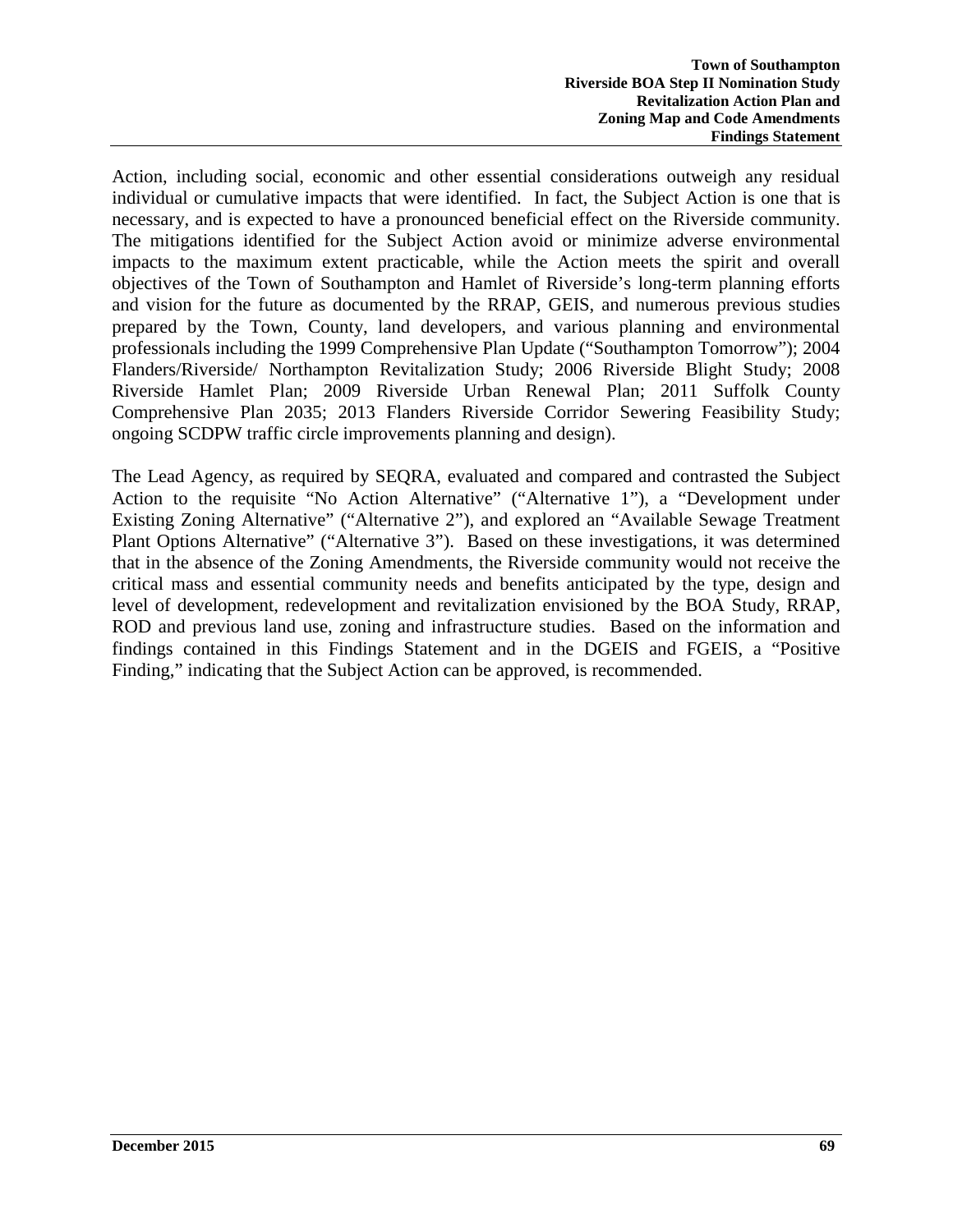Action, including social, economic and other essential considerations outweigh any residual individual or cumulative impacts that were identified. In fact, the Subject Action is one that is necessary, and is expected to have a pronounced beneficial effect on the Riverside community. The mitigations identified for the Subject Action avoid or minimize adverse environmental impacts to the maximum extent practicable, while the Action meets the spirit and overall objectives of the Town of Southampton and Hamlet of Riverside's long-term planning efforts and vision for the future as documented by the RRAP, GEIS, and numerous previous studies prepared by the Town, County, land developers, and various planning and environmental professionals including the 1999 Comprehensive Plan Update ("Southampton Tomorrow"); 2004 Flanders/Riverside/ Northampton Revitalization Study; 2006 Riverside Blight Study; 2008 Riverside Hamlet Plan; 2009 Riverside Urban Renewal Plan; 2011 Suffolk County Comprehensive Plan 2035; 2013 Flanders Riverside Corridor Sewering Feasibility Study; ongoing SCDPW traffic circle improvements planning and design).

The Lead Agency, as required by SEQRA, evaluated and compared and contrasted the Subject Action to the requisite "No Action Alternative" ("Alternative 1"), a "Development under Existing Zoning Alternative" ("Alternative 2"), and explored an "Available Sewage Treatment Plant Options Alternative" ("Alternative 3"). Based on these investigations, it was determined that in the absence of the Zoning Amendments, the Riverside community would not receive the critical mass and essential community needs and benefits anticipated by the type, design and level of development, redevelopment and revitalization envisioned by the BOA Study, RRAP, ROD and previous land use, zoning and infrastructure studies. Based on the information and findings contained in this Findings Statement and in the DGEIS and FGEIS, a "Positive Finding," indicating that the Subject Action can be approved, is recommended.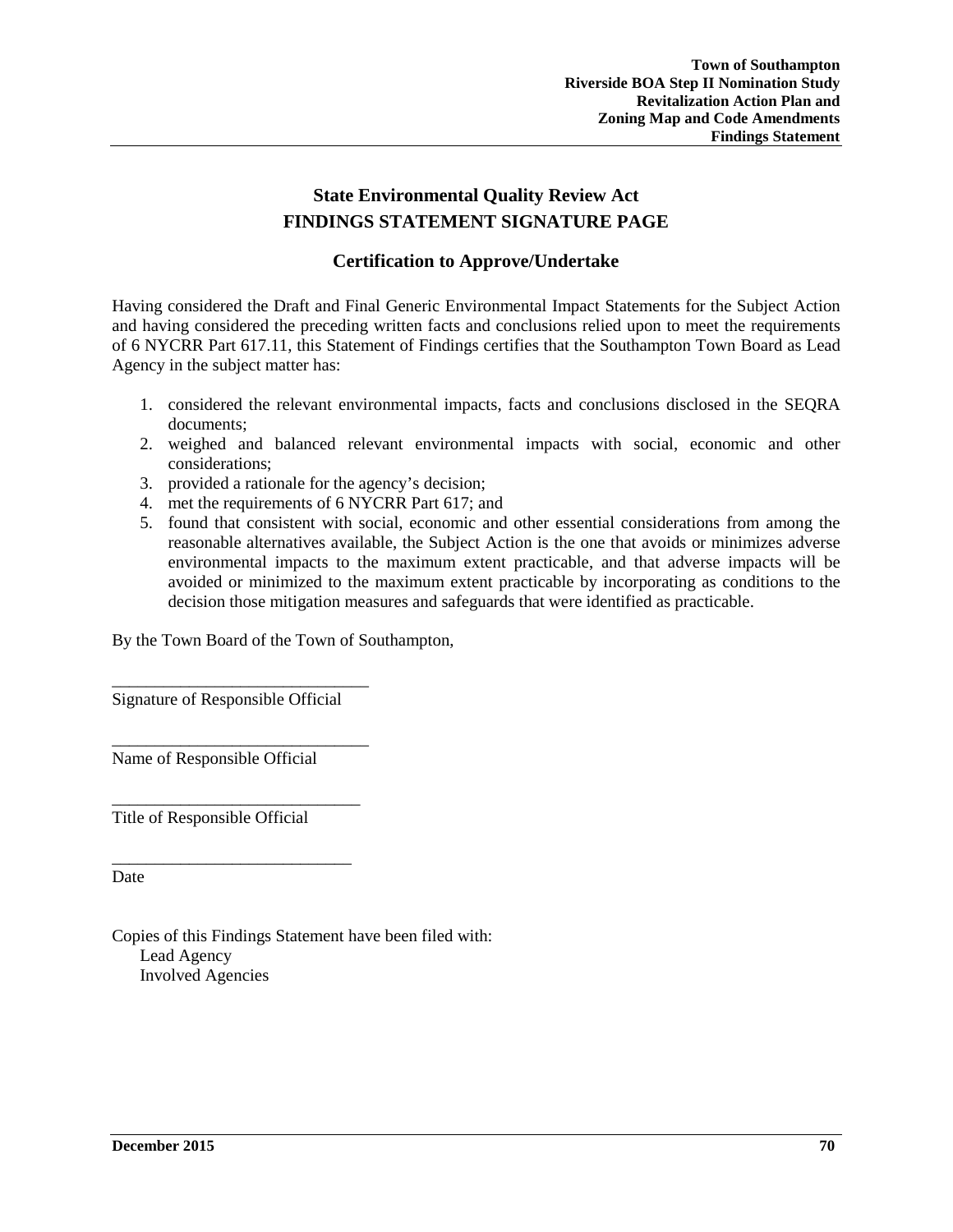# **State Environmental Quality Review Act FINDINGS STATEMENT SIGNATURE PAGE**

#### **Certification to Approve/Undertake**

Having considered the Draft and Final Generic Environmental Impact Statements for the Subject Action and having considered the preceding written facts and conclusions relied upon to meet the requirements of 6 NYCRR Part 617.11, this Statement of Findings certifies that the Southampton Town Board as Lead Agency in the subject matter has:

- 1. considered the relevant environmental impacts, facts and conclusions disclosed in the SEQRA documents;
- 2. weighed and balanced relevant environmental impacts with social, economic and other considerations;
- 3. provided a rationale for the agency's decision;
- 4. met the requirements of 6 NYCRR Part 617; and
- 5. found that consistent with social, economic and other essential considerations from among the reasonable alternatives available, the Subject Action is the one that avoids or minimizes adverse environmental impacts to the maximum extent practicable, and that adverse impacts will be avoided or minimized to the maximum extent practicable by incorporating as conditions to the decision those mitigation measures and safeguards that were identified as practicable.

By the Town Board of the Town of Southampton,

Signature of Responsible Official

\_\_\_\_\_\_\_\_\_\_\_\_\_\_\_\_\_\_\_\_\_\_\_\_\_\_\_\_\_\_

\_\_\_\_\_\_\_\_\_\_\_\_\_\_\_\_\_\_\_\_\_\_\_\_\_\_\_\_\_\_ Name of Responsible Official

Title of Responsible Official

\_\_\_\_\_\_\_\_\_\_\_\_\_\_\_\_\_\_\_\_\_\_\_\_\_\_\_\_\_

\_\_\_\_\_\_\_\_\_\_\_\_\_\_\_\_\_\_\_\_\_\_\_\_\_\_\_\_

Date

Copies of this Findings Statement have been filed with: Lead Agency Involved Agencies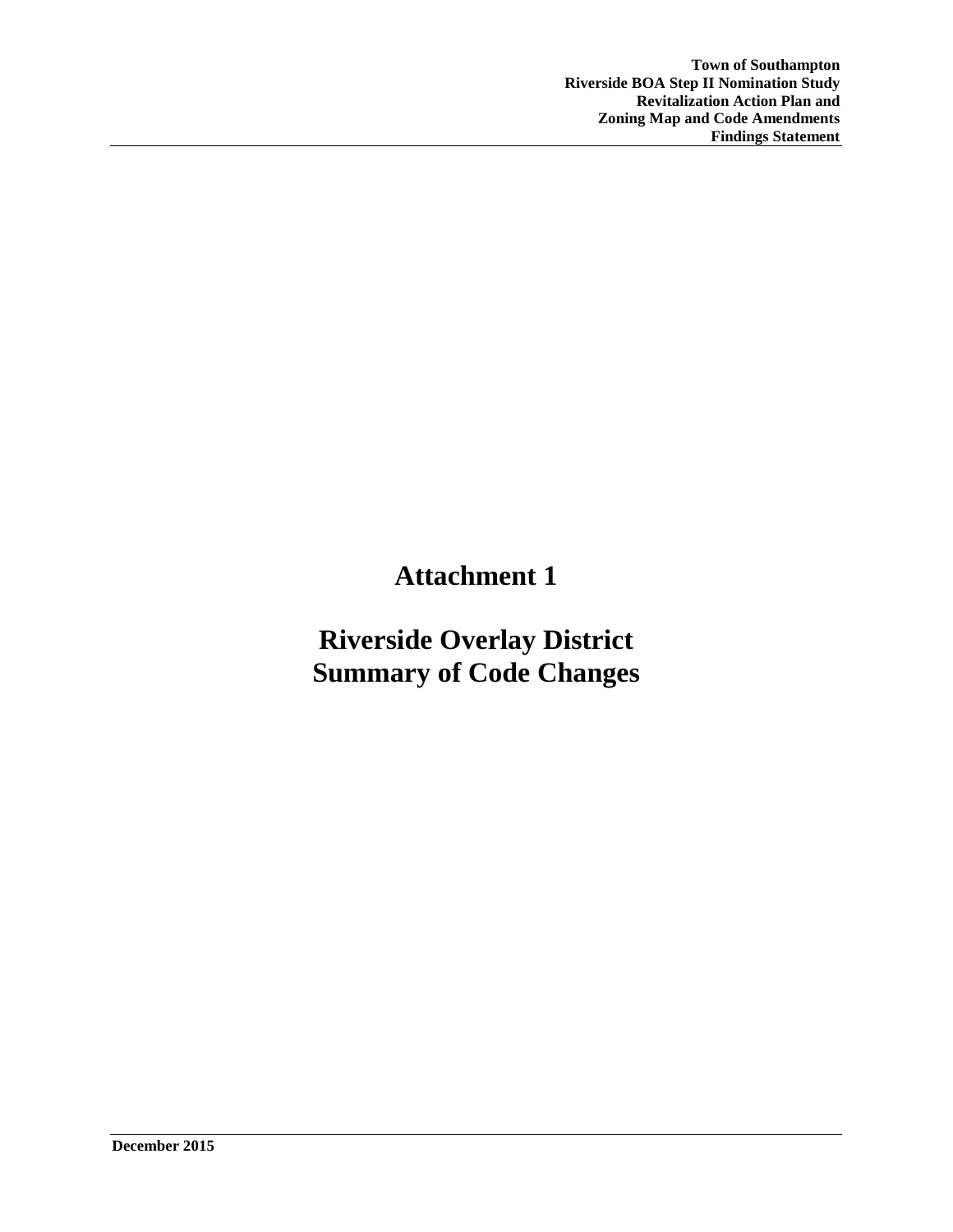# **Attachment 1**

# **Riverside Overlay District Summary of Code Changes**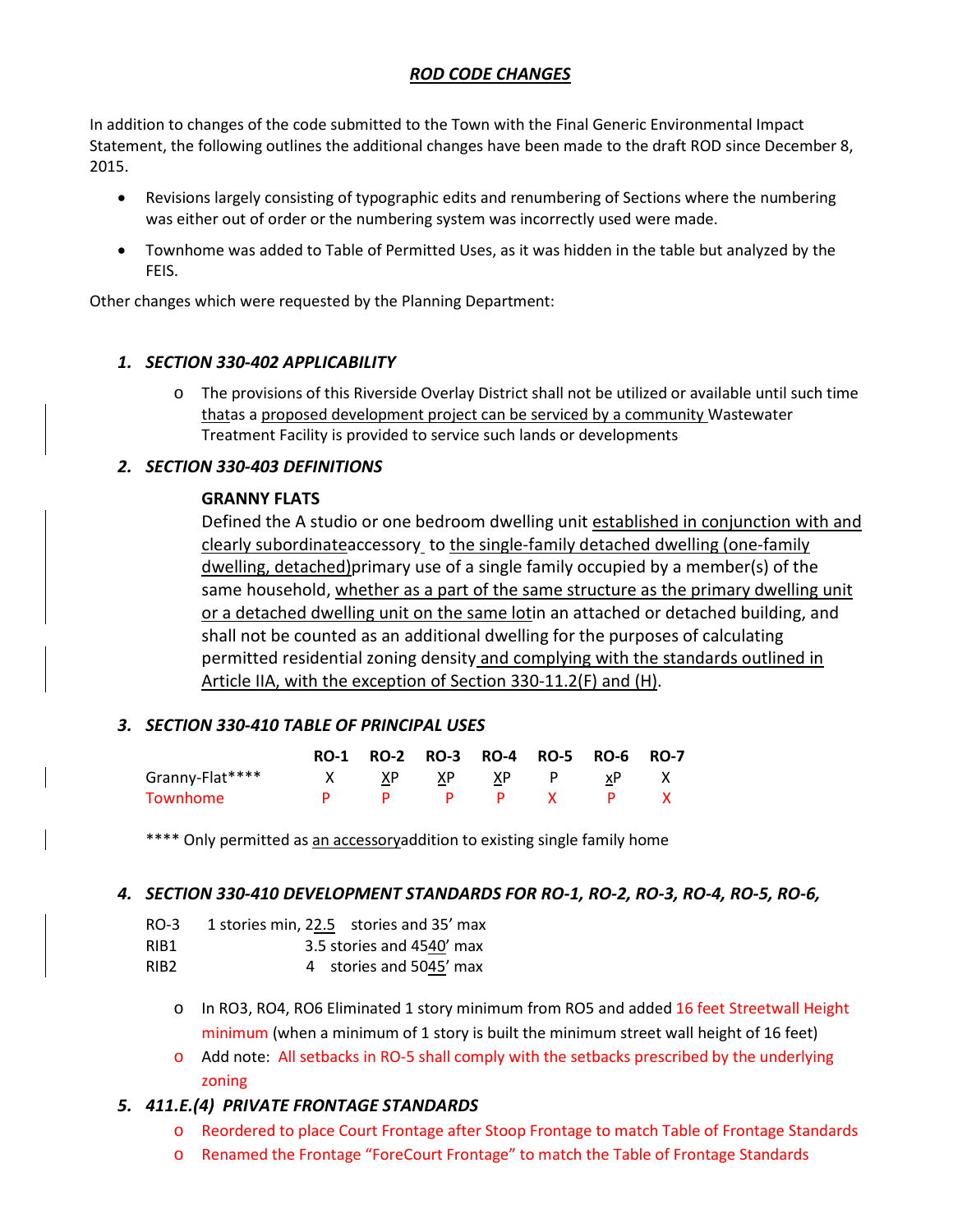#### *ROD CODE CHANGES*

In addition to changes of the code submitted to the Town with the Final Generic Environmental Impact Statement, the following outlines the additional changes have been made to the draft ROD since December 8, 2015.

- Revisions largely consisting of typographic edits and renumbering of Sections where the numbering was either out of order or the numbering system was incorrectly used were made.
- Townhome was added to Table of Permitted Uses, as it was hidden in the table but analyzed by the FEIS.

Other changes which were requested by the Planning Department:

#### *1. SECTION 330-402 APPLICABILITY*

o The provisions of this Riverside Overlay District shall not be utilized or available until such time thatas a proposed development project can be serviced by a community Wastewater Treatment Facility is provided to service such lands or developments

#### *2. SECTION 330-403 DEFINITIONS*

#### **GRANNY FLATS**

Defined the A studio or one bedroom dwelling unit established in conjunction with and clearly subordinateaccessory to the single-family detached dwelling (one-family dwelling, detached)primary use of a single family occupied by a member(s) of the same household, whether as a part of the same structure as the primary dwelling unit or a detached dwelling unit on the same lotin an attached or detached building, and shall not be counted as an additional dwelling for the purposes of calculating permitted residential zoning density and complying with the standards outlined in Article IIA, with the exception of Section 330-11.2(F) and (H).

#### *3. SECTION 330-410 TABLE OF PRINCIPAL USES*

|                 |              |  | RO-1 RO-2 RO-3 RO-4 RO-5 RO-6 RO-7 |  |
|-----------------|--------------|--|------------------------------------|--|
| Granny-Flat**** |              |  | X XP XP XP P xP X                  |  |
| Townhome        | $\mathbf{p}$ |  | p p x p                            |  |

\*\*\*\* Only permitted as an accessoryaddition to existing single family home

#### *4. SECTION 330-410 DEVELOPMENT STANDARDS FOR RO-1, RO-2, RO-3, RO-4, RO-5, RO-6,*

- RO-3 1 stories min, 22.5 stories and 35' max
- RIB1 3.5 stories and 4540' max
- RIB2 4 stories and 5045' max
	- o In RO3, RO4, RO6 Eliminated 1 story minimum from RO5 and added 16 feet Streetwall Height minimum (when a minimum of 1 story is built the minimum street wall height of 16 feet)
	- o Add note: All setbacks in RO-5 shall comply with the setbacks prescribed by the underlying zoning

#### *5. 411.E.(4) PRIVATE FRONTAGE STANDARDS*

- o Reordered to place Court Frontage after Stoop Frontage to match Table of Frontage Standards
- o Renamed the Frontage "ForeCourt Frontage" to match the Table of Frontage Standards